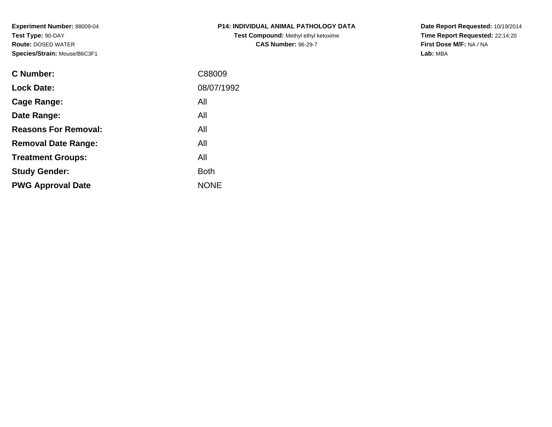**Experiment Number:** 88009-04**Test Type:** 90-DAY **Route:** DOSED WATER**Species/Strain:** Mouse/B6C3F1

| <b>C Number:</b>            | C88009      |
|-----------------------------|-------------|
| <b>Lock Date:</b>           | 08/07/1992  |
| <b>Cage Range:</b>          | All         |
| Date Range:                 | All         |
| <b>Reasons For Removal:</b> | All         |
| <b>Removal Date Range:</b>  | All         |
| <b>Treatment Groups:</b>    | All         |
| <b>Study Gender:</b>        | <b>Both</b> |
| <b>PWG Approval Date</b>    | <b>NONE</b> |
|                             |             |

## **P14: INDIVIDUAL ANIMAL PATHOLOGY DATATest Compound:** Methyl ethyl ketoxime**CAS Number:** 96-29-7

**Date Report Requested:** 10/19/2014 **Time Report Requested:** 22:14:20**First Dose M/F:** NA / NA**Lab:** MBA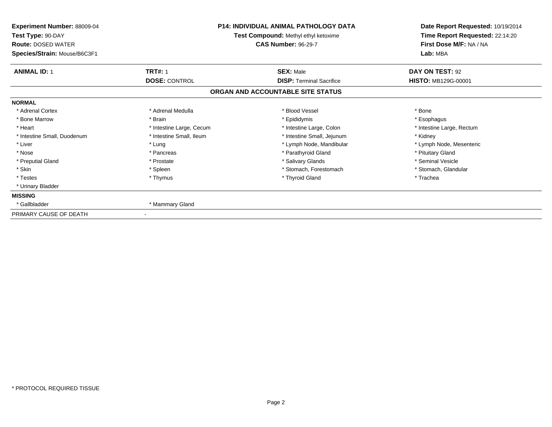| Experiment Number: 88009-04<br>Test Type: 90-DAY<br><b>Route: DOSED WATER</b><br>Species/Strain: Mouse/B6C3F1 | <b>P14: INDIVIDUAL ANIMAL PATHOLOGY DATA</b><br>Test Compound: Methyl ethyl ketoxime<br><b>CAS Number: 96-29-7</b> |                                                     | Date Report Requested: 10/19/2014<br>Time Report Requested: 22:14:20<br>First Dose M/F: NA / NA<br>Lab: MBA |
|---------------------------------------------------------------------------------------------------------------|--------------------------------------------------------------------------------------------------------------------|-----------------------------------------------------|-------------------------------------------------------------------------------------------------------------|
| <b>ANIMAL ID: 1</b>                                                                                           | <b>TRT#: 1</b><br><b>DOSE: CONTROL</b>                                                                             | <b>SEX: Male</b><br><b>DISP: Terminal Sacrifice</b> | DAY ON TEST: 92<br>HISTO: MB129G-00001                                                                      |
|                                                                                                               |                                                                                                                    | ORGAN AND ACCOUNTABLE SITE STATUS                   |                                                                                                             |
| <b>NORMAL</b>                                                                                                 |                                                                                                                    |                                                     |                                                                                                             |
| * Adrenal Cortex                                                                                              | * Adrenal Medulla                                                                                                  | * Blood Vessel                                      | * Bone                                                                                                      |
| * Bone Marrow                                                                                                 | * Brain                                                                                                            | * Epididymis                                        | * Esophagus                                                                                                 |
| * Heart                                                                                                       | * Intestine Large, Cecum                                                                                           | * Intestine Large, Colon                            | * Intestine Large, Rectum                                                                                   |
| * Intestine Small, Duodenum                                                                                   | * Intestine Small, Ileum                                                                                           | * Intestine Small, Jejunum                          | * Kidney                                                                                                    |
| * Liver                                                                                                       | * Lung                                                                                                             | * Lymph Node, Mandibular                            | * Lymph Node, Mesenteric                                                                                    |
| * Nose                                                                                                        | * Pancreas                                                                                                         | * Parathyroid Gland                                 | * Pituitary Gland                                                                                           |
| * Preputial Gland                                                                                             | * Prostate                                                                                                         | * Salivary Glands                                   | * Seminal Vesicle                                                                                           |
| * Skin                                                                                                        | * Spleen                                                                                                           | * Stomach. Forestomach                              | * Stomach, Glandular                                                                                        |
| * Testes                                                                                                      | * Thymus                                                                                                           | * Thyroid Gland                                     | * Trachea                                                                                                   |
| * Urinary Bladder                                                                                             |                                                                                                                    |                                                     |                                                                                                             |
| <b>MISSING</b>                                                                                                |                                                                                                                    |                                                     |                                                                                                             |
| * Gallbladder                                                                                                 | * Mammary Gland                                                                                                    |                                                     |                                                                                                             |
| PRIMARY CAUSE OF DEATH                                                                                        |                                                                                                                    |                                                     |                                                                                                             |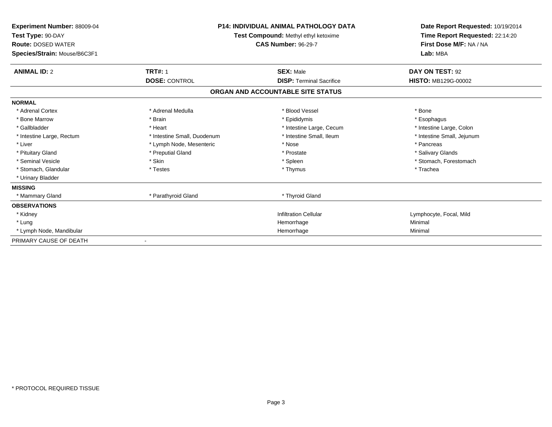| <b>Experiment Number: 88009-04</b><br>Test Type: 90-DAY<br><b>Route: DOSED WATER</b><br>Species/Strain: Mouse/B6C3F1 |                             | <b>P14: INDIVIDUAL ANIMAL PATHOLOGY DATA</b><br>Test Compound: Methyl ethyl ketoxime<br><b>CAS Number: 96-29-7</b> | Date Report Requested: 10/19/2014<br>Time Report Requested: 22:14:20<br>First Dose M/F: NA / NA<br>Lab: MBA |
|----------------------------------------------------------------------------------------------------------------------|-----------------------------|--------------------------------------------------------------------------------------------------------------------|-------------------------------------------------------------------------------------------------------------|
| <b>ANIMAL ID: 2</b>                                                                                                  | <b>TRT#: 1</b>              | <b>SEX: Male</b>                                                                                                   | DAY ON TEST: 92                                                                                             |
|                                                                                                                      | <b>DOSE: CONTROL</b>        | <b>DISP: Terminal Sacrifice</b>                                                                                    | <b>HISTO: MB129G-00002</b>                                                                                  |
|                                                                                                                      |                             | ORGAN AND ACCOUNTABLE SITE STATUS                                                                                  |                                                                                                             |
| <b>NORMAL</b>                                                                                                        |                             |                                                                                                                    |                                                                                                             |
| * Adrenal Cortex                                                                                                     | * Adrenal Medulla           | * Blood Vessel                                                                                                     | * Bone                                                                                                      |
| * Bone Marrow                                                                                                        | * Brain                     | * Epididymis                                                                                                       | * Esophagus                                                                                                 |
| * Gallbladder                                                                                                        | * Heart                     | * Intestine Large, Cecum                                                                                           | * Intestine Large, Colon                                                                                    |
| * Intestine Large, Rectum                                                                                            | * Intestine Small, Duodenum | * Intestine Small, Ileum                                                                                           | * Intestine Small, Jejunum                                                                                  |
| * Liver                                                                                                              | * Lymph Node, Mesenteric    | * Nose                                                                                                             | * Pancreas                                                                                                  |
| * Pituitary Gland                                                                                                    | * Preputial Gland           | * Prostate                                                                                                         | * Salivary Glands                                                                                           |
| * Seminal Vesicle                                                                                                    | * Skin                      | * Spleen                                                                                                           | * Stomach, Forestomach                                                                                      |
| * Stomach, Glandular                                                                                                 | * Testes                    | * Thymus                                                                                                           | * Trachea                                                                                                   |
| * Urinary Bladder                                                                                                    |                             |                                                                                                                    |                                                                                                             |
| <b>MISSING</b>                                                                                                       |                             |                                                                                                                    |                                                                                                             |
| * Mammary Gland                                                                                                      | * Parathyroid Gland         | * Thyroid Gland                                                                                                    |                                                                                                             |
| <b>OBSERVATIONS</b>                                                                                                  |                             |                                                                                                                    |                                                                                                             |
| * Kidney                                                                                                             |                             | <b>Infiltration Cellular</b>                                                                                       | Lymphocyte, Focal, Mild                                                                                     |
| * Lung                                                                                                               |                             | Hemorrhage                                                                                                         | Minimal                                                                                                     |
| * Lymph Node, Mandibular                                                                                             |                             | Hemorrhage                                                                                                         | Minimal                                                                                                     |
| PRIMARY CAUSE OF DEATH                                                                                               |                             |                                                                                                                    |                                                                                                             |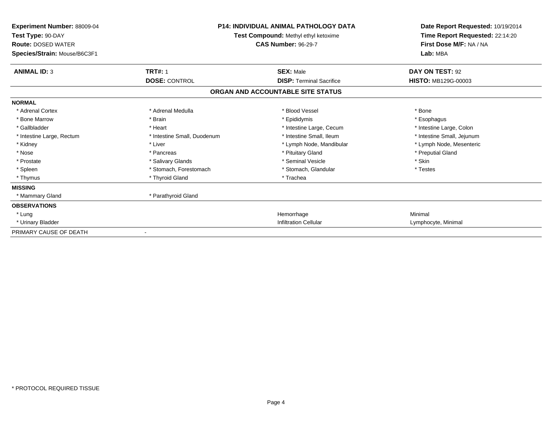| <b>Experiment Number: 88009-04</b><br>Test Type: 90-DAY<br><b>Route: DOSED WATER</b><br>Species/Strain: Mouse/B6C3F1 | <b>P14: INDIVIDUAL ANIMAL PATHOLOGY DATA</b><br>Test Compound: Methyl ethyl ketoxime<br><b>CAS Number: 96-29-7</b> |                                   | Date Report Requested: 10/19/2014<br>Time Report Requested: 22:14:20<br>First Dose M/F: NA / NA<br>Lab: MBA |
|----------------------------------------------------------------------------------------------------------------------|--------------------------------------------------------------------------------------------------------------------|-----------------------------------|-------------------------------------------------------------------------------------------------------------|
| <b>ANIMAL ID: 3</b>                                                                                                  | <b>TRT#: 1</b>                                                                                                     | <b>SEX: Male</b>                  | DAY ON TEST: 92                                                                                             |
|                                                                                                                      | <b>DOSE: CONTROL</b>                                                                                               | <b>DISP: Terminal Sacrifice</b>   | <b>HISTO: MB129G-00003</b>                                                                                  |
|                                                                                                                      |                                                                                                                    | ORGAN AND ACCOUNTABLE SITE STATUS |                                                                                                             |
| <b>NORMAL</b>                                                                                                        |                                                                                                                    |                                   |                                                                                                             |
| * Adrenal Cortex                                                                                                     | * Adrenal Medulla                                                                                                  | * Blood Vessel                    | * Bone                                                                                                      |
| * Bone Marrow                                                                                                        | * Brain                                                                                                            | * Epididymis                      | * Esophagus                                                                                                 |
| * Gallbladder                                                                                                        | * Heart                                                                                                            | * Intestine Large, Cecum          | * Intestine Large, Colon                                                                                    |
| * Intestine Large, Rectum                                                                                            | * Intestine Small, Duodenum                                                                                        | * Intestine Small, Ileum          | * Intestine Small, Jejunum                                                                                  |
| * Kidney                                                                                                             | * Liver                                                                                                            | * Lymph Node, Mandibular          | * Lymph Node, Mesenteric                                                                                    |
| * Nose                                                                                                               | * Pancreas                                                                                                         | * Pituitary Gland                 | * Preputial Gland                                                                                           |
| * Prostate                                                                                                           | * Salivary Glands                                                                                                  | * Seminal Vesicle                 | * Skin                                                                                                      |
| * Spleen                                                                                                             | * Stomach, Forestomach                                                                                             | * Stomach, Glandular              | * Testes                                                                                                    |
| * Thymus                                                                                                             | * Thyroid Gland                                                                                                    | * Trachea                         |                                                                                                             |
| <b>MISSING</b>                                                                                                       |                                                                                                                    |                                   |                                                                                                             |
| * Mammary Gland                                                                                                      | * Parathyroid Gland                                                                                                |                                   |                                                                                                             |
| <b>OBSERVATIONS</b>                                                                                                  |                                                                                                                    |                                   |                                                                                                             |
| * Lung                                                                                                               |                                                                                                                    | Hemorrhage                        | Minimal                                                                                                     |
| * Urinary Bladder                                                                                                    |                                                                                                                    | <b>Infiltration Cellular</b>      | Lymphocyte, Minimal                                                                                         |
| PRIMARY CAUSE OF DEATH                                                                                               |                                                                                                                    |                                   |                                                                                                             |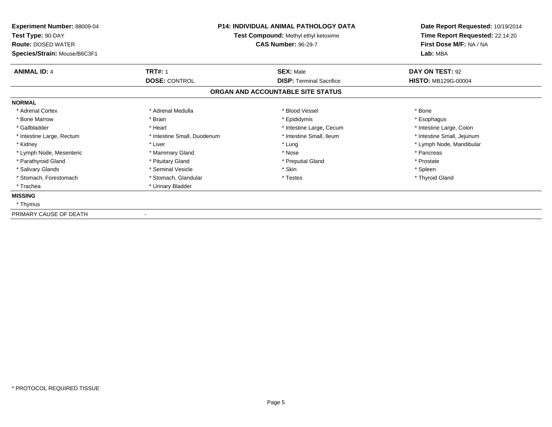| Experiment Number: 88009-04<br>Test Type: 90-DAY<br><b>Route: DOSED WATER</b><br><b>CAS Number: 96-29-7</b><br>Species/Strain: Mouse/B6C3F1 |                             | <b>P14: INDIVIDUAL ANIMAL PATHOLOGY DATA</b><br>Test Compound: Methyl ethyl ketoxime |                            |
|---------------------------------------------------------------------------------------------------------------------------------------------|-----------------------------|--------------------------------------------------------------------------------------|----------------------------|
| <b>ANIMAL ID: 4</b>                                                                                                                         | <b>TRT#: 1</b>              | <b>SEX: Male</b>                                                                     | DAY ON TEST: 92            |
|                                                                                                                                             | <b>DOSE: CONTROL</b>        | <b>DISP: Terminal Sacrifice</b>                                                      | <b>HISTO: MB129G-00004</b> |
|                                                                                                                                             |                             | ORGAN AND ACCOUNTABLE SITE STATUS                                                    |                            |
| <b>NORMAL</b>                                                                                                                               |                             |                                                                                      |                            |
| * Adrenal Cortex                                                                                                                            | * Adrenal Medulla           | * Blood Vessel                                                                       | * Bone                     |
| * Bone Marrow                                                                                                                               | * Brain                     | * Epididymis                                                                         | * Esophagus                |
| * Gallbladder                                                                                                                               | * Heart                     | * Intestine Large, Cecum                                                             | * Intestine Large, Colon   |
| * Intestine Large, Rectum                                                                                                                   | * Intestine Small, Duodenum | * Intestine Small, Ileum                                                             | * Intestine Small, Jejunum |
| * Kidney                                                                                                                                    | * Liver                     | * Lung                                                                               | * Lymph Node, Mandibular   |
| * Lymph Node, Mesenteric                                                                                                                    | * Mammary Gland             | * Nose                                                                               | * Pancreas                 |
| * Parathyroid Gland                                                                                                                         | * Pituitary Gland           | * Preputial Gland                                                                    | * Prostate                 |
| * Salivary Glands                                                                                                                           | * Seminal Vesicle           | * Skin                                                                               | * Spleen                   |
| * Stomach, Forestomach                                                                                                                      | * Stomach, Glandular        | * Testes                                                                             | * Thyroid Gland            |
| * Trachea                                                                                                                                   | * Urinary Bladder           |                                                                                      |                            |
| <b>MISSING</b>                                                                                                                              |                             |                                                                                      |                            |
| * Thymus                                                                                                                                    |                             |                                                                                      |                            |
| PRIMARY CAUSE OF DEATH                                                                                                                      |                             |                                                                                      |                            |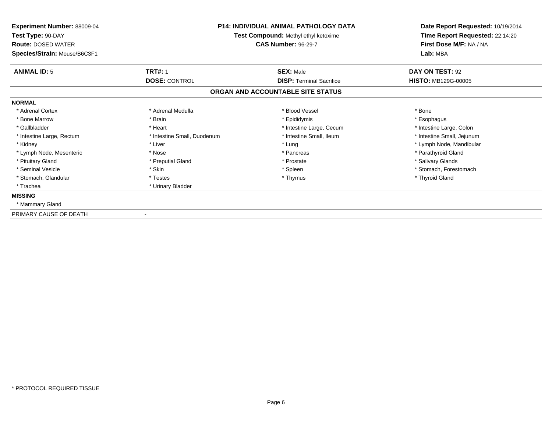| <b>Experiment Number: 88009-04</b><br>Test Type: 90-DAY<br><b>Route: DOSED WATER</b><br>Species/Strain: Mouse/B6C3F1 | <b>P14: INDIVIDUAL ANIMAL PATHOLOGY DATA</b><br>Test Compound: Methyl ethyl ketoxime<br><b>CAS Number: 96-29-7</b> |                                   | Date Report Requested: 10/19/2014<br>Time Report Requested: 22:14:20<br>First Dose M/F: NA / NA<br>Lab: MBA |
|----------------------------------------------------------------------------------------------------------------------|--------------------------------------------------------------------------------------------------------------------|-----------------------------------|-------------------------------------------------------------------------------------------------------------|
| <b>ANIMAL ID: 5</b>                                                                                                  | <b>TRT#: 1</b>                                                                                                     | <b>SEX: Male</b>                  | DAY ON TEST: 92                                                                                             |
|                                                                                                                      | <b>DOSE: CONTROL</b>                                                                                               | <b>DISP: Terminal Sacrifice</b>   | <b>HISTO: MB129G-00005</b>                                                                                  |
|                                                                                                                      |                                                                                                                    | ORGAN AND ACCOUNTABLE SITE STATUS |                                                                                                             |
| <b>NORMAL</b>                                                                                                        |                                                                                                                    |                                   |                                                                                                             |
| * Adrenal Cortex                                                                                                     | * Adrenal Medulla                                                                                                  | * Blood Vessel                    | * Bone                                                                                                      |
| * Bone Marrow                                                                                                        | * Brain                                                                                                            | * Epididymis                      | * Esophagus                                                                                                 |
| * Gallbladder                                                                                                        | * Heart                                                                                                            | * Intestine Large, Cecum          | * Intestine Large, Colon                                                                                    |
| * Intestine Large, Rectum                                                                                            | * Intestine Small, Duodenum                                                                                        | * Intestine Small, Ileum          | * Intestine Small, Jejunum                                                                                  |
| * Kidney                                                                                                             | * Liver                                                                                                            | * Lung                            | * Lymph Node, Mandibular                                                                                    |
| * Lymph Node, Mesenteric                                                                                             | * Nose                                                                                                             | * Pancreas                        | * Parathyroid Gland                                                                                         |
| * Pituitary Gland                                                                                                    | * Preputial Gland                                                                                                  | * Prostate                        | * Salivary Glands                                                                                           |
| * Seminal Vesicle                                                                                                    | * Skin                                                                                                             | * Spleen                          | * Stomach. Forestomach                                                                                      |
| * Stomach, Glandular                                                                                                 | * Testes                                                                                                           | * Thymus                          | * Thyroid Gland                                                                                             |
| * Trachea                                                                                                            | * Urinary Bladder                                                                                                  |                                   |                                                                                                             |
| <b>MISSING</b>                                                                                                       |                                                                                                                    |                                   |                                                                                                             |
| * Mammary Gland                                                                                                      |                                                                                                                    |                                   |                                                                                                             |
| PRIMARY CAUSE OF DEATH                                                                                               |                                                                                                                    |                                   |                                                                                                             |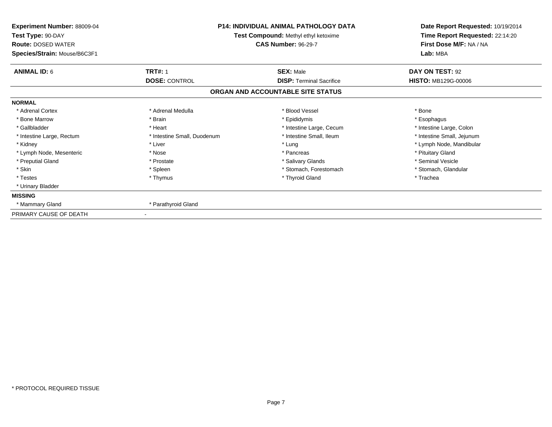| Experiment Number: 88009-04<br>Test Type: 90-DAY<br><b>Route: DOSED WATER</b><br>Species/Strain: Mouse/B6C3F1 | <b>P14: INDIVIDUAL ANIMAL PATHOLOGY DATA</b><br>Test Compound: Methyl ethyl ketoxime<br><b>CAS Number: 96-29-7</b> |                                                     | Lab: MBA                               |  | Date Report Requested: 10/19/2014<br>Time Report Requested: 22:14:20<br>First Dose M/F: NA / NA |
|---------------------------------------------------------------------------------------------------------------|--------------------------------------------------------------------------------------------------------------------|-----------------------------------------------------|----------------------------------------|--|-------------------------------------------------------------------------------------------------|
| <b>ANIMAL ID: 6</b>                                                                                           | <b>TRT#: 1</b><br><b>DOSE: CONTROL</b>                                                                             | <b>SEX: Male</b><br><b>DISP: Terminal Sacrifice</b> | DAY ON TEST: 92<br>HISTO: MB129G-00006 |  |                                                                                                 |
|                                                                                                               |                                                                                                                    | ORGAN AND ACCOUNTABLE SITE STATUS                   |                                        |  |                                                                                                 |
| <b>NORMAL</b>                                                                                                 |                                                                                                                    |                                                     |                                        |  |                                                                                                 |
| * Adrenal Cortex                                                                                              | * Adrenal Medulla                                                                                                  | * Blood Vessel                                      | * Bone                                 |  |                                                                                                 |
| * Bone Marrow                                                                                                 | * Brain                                                                                                            | * Epididymis                                        | * Esophagus                            |  |                                                                                                 |
| * Gallbladder                                                                                                 | * Heart                                                                                                            | * Intestine Large, Cecum                            | * Intestine Large, Colon               |  |                                                                                                 |
| * Intestine Large, Rectum                                                                                     | * Intestine Small, Duodenum                                                                                        | * Intestine Small, Ileum                            | * Intestine Small, Jejunum             |  |                                                                                                 |
| * Kidney                                                                                                      | * Liver                                                                                                            | * Lung                                              | * Lymph Node, Mandibular               |  |                                                                                                 |
| * Lymph Node, Mesenteric                                                                                      | * Nose                                                                                                             | * Pancreas                                          | * Pituitary Gland                      |  |                                                                                                 |
| * Preputial Gland                                                                                             | * Prostate                                                                                                         | * Salivary Glands                                   | * Seminal Vesicle                      |  |                                                                                                 |
| * Skin                                                                                                        | * Spleen                                                                                                           | * Stomach, Forestomach                              | * Stomach, Glandular                   |  |                                                                                                 |
| * Testes                                                                                                      | * Thymus                                                                                                           | * Thyroid Gland                                     | * Trachea                              |  |                                                                                                 |
| * Urinary Bladder                                                                                             |                                                                                                                    |                                                     |                                        |  |                                                                                                 |
| <b>MISSING</b>                                                                                                |                                                                                                                    |                                                     |                                        |  |                                                                                                 |
| * Mammary Gland                                                                                               | * Parathyroid Gland                                                                                                |                                                     |                                        |  |                                                                                                 |
| PRIMARY CAUSE OF DEATH                                                                                        |                                                                                                                    |                                                     |                                        |  |                                                                                                 |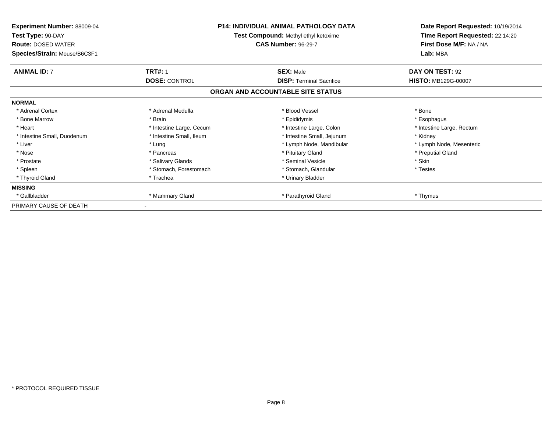| <b>Experiment Number: 88009-04</b><br>Test Type: 90-DAY<br><b>Route: DOSED WATER</b><br>Species/Strain: Mouse/B6C3F1 | <b>P14: INDIVIDUAL ANIMAL PATHOLOGY DATA</b><br><b>Test Compound: Methyl ethyl ketoxime</b><br><b>CAS Number: 96-29-7</b> |                                   | Date Report Requested: 10/19/2014<br>Time Report Requested: 22:14:20<br>First Dose M/F: NA / NA<br>Lab: MBA |
|----------------------------------------------------------------------------------------------------------------------|---------------------------------------------------------------------------------------------------------------------------|-----------------------------------|-------------------------------------------------------------------------------------------------------------|
| <b>ANIMAL ID: 7</b>                                                                                                  | <b>TRT#: 1</b>                                                                                                            | <b>SEX: Male</b>                  | DAY ON TEST: 92                                                                                             |
|                                                                                                                      | <b>DOSE: CONTROL</b>                                                                                                      | <b>DISP:</b> Terminal Sacrifice   | <b>HISTO: MB129G-00007</b>                                                                                  |
|                                                                                                                      |                                                                                                                           | ORGAN AND ACCOUNTABLE SITE STATUS |                                                                                                             |
| <b>NORMAL</b>                                                                                                        |                                                                                                                           |                                   |                                                                                                             |
| * Adrenal Cortex                                                                                                     | * Adrenal Medulla                                                                                                         | * Blood Vessel                    | * Bone                                                                                                      |
| * Bone Marrow                                                                                                        | * Brain                                                                                                                   | * Epididymis                      | * Esophagus                                                                                                 |
| * Heart                                                                                                              | * Intestine Large, Cecum                                                                                                  | * Intestine Large, Colon          | * Intestine Large, Rectum                                                                                   |
| * Intestine Small, Duodenum                                                                                          | * Intestine Small, Ileum                                                                                                  | * Intestine Small, Jejunum        | * Kidney                                                                                                    |
| * Liver                                                                                                              | * Lung                                                                                                                    | * Lymph Node, Mandibular          | * Lymph Node, Mesenteric                                                                                    |
| * Nose                                                                                                               | * Pancreas                                                                                                                | * Pituitary Gland                 | * Preputial Gland                                                                                           |
| * Prostate                                                                                                           | * Salivary Glands                                                                                                         | * Seminal Vesicle                 | * Skin                                                                                                      |
| * Spleen                                                                                                             | * Stomach, Forestomach                                                                                                    | * Stomach, Glandular              | * Testes                                                                                                    |
| * Thyroid Gland                                                                                                      | * Trachea                                                                                                                 | * Urinary Bladder                 |                                                                                                             |
| <b>MISSING</b>                                                                                                       |                                                                                                                           |                                   |                                                                                                             |
| * Gallbladder                                                                                                        | * Mammary Gland                                                                                                           | * Parathyroid Gland               | * Thymus                                                                                                    |
| PRIMARY CAUSE OF DEATH                                                                                               |                                                                                                                           |                                   |                                                                                                             |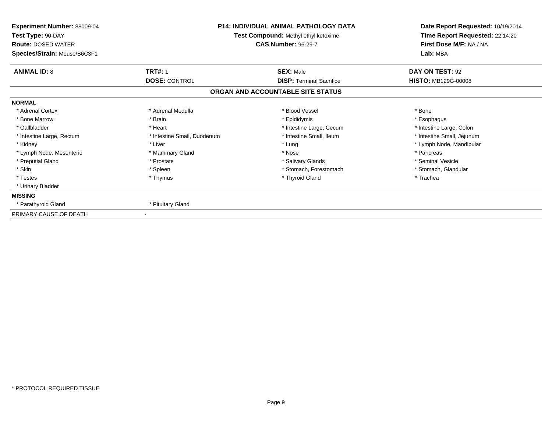| <b>P14: INDIVIDUAL ANIMAL PATHOLOGY DATA</b><br>Experiment Number: 88009-04<br>Test Type: 90-DAY<br>Test Compound: Methyl ethyl ketoxime<br><b>CAS Number: 96-29-7</b><br><b>Route: DOSED WATER</b><br>Species/Strain: Mouse/B6C3F1 |                                        | Date Report Requested: 10/19/2014<br>Time Report Requested: 22:14:20<br>First Dose M/F: NA / NA<br>Lab: MBA |                                        |
|-------------------------------------------------------------------------------------------------------------------------------------------------------------------------------------------------------------------------------------|----------------------------------------|-------------------------------------------------------------------------------------------------------------|----------------------------------------|
| <b>ANIMAL ID: 8</b>                                                                                                                                                                                                                 | <b>TRT#: 1</b><br><b>DOSE: CONTROL</b> | <b>SEX: Male</b><br><b>DISP: Terminal Sacrifice</b>                                                         | DAY ON TEST: 92<br>HISTO: MB129G-00008 |
|                                                                                                                                                                                                                                     |                                        | ORGAN AND ACCOUNTABLE SITE STATUS                                                                           |                                        |
| <b>NORMAL</b>                                                                                                                                                                                                                       |                                        |                                                                                                             |                                        |
| * Adrenal Cortex                                                                                                                                                                                                                    | * Adrenal Medulla                      | * Blood Vessel                                                                                              | * Bone                                 |
| * Bone Marrow                                                                                                                                                                                                                       | * Brain                                | * Epididymis                                                                                                | * Esophagus                            |
| * Gallbladder                                                                                                                                                                                                                       | * Heart                                | * Intestine Large, Cecum                                                                                    | * Intestine Large, Colon               |
| * Intestine Large, Rectum                                                                                                                                                                                                           | * Intestine Small, Duodenum            | * Intestine Small, Ileum                                                                                    | * Intestine Small, Jejunum             |
| * Kidney                                                                                                                                                                                                                            | * Liver                                | * Lung                                                                                                      | * Lymph Node, Mandibular               |
| * Lymph Node, Mesenteric                                                                                                                                                                                                            | * Mammary Gland                        | * Nose                                                                                                      | * Pancreas                             |
| * Preputial Gland                                                                                                                                                                                                                   | * Prostate                             | * Salivary Glands                                                                                           | * Seminal Vesicle                      |
| * Skin                                                                                                                                                                                                                              | * Spleen                               | * Stomach, Forestomach                                                                                      | * Stomach, Glandular                   |
| * Testes                                                                                                                                                                                                                            | * Thymus                               | * Thyroid Gland                                                                                             | * Trachea                              |
| * Urinary Bladder                                                                                                                                                                                                                   |                                        |                                                                                                             |                                        |
| <b>MISSING</b>                                                                                                                                                                                                                      |                                        |                                                                                                             |                                        |
| * Parathyroid Gland                                                                                                                                                                                                                 | * Pituitary Gland                      |                                                                                                             |                                        |
| PRIMARY CAUSE OF DEATH                                                                                                                                                                                                              |                                        |                                                                                                             |                                        |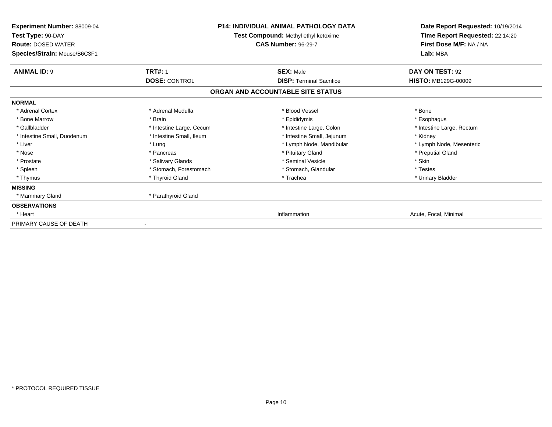| <b>Experiment Number: 88009-04</b><br>Test Type: 90-DAY<br><b>Route: DOSED WATER</b><br>Species/Strain: Mouse/B6C3F1 | <b>P14: INDIVIDUAL ANIMAL PATHOLOGY DATA</b><br>Test Compound: Methyl ethyl ketoxime<br><b>CAS Number: 96-29-7</b> |                                   | Date Report Requested: 10/19/2014<br>Time Report Requested: 22:14:20<br>First Dose M/F: NA / NA<br>Lab: MBA |
|----------------------------------------------------------------------------------------------------------------------|--------------------------------------------------------------------------------------------------------------------|-----------------------------------|-------------------------------------------------------------------------------------------------------------|
| <b>ANIMAL ID: 9</b>                                                                                                  | <b>TRT#: 1</b>                                                                                                     | <b>SEX: Male</b>                  | DAY ON TEST: 92                                                                                             |
|                                                                                                                      | <b>DOSE: CONTROL</b>                                                                                               | <b>DISP: Terminal Sacrifice</b>   | <b>HISTO: MB129G-00009</b>                                                                                  |
|                                                                                                                      |                                                                                                                    | ORGAN AND ACCOUNTABLE SITE STATUS |                                                                                                             |
| <b>NORMAL</b>                                                                                                        |                                                                                                                    |                                   |                                                                                                             |
| * Adrenal Cortex                                                                                                     | * Adrenal Medulla                                                                                                  | * Blood Vessel                    | * Bone                                                                                                      |
| * Bone Marrow                                                                                                        | * Brain                                                                                                            | * Epididymis                      | * Esophagus                                                                                                 |
| * Gallbladder                                                                                                        | * Intestine Large, Cecum                                                                                           | * Intestine Large, Colon          | * Intestine Large, Rectum                                                                                   |
| * Intestine Small, Duodenum                                                                                          | * Intestine Small, Ileum                                                                                           | * Intestine Small, Jejunum        | * Kidney                                                                                                    |
| * Liver                                                                                                              | * Lung                                                                                                             | * Lymph Node, Mandibular          | * Lymph Node, Mesenteric                                                                                    |
| * Nose                                                                                                               | * Pancreas                                                                                                         | * Pituitary Gland                 | * Preputial Gland                                                                                           |
| * Prostate                                                                                                           | * Salivary Glands                                                                                                  | * Seminal Vesicle                 | * Skin                                                                                                      |
| * Spleen                                                                                                             | * Stomach, Forestomach                                                                                             | * Stomach, Glandular              | * Testes                                                                                                    |
| * Thymus                                                                                                             | * Thyroid Gland                                                                                                    | * Trachea                         | * Urinary Bladder                                                                                           |
| <b>MISSING</b>                                                                                                       |                                                                                                                    |                                   |                                                                                                             |
| * Mammary Gland                                                                                                      | * Parathyroid Gland                                                                                                |                                   |                                                                                                             |
| <b>OBSERVATIONS</b>                                                                                                  |                                                                                                                    |                                   |                                                                                                             |
| * Heart                                                                                                              |                                                                                                                    | Inflammation                      | Acute, Focal, Minimal                                                                                       |
| PRIMARY CAUSE OF DEATH                                                                                               |                                                                                                                    |                                   |                                                                                                             |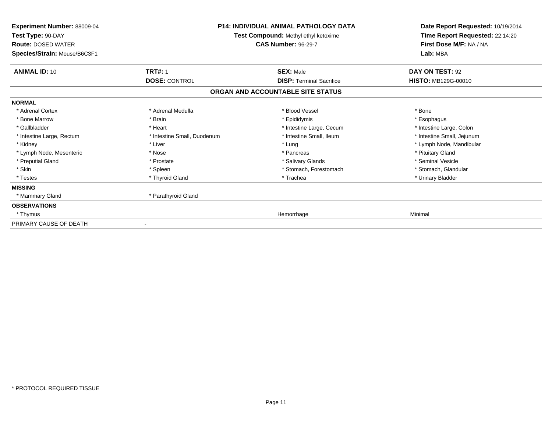| Experiment Number: 88009-04<br>Test Type: 90-DAY<br><b>Route: DOSED WATER</b><br>Species/Strain: Mouse/B6C3F1 |                             | <b>P14: INDIVIDUAL ANIMAL PATHOLOGY DATA</b><br>Test Compound: Methyl ethyl ketoxime<br><b>CAS Number: 96-29-7</b> | Date Report Requested: 10/19/2014<br>Time Report Requested: 22:14:20<br>First Dose M/F: NA / NA<br>Lab: MBA |
|---------------------------------------------------------------------------------------------------------------|-----------------------------|--------------------------------------------------------------------------------------------------------------------|-------------------------------------------------------------------------------------------------------------|
| <b>ANIMAL ID: 10</b>                                                                                          | <b>TRT#: 1</b>              | <b>SEX: Male</b>                                                                                                   | DAY ON TEST: 92                                                                                             |
|                                                                                                               | <b>DOSE: CONTROL</b>        | <b>DISP: Terminal Sacrifice</b>                                                                                    | <b>HISTO: MB129G-00010</b>                                                                                  |
|                                                                                                               |                             | ORGAN AND ACCOUNTABLE SITE STATUS                                                                                  |                                                                                                             |
| <b>NORMAL</b>                                                                                                 |                             |                                                                                                                    |                                                                                                             |
| * Adrenal Cortex                                                                                              | * Adrenal Medulla           | * Blood Vessel                                                                                                     | * Bone                                                                                                      |
| * Bone Marrow                                                                                                 | * Brain                     | * Epididymis                                                                                                       | * Esophagus                                                                                                 |
| * Gallbladder                                                                                                 | * Heart                     | * Intestine Large, Cecum                                                                                           | * Intestine Large, Colon                                                                                    |
| * Intestine Large, Rectum                                                                                     | * Intestine Small, Duodenum | * Intestine Small, Ileum                                                                                           | * Intestine Small, Jejunum                                                                                  |
| * Kidney                                                                                                      | * Liver                     | * Lung                                                                                                             | * Lymph Node, Mandibular                                                                                    |
| * Lymph Node, Mesenteric                                                                                      | * Nose                      | * Pancreas                                                                                                         | * Pituitary Gland                                                                                           |
| * Preputial Gland                                                                                             | * Prostate                  | * Salivary Glands                                                                                                  | * Seminal Vesicle                                                                                           |
| * Skin                                                                                                        | * Spleen                    | * Stomach, Forestomach                                                                                             | * Stomach, Glandular                                                                                        |
| * Testes                                                                                                      | * Thyroid Gland             | * Trachea                                                                                                          | * Urinary Bladder                                                                                           |
| <b>MISSING</b>                                                                                                |                             |                                                                                                                    |                                                                                                             |
| * Mammary Gland                                                                                               | * Parathyroid Gland         |                                                                                                                    |                                                                                                             |
| <b>OBSERVATIONS</b>                                                                                           |                             |                                                                                                                    |                                                                                                             |
| * Thymus                                                                                                      |                             | Hemorrhage                                                                                                         | Minimal                                                                                                     |
| PRIMARY CAUSE OF DEATH                                                                                        |                             |                                                                                                                    |                                                                                                             |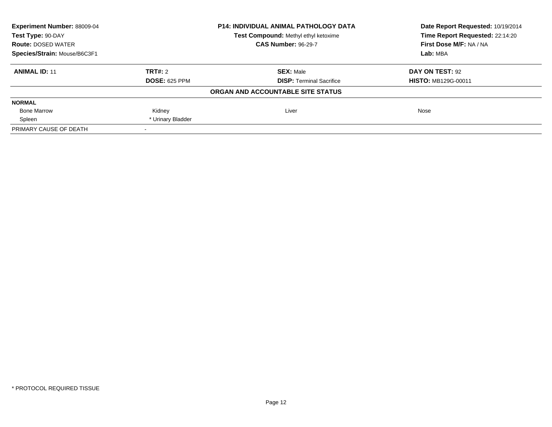| Experiment Number: 88009-04                               | <b>P14: INDIVIDUAL ANIMAL PATHOLOGY DATA</b> |                                   | Date Report Requested: 10/19/2014 |  |
|-----------------------------------------------------------|----------------------------------------------|-----------------------------------|-----------------------------------|--|
| Test Compound: Methyl ethyl ketoxime<br>Test Type: 90-DAY |                                              | Time Report Requested: 22:14:20   |                                   |  |
| <b>Route: DOSED WATER</b>                                 |                                              | <b>CAS Number: 96-29-7</b>        | First Dose M/F: NA / NA           |  |
| Species/Strain: Mouse/B6C3F1                              |                                              |                                   | Lab: MBA                          |  |
| <b>ANIMAL ID: 11</b>                                      | TRT#: 2                                      | <b>SEX: Male</b>                  | DAY ON TEST: 92                   |  |
|                                                           | <b>DOSE: 625 PPM</b>                         | <b>DISP:</b> Terminal Sacrifice   | <b>HISTO: MB129G-00011</b>        |  |
|                                                           |                                              | ORGAN AND ACCOUNTABLE SITE STATUS |                                   |  |
| <b>NORMAL</b>                                             |                                              |                                   |                                   |  |
| <b>Bone Marrow</b>                                        | Kidney                                       | Liver                             | Nose                              |  |
| Spleen                                                    | * Urinary Bladder                            |                                   |                                   |  |
| PRIMARY CAUSE OF DEATH                                    |                                              |                                   |                                   |  |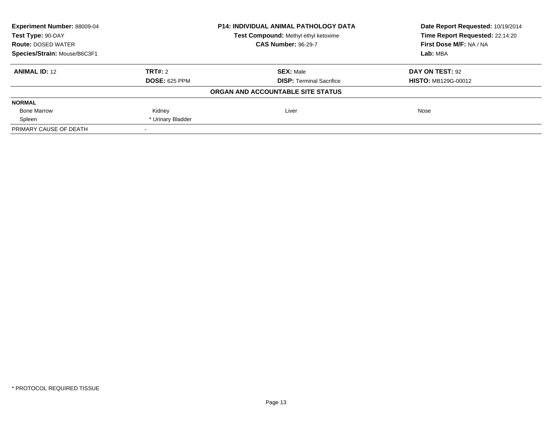| Experiment Number: 88009-04<br><b>P14: INDIVIDUAL ANIMAL PATHOLOGY DATA</b><br>Test Compound: Methyl ethyl ketoxime<br>Test Type: 90-DAY |                      |                                   | Date Report Requested: 10/19/2014 |
|------------------------------------------------------------------------------------------------------------------------------------------|----------------------|-----------------------------------|-----------------------------------|
|                                                                                                                                          |                      | Time Report Requested: 22:14:20   |                                   |
| <b>Route: DOSED WATER</b>                                                                                                                |                      | <b>CAS Number: 96-29-7</b>        | First Dose M/F: NA / NA           |
| Species/Strain: Mouse/B6C3F1                                                                                                             |                      |                                   | Lab: MBA                          |
| <b>ANIMAL ID: 12</b>                                                                                                                     | TRT#: 2              | <b>SEX: Male</b>                  | DAY ON TEST: 92                   |
|                                                                                                                                          | <b>DOSE: 625 PPM</b> | <b>DISP:</b> Terminal Sacrifice   | <b>HISTO: MB129G-00012</b>        |
|                                                                                                                                          |                      | ORGAN AND ACCOUNTABLE SITE STATUS |                                   |
| <b>NORMAL</b>                                                                                                                            |                      |                                   |                                   |
| <b>Bone Marrow</b>                                                                                                                       | Kidney               | Liver                             | Nose                              |
| Spleen                                                                                                                                   | * Urinary Bladder    |                                   |                                   |
| PRIMARY CAUSE OF DEATH                                                                                                                   |                      |                                   |                                   |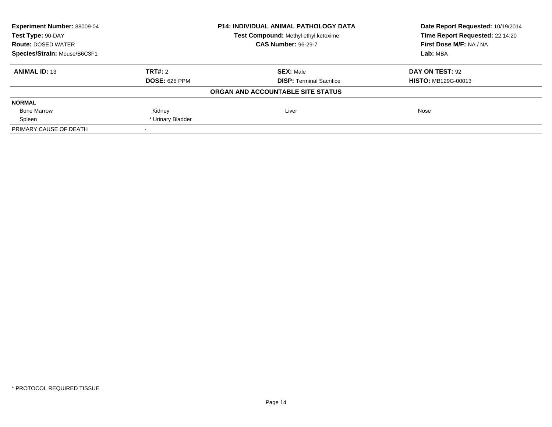| Experiment Number: 88009-04<br><b>P14: INDIVIDUAL ANIMAL PATHOLOGY DATA</b><br>Test Compound: Methyl ethyl ketoxime<br>Test Type: 90-DAY |                      |                                   | Date Report Requested: 10/19/2014 |
|------------------------------------------------------------------------------------------------------------------------------------------|----------------------|-----------------------------------|-----------------------------------|
|                                                                                                                                          |                      | Time Report Requested: 22:14:20   |                                   |
| <b>Route: DOSED WATER</b>                                                                                                                |                      | <b>CAS Number: 96-29-7</b>        | First Dose M/F: NA / NA           |
| Species/Strain: Mouse/B6C3F1                                                                                                             |                      |                                   | Lab: MBA                          |
| <b>ANIMAL ID: 13</b>                                                                                                                     | TRT#: 2              | <b>SEX: Male</b>                  | DAY ON TEST: 92                   |
|                                                                                                                                          | <b>DOSE: 625 PPM</b> | <b>DISP:</b> Terminal Sacrifice   | <b>HISTO: MB129G-00013</b>        |
|                                                                                                                                          |                      | ORGAN AND ACCOUNTABLE SITE STATUS |                                   |
| <b>NORMAL</b>                                                                                                                            |                      |                                   |                                   |
| <b>Bone Marrow</b>                                                                                                                       | Kidney               | Liver                             | Nose                              |
| Spleen                                                                                                                                   | * Urinary Bladder    |                                   |                                   |
| PRIMARY CAUSE OF DEATH                                                                                                                   |                      |                                   |                                   |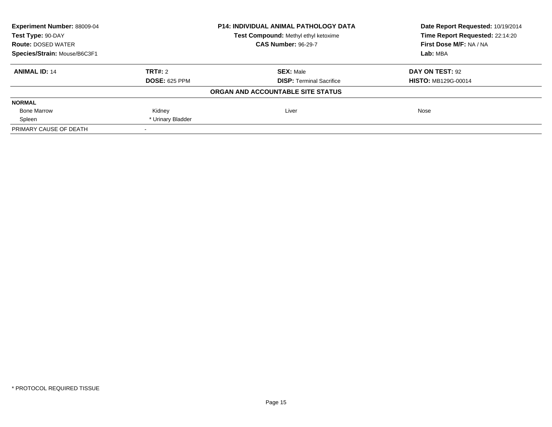| Experiment Number: 88009-04<br><b>P14: INDIVIDUAL ANIMAL PATHOLOGY DATA</b><br>Test Compound: Methyl ethyl ketoxime<br>Test Type: 90-DAY |                      |                                   | Date Report Requested: 10/19/2014 |
|------------------------------------------------------------------------------------------------------------------------------------------|----------------------|-----------------------------------|-----------------------------------|
|                                                                                                                                          |                      | Time Report Requested: 22:14:20   |                                   |
| <b>Route: DOSED WATER</b>                                                                                                                |                      | <b>CAS Number: 96-29-7</b>        | First Dose M/F: NA / NA           |
| Species/Strain: Mouse/B6C3F1                                                                                                             |                      |                                   | Lab: MBA                          |
| <b>ANIMAL ID: 14</b>                                                                                                                     | TRT#: 2              | <b>SEX: Male</b>                  | DAY ON TEST: 92                   |
|                                                                                                                                          | <b>DOSE: 625 PPM</b> | <b>DISP:</b> Terminal Sacrifice   | <b>HISTO: MB129G-00014</b>        |
|                                                                                                                                          |                      | ORGAN AND ACCOUNTABLE SITE STATUS |                                   |
| <b>NORMAL</b>                                                                                                                            |                      |                                   |                                   |
| <b>Bone Marrow</b>                                                                                                                       | Kidney               | Liver                             | Nose                              |
| Spleen                                                                                                                                   | * Urinary Bladder    |                                   |                                   |
| PRIMARY CAUSE OF DEATH                                                                                                                   |                      |                                   |                                   |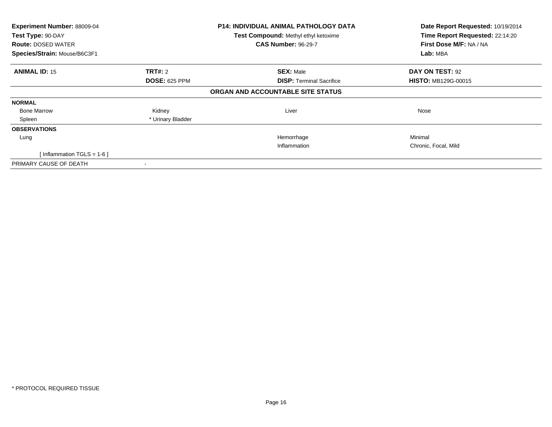| Experiment Number: 88009-04<br>Test Type: 90-DAY<br><b>Route: DOSED WATER</b><br>Species/Strain: Mouse/B6C3F1 |                      | <b>P14: INDIVIDUAL ANIMAL PATHOLOGY DATA</b><br>Test Compound: Methyl ethyl ketoxime<br><b>CAS Number: 96-29-7</b> | Date Report Requested: 10/19/2014<br>Time Report Requested: 22:14:20<br>First Dose M/F: NA / NA<br>Lab: MBA |
|---------------------------------------------------------------------------------------------------------------|----------------------|--------------------------------------------------------------------------------------------------------------------|-------------------------------------------------------------------------------------------------------------|
| <b>ANIMAL ID: 15</b>                                                                                          | TRT#: 2              | <b>SEX: Male</b>                                                                                                   | DAY ON TEST: 92                                                                                             |
|                                                                                                               | <b>DOSE: 625 PPM</b> | <b>DISP:</b> Terminal Sacrifice                                                                                    | <b>HISTO: MB129G-00015</b>                                                                                  |
|                                                                                                               |                      | ORGAN AND ACCOUNTABLE SITE STATUS                                                                                  |                                                                                                             |
| <b>NORMAL</b>                                                                                                 |                      |                                                                                                                    |                                                                                                             |
| <b>Bone Marrow</b>                                                                                            | Kidney               | Liver                                                                                                              | Nose                                                                                                        |
| Spleen                                                                                                        | * Urinary Bladder    |                                                                                                                    |                                                                                                             |
| <b>OBSERVATIONS</b>                                                                                           |                      |                                                                                                                    |                                                                                                             |
| Lung                                                                                                          |                      | Hemorrhage                                                                                                         | Minimal                                                                                                     |
|                                                                                                               |                      | Inflammation                                                                                                       | Chronic, Focal, Mild                                                                                        |
| [Inflammation TGLS = $1-6$ ]                                                                                  |                      |                                                                                                                    |                                                                                                             |
| PRIMARY CAUSE OF DEATH                                                                                        |                      |                                                                                                                    |                                                                                                             |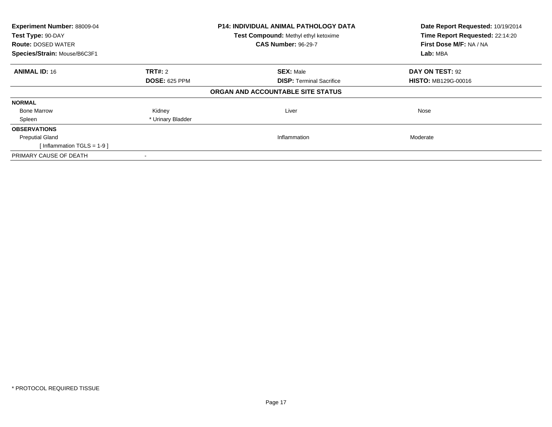| Experiment Number: 88009-04<br>Test Type: 90-DAY |                      | <b>P14: INDIVIDUAL ANIMAL PATHOLOGY DATA</b> | Date Report Requested: 10/19/2014<br>Time Report Requested: 22:14:20 |
|--------------------------------------------------|----------------------|----------------------------------------------|----------------------------------------------------------------------|
|                                                  |                      | Test Compound: Methyl ethyl ketoxime         |                                                                      |
| <b>Route: DOSED WATER</b>                        |                      | <b>CAS Number: 96-29-7</b>                   | First Dose M/F: NA / NA                                              |
| Species/Strain: Mouse/B6C3F1                     |                      |                                              | Lab: MBA                                                             |
| <b>ANIMAL ID: 16</b>                             | <b>TRT#: 2</b>       | <b>SEX: Male</b>                             | DAY ON TEST: 92                                                      |
|                                                  | <b>DOSE: 625 PPM</b> | <b>DISP:</b> Terminal Sacrifice              | <b>HISTO: MB129G-00016</b>                                           |
|                                                  |                      | ORGAN AND ACCOUNTABLE SITE STATUS            |                                                                      |
| <b>NORMAL</b>                                    |                      |                                              |                                                                      |
| <b>Bone Marrow</b>                               | Kidney               | Liver                                        | Nose                                                                 |
| Spleen                                           | * Urinary Bladder    |                                              |                                                                      |
| <b>OBSERVATIONS</b>                              |                      |                                              |                                                                      |
| <b>Preputial Gland</b>                           |                      | Inflammation                                 | Moderate                                                             |
| [Inflammation TGLS = $1-9$ ]                     |                      |                                              |                                                                      |
| PRIMARY CAUSE OF DEATH                           |                      |                                              |                                                                      |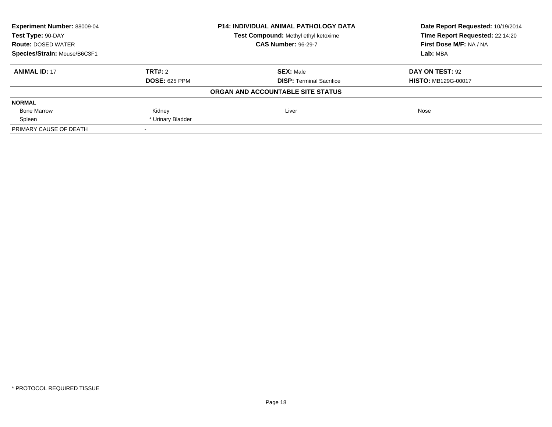| Experiment Number: 88009-04<br><b>P14: INDIVIDUAL ANIMAL PATHOLOGY DATA</b><br>Test Compound: Methyl ethyl ketoxime<br>Test Type: 90-DAY |                      |                                   | Date Report Requested: 10/19/2014 |
|------------------------------------------------------------------------------------------------------------------------------------------|----------------------|-----------------------------------|-----------------------------------|
|                                                                                                                                          |                      | Time Report Requested: 22:14:20   |                                   |
| <b>Route: DOSED WATER</b>                                                                                                                |                      | <b>CAS Number: 96-29-7</b>        | First Dose M/F: NA / NA           |
| Species/Strain: Mouse/B6C3F1                                                                                                             |                      |                                   | Lab: MBA                          |
| <b>ANIMAL ID: 17</b>                                                                                                                     | TRT#: 2              | <b>SEX: Male</b>                  | DAY ON TEST: 92                   |
|                                                                                                                                          | <b>DOSE: 625 PPM</b> | <b>DISP:</b> Terminal Sacrifice   | <b>HISTO: MB129G-00017</b>        |
|                                                                                                                                          |                      | ORGAN AND ACCOUNTABLE SITE STATUS |                                   |
| <b>NORMAL</b>                                                                                                                            |                      |                                   |                                   |
| <b>Bone Marrow</b>                                                                                                                       | Kidney               | Liver                             | Nose                              |
| Spleen                                                                                                                                   | * Urinary Bladder    |                                   |                                   |
| PRIMARY CAUSE OF DEATH                                                                                                                   |                      |                                   |                                   |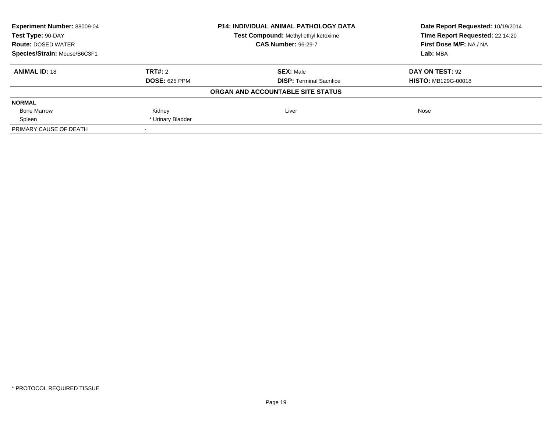| Experiment Number: 88009-04<br>P14: INDIVIDUAL ANIMAL PATHOLOGY DATA<br>Test Type: 90-DAY<br>Test Compound: Methyl ethyl ketoxime |                      |                                   | Date Report Requested: 10/19/2014 |
|-----------------------------------------------------------------------------------------------------------------------------------|----------------------|-----------------------------------|-----------------------------------|
|                                                                                                                                   |                      | Time Report Requested: 22:14:20   |                                   |
| <b>Route: DOSED WATER</b>                                                                                                         |                      | <b>CAS Number: 96-29-7</b>        | First Dose M/F: NA / NA           |
| Species/Strain: Mouse/B6C3F1                                                                                                      |                      |                                   | Lab: MBA                          |
| <b>ANIMAL ID: 18</b>                                                                                                              | TRT#: 2              | <b>SEX: Male</b>                  | DAY ON TEST: 92                   |
|                                                                                                                                   | <b>DOSE: 625 PPM</b> | <b>DISP:</b> Terminal Sacrifice   | <b>HISTO: MB129G-00018</b>        |
|                                                                                                                                   |                      | ORGAN AND ACCOUNTABLE SITE STATUS |                                   |
| <b>NORMAL</b>                                                                                                                     |                      |                                   |                                   |
| <b>Bone Marrow</b>                                                                                                                | Kidney               | Liver                             | Nose                              |
| Spleen                                                                                                                            | * Urinary Bladder    |                                   |                                   |
| PRIMARY CAUSE OF DEATH                                                                                                            |                      |                                   |                                   |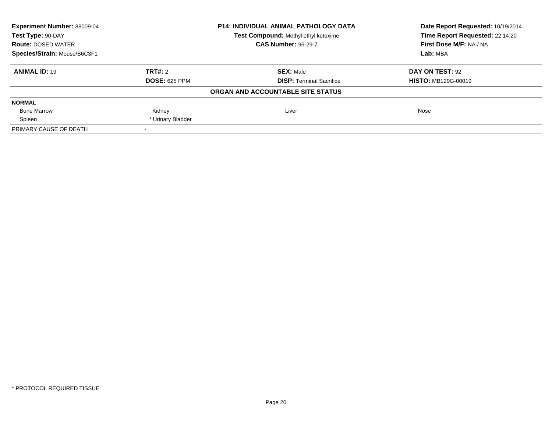| Experiment Number: 88009-04<br><b>P14: INDIVIDUAL ANIMAL PATHOLOGY DATA</b><br>Test Type: 90-DAY<br>Test Compound: Methyl ethyl ketoxime |                      |                                   | Date Report Requested: 10/19/2014 |
|------------------------------------------------------------------------------------------------------------------------------------------|----------------------|-----------------------------------|-----------------------------------|
|                                                                                                                                          |                      |                                   | Time Report Requested: 22:14:20   |
| <b>Route: DOSED WATER</b>                                                                                                                |                      | <b>CAS Number: 96-29-7</b>        | First Dose M/F: NA / NA           |
| Species/Strain: Mouse/B6C3F1                                                                                                             |                      |                                   | Lab: MBA                          |
| <b>ANIMAL ID: 19</b>                                                                                                                     | TRT#: 2              | <b>SEX: Male</b>                  | DAY ON TEST: 92                   |
|                                                                                                                                          | <b>DOSE: 625 PPM</b> | <b>DISP: Terminal Sacrifice</b>   | <b>HISTO: MB129G-00019</b>        |
|                                                                                                                                          |                      | ORGAN AND ACCOUNTABLE SITE STATUS |                                   |
| <b>NORMAL</b>                                                                                                                            |                      |                                   |                                   |
| <b>Bone Marrow</b>                                                                                                                       | Kidney               | Liver                             | Nose                              |
| Spleen                                                                                                                                   | * Urinary Bladder    |                                   |                                   |
| PRIMARY CAUSE OF DEATH                                                                                                                   |                      |                                   |                                   |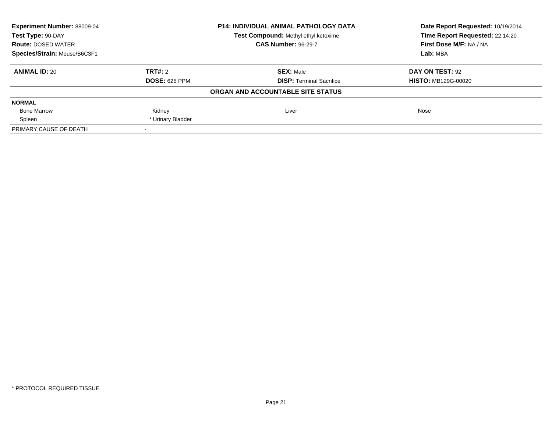| Experiment Number: 88009-04<br><b>P14: INDIVIDUAL ANIMAL PATHOLOGY DATA</b><br>Test Compound: Methyl ethyl ketoxime<br>Test Type: 90-DAY |                      |                                   | Date Report Requested: 10/19/2014 |
|------------------------------------------------------------------------------------------------------------------------------------------|----------------------|-----------------------------------|-----------------------------------|
|                                                                                                                                          |                      | Time Report Requested: 22:14:20   |                                   |
| <b>Route: DOSED WATER</b>                                                                                                                |                      | <b>CAS Number: 96-29-7</b>        | First Dose M/F: NA / NA           |
| Species/Strain: Mouse/B6C3F1                                                                                                             |                      |                                   | Lab: MBA                          |
| <b>ANIMAL ID: 20</b>                                                                                                                     | TRT#: 2              | <b>SEX: Male</b>                  | DAY ON TEST: 92                   |
|                                                                                                                                          | <b>DOSE: 625 PPM</b> | <b>DISP:</b> Terminal Sacrifice   | <b>HISTO: MB129G-00020</b>        |
|                                                                                                                                          |                      | ORGAN AND ACCOUNTABLE SITE STATUS |                                   |
| <b>NORMAL</b>                                                                                                                            |                      |                                   |                                   |
| <b>Bone Marrow</b>                                                                                                                       | Kidney               | Liver                             | Nose                              |
| Spleen                                                                                                                                   | * Urinary Bladder    |                                   |                                   |
| PRIMARY CAUSE OF DEATH                                                                                                                   |                      |                                   |                                   |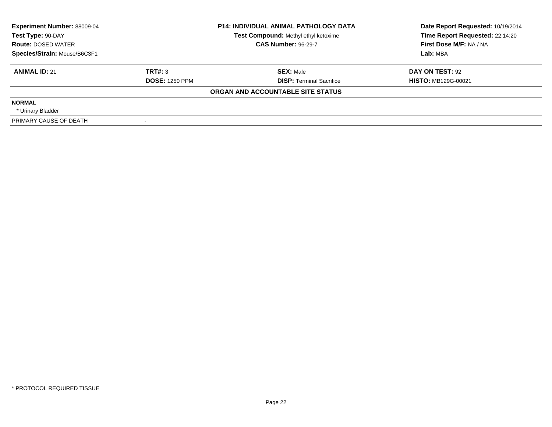| <b>Experiment Number: 88009-04</b><br>Test Type: 90-DAY<br><b>Route: DOSED WATER</b> | <b>P14: INDIVIDUAL ANIMAL PATHOLOGY DATA</b><br>Test Compound: Methyl ethyl ketoxime<br><b>CAS Number: 96-29-7</b> |                                   | Date Report Requested: 10/19/2014<br>Time Report Requested: 22:14:20<br>First Dose M/F: NA / NA |
|--------------------------------------------------------------------------------------|--------------------------------------------------------------------------------------------------------------------|-----------------------------------|-------------------------------------------------------------------------------------------------|
| Species/Strain: Mouse/B6C3F1                                                         |                                                                                                                    |                                   | Lab: MBA                                                                                        |
| <b>ANIMAL ID: 21</b>                                                                 | TRT#: 3                                                                                                            | <b>SEX: Male</b>                  | DAY ON TEST: 92                                                                                 |
|                                                                                      | <b>DOSE: 1250 PPM</b>                                                                                              | <b>DISP:</b> Terminal Sacrifice   | <b>HISTO: MB129G-00021</b>                                                                      |
|                                                                                      |                                                                                                                    | ORGAN AND ACCOUNTABLE SITE STATUS |                                                                                                 |
| <b>NORMAL</b>                                                                        |                                                                                                                    |                                   |                                                                                                 |
| * Urinary Bladder                                                                    |                                                                                                                    |                                   |                                                                                                 |
| PRIMARY CAUSE OF DEATH                                                               |                                                                                                                    |                                   |                                                                                                 |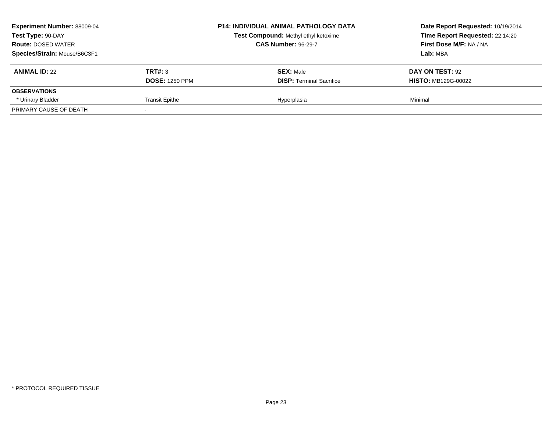| <b>Experiment Number: 88009-04</b><br>Test Type: 90-DAY<br><b>Route: DOSED WATER</b><br>Species/Strain: Mouse/B6C3F1 |                                  | <b>P14: INDIVIDUAL ANIMAL PATHOLOGY DATA</b><br>Test Compound: Methyl ethyl ketoxime<br><b>CAS Number: 96-29-7</b> | Date Report Requested: 10/19/2014<br>Time Report Requested: 22:14:20<br>First Dose M/F: NA / NA<br>Lab: MBA |
|----------------------------------------------------------------------------------------------------------------------|----------------------------------|--------------------------------------------------------------------------------------------------------------------|-------------------------------------------------------------------------------------------------------------|
| <b>ANIMAL ID: 22</b>                                                                                                 | TRT#: 3<br><b>DOSE: 1250 PPM</b> | <b>SEX: Male</b><br><b>DISP: Terminal Sacrifice</b>                                                                | DAY ON TEST: 92<br><b>HISTO: MB129G-00022</b>                                                               |
| <b>OBSERVATIONS</b>                                                                                                  |                                  |                                                                                                                    |                                                                                                             |
| * Urinary Bladder                                                                                                    | <b>Transit Epithe</b>            | Hyperplasia                                                                                                        | Minimal                                                                                                     |
| PRIMARY CAUSE OF DEATH                                                                                               |                                  |                                                                                                                    |                                                                                                             |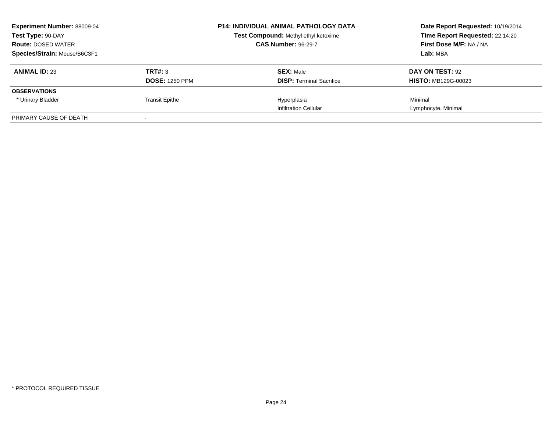| <b>Experiment Number: 88009-04</b><br>Test Type: 90-DAY<br><b>Route: DOSED WATER</b> |                       | <b>P14: INDIVIDUAL ANIMAL PATHOLOGY DATA</b><br>Test Compound: Methyl ethyl ketoxime<br><b>CAS Number: 96-29-7</b> | Date Report Requested: 10/19/2014<br>Time Report Requested: 22:14:20<br>First Dose M/F: NA / NA |
|--------------------------------------------------------------------------------------|-----------------------|--------------------------------------------------------------------------------------------------------------------|-------------------------------------------------------------------------------------------------|
| Species/Strain: Mouse/B6C3F1                                                         |                       |                                                                                                                    | Lab: MBA                                                                                        |
| <b>ANIMAL ID: 23</b>                                                                 | TRT#: 3               | <b>SEX: Male</b>                                                                                                   | DAY ON TEST: 92                                                                                 |
|                                                                                      | <b>DOSE: 1250 PPM</b> | <b>DISP:</b> Terminal Sacrifice                                                                                    | <b>HISTO: MB129G-00023</b>                                                                      |
| <b>OBSERVATIONS</b>                                                                  |                       |                                                                                                                    |                                                                                                 |
| * Urinary Bladder                                                                    | <b>Transit Epithe</b> | Hyperplasia                                                                                                        | Minimal                                                                                         |
|                                                                                      |                       | <b>Infiltration Cellular</b>                                                                                       | Lymphocyte, Minimal                                                                             |
| PRIMARY CAUSE OF DEATH                                                               |                       |                                                                                                                    |                                                                                                 |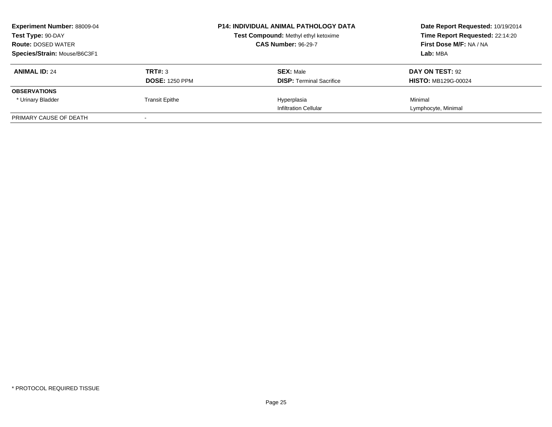| <b>Experiment Number: 88009-04</b><br>Test Type: 90-DAY<br><b>Route: DOSED WATER</b> |                       | <b>P14: INDIVIDUAL ANIMAL PATHOLOGY DATA</b><br>Test Compound: Methyl ethyl ketoxime<br><b>CAS Number: 96-29-7</b> | Date Report Requested: 10/19/2014<br>Time Report Requested: 22:14:20<br>First Dose M/F: NA / NA |
|--------------------------------------------------------------------------------------|-----------------------|--------------------------------------------------------------------------------------------------------------------|-------------------------------------------------------------------------------------------------|
| Species/Strain: Mouse/B6C3F1                                                         |                       |                                                                                                                    | Lab: MBA                                                                                        |
| <b>ANIMAL ID: 24</b>                                                                 | TRT#: 3               | <b>SEX: Male</b>                                                                                                   | DAY ON TEST: 92                                                                                 |
|                                                                                      | <b>DOSE: 1250 PPM</b> | <b>DISP:</b> Terminal Sacrifice                                                                                    | <b>HISTO: MB129G-00024</b>                                                                      |
| <b>OBSERVATIONS</b>                                                                  |                       |                                                                                                                    |                                                                                                 |
| * Urinary Bladder                                                                    | <b>Transit Epithe</b> | Hyperplasia                                                                                                        | Minimal                                                                                         |
|                                                                                      |                       | <b>Infiltration Cellular</b>                                                                                       | Lymphocyte, Minimal                                                                             |
| PRIMARY CAUSE OF DEATH                                                               |                       |                                                                                                                    |                                                                                                 |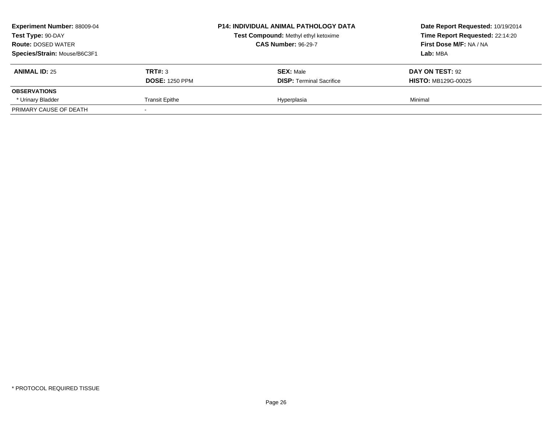| <b>Experiment Number: 88009-04</b><br>Test Type: 90-DAY<br><b>Route: DOSED WATER</b><br>Species/Strain: Mouse/B6C3F1 |                                  | <b>P14: INDIVIDUAL ANIMAL PATHOLOGY DATA</b><br>Test Compound: Methyl ethyl ketoxime<br><b>CAS Number: 96-29-7</b> | Date Report Requested: 10/19/2014<br>Time Report Requested: 22:14:20<br>First Dose M/F: NA / NA<br>Lab: MBA |
|----------------------------------------------------------------------------------------------------------------------|----------------------------------|--------------------------------------------------------------------------------------------------------------------|-------------------------------------------------------------------------------------------------------------|
| <b>ANIMAL ID: 25</b>                                                                                                 | TRT#: 3<br><b>DOSE: 1250 PPM</b> | <b>SEX: Male</b><br><b>DISP: Terminal Sacrifice</b>                                                                | DAY ON TEST: 92<br><b>HISTO: MB129G-00025</b>                                                               |
| <b>OBSERVATIONS</b>                                                                                                  |                                  |                                                                                                                    |                                                                                                             |
| * Urinary Bladder                                                                                                    | <b>Transit Epithe</b>            | Hyperplasia                                                                                                        | Minimal                                                                                                     |
| PRIMARY CAUSE OF DEATH                                                                                               |                                  |                                                                                                                    |                                                                                                             |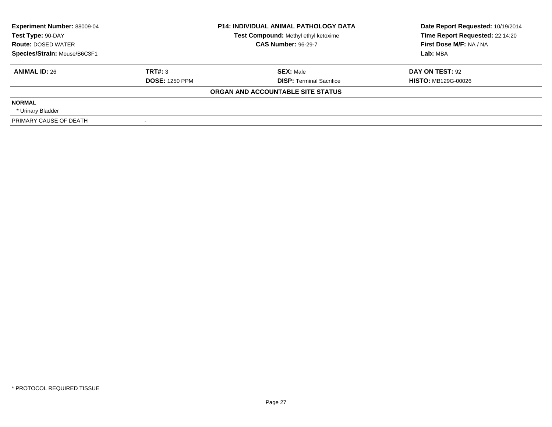| <b>Experiment Number: 88009-04</b><br>Test Type: 90-DAY<br><b>Route: DOSED WATER</b> |                       | <b>P14: INDIVIDUAL ANIMAL PATHOLOGY DATA</b><br>Test Compound: Methyl ethyl ketoxime<br><b>CAS Number: 96-29-7</b> | Date Report Requested: 10/19/2014<br>Time Report Requested: 22:14:20<br>First Dose M/F: NA / NA |
|--------------------------------------------------------------------------------------|-----------------------|--------------------------------------------------------------------------------------------------------------------|-------------------------------------------------------------------------------------------------|
| Species/Strain: Mouse/B6C3F1                                                         |                       |                                                                                                                    | Lab: MBA                                                                                        |
| <b>ANIMAL ID: 26</b>                                                                 | TRT#: 3               | <b>SEX: Male</b>                                                                                                   | DAY ON TEST: 92                                                                                 |
|                                                                                      | <b>DOSE: 1250 PPM</b> | <b>DISP:</b> Terminal Sacrifice                                                                                    | <b>HISTO: MB129G-00026</b>                                                                      |
|                                                                                      |                       | ORGAN AND ACCOUNTABLE SITE STATUS                                                                                  |                                                                                                 |
| <b>NORMAL</b>                                                                        |                       |                                                                                                                    |                                                                                                 |
| * Urinary Bladder                                                                    |                       |                                                                                                                    |                                                                                                 |
| PRIMARY CAUSE OF DEATH                                                               |                       |                                                                                                                    |                                                                                                 |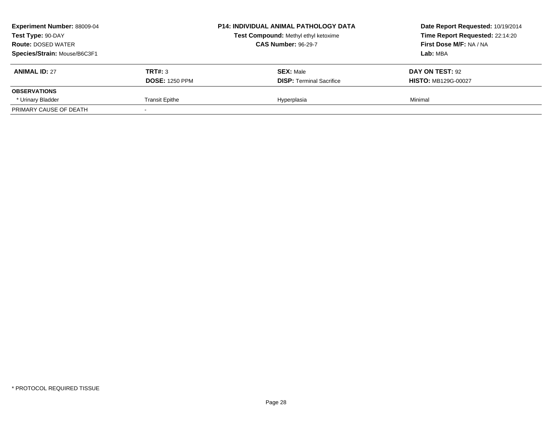| <b>Experiment Number: 88009-04</b><br>Test Type: 90-DAY<br><b>Route: DOSED WATER</b><br>Species/Strain: Mouse/B6C3F1 |                                  | <b>P14: INDIVIDUAL ANIMAL PATHOLOGY DATA</b><br>Test Compound: Methyl ethyl ketoxime<br><b>CAS Number: 96-29-7</b> | Date Report Requested: 10/19/2014<br>Time Report Requested: 22:14:20<br>First Dose M/F: NA / NA<br>Lab: MBA |
|----------------------------------------------------------------------------------------------------------------------|----------------------------------|--------------------------------------------------------------------------------------------------------------------|-------------------------------------------------------------------------------------------------------------|
| <b>ANIMAL ID: 27</b>                                                                                                 | TRT#: 3<br><b>DOSE: 1250 PPM</b> | <b>SEX: Male</b><br><b>DISP: Terminal Sacrifice</b>                                                                | DAY ON TEST: 92<br><b>HISTO: MB129G-00027</b>                                                               |
| <b>OBSERVATIONS</b>                                                                                                  |                                  |                                                                                                                    |                                                                                                             |
| * Urinary Bladder                                                                                                    | <b>Transit Epithe</b>            | Hyperplasia                                                                                                        | Minimal                                                                                                     |
| PRIMARY CAUSE OF DEATH                                                                                               |                                  |                                                                                                                    |                                                                                                             |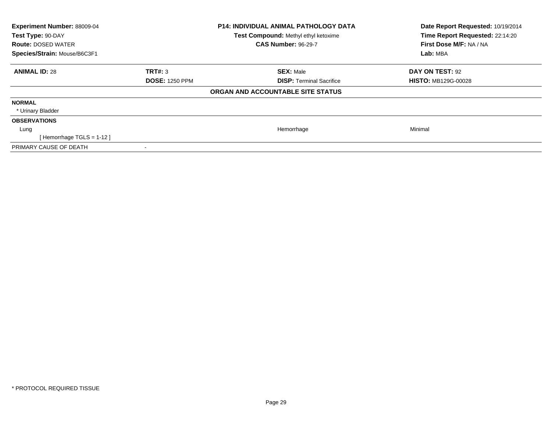| <b>Experiment Number: 88009-04</b><br>Test Type: 90-DAY<br><b>Route: DOSED WATER</b><br>Species/Strain: Mouse/B6C3F1 |                       | <b>P14: INDIVIDUAL ANIMAL PATHOLOGY DATA</b><br>Test Compound: Methyl ethyl ketoxime<br><b>CAS Number: 96-29-7</b> | Date Report Requested: 10/19/2014<br>Time Report Requested: 22:14:20<br>First Dose M/F: NA / NA<br>Lab: MBA |
|----------------------------------------------------------------------------------------------------------------------|-----------------------|--------------------------------------------------------------------------------------------------------------------|-------------------------------------------------------------------------------------------------------------|
| <b>ANIMAL ID: 28</b>                                                                                                 | TRT#: 3               | <b>SEX: Male</b>                                                                                                   | DAY ON TEST: 92                                                                                             |
|                                                                                                                      | <b>DOSE: 1250 PPM</b> | <b>DISP: Terminal Sacrifice</b>                                                                                    | <b>HISTO: MB129G-00028</b>                                                                                  |
|                                                                                                                      |                       | ORGAN AND ACCOUNTABLE SITE STATUS                                                                                  |                                                                                                             |
| <b>NORMAL</b>                                                                                                        |                       |                                                                                                                    |                                                                                                             |
| * Urinary Bladder                                                                                                    |                       |                                                                                                                    |                                                                                                             |
| <b>OBSERVATIONS</b>                                                                                                  |                       |                                                                                                                    |                                                                                                             |
| Lung                                                                                                                 |                       | Hemorrhage                                                                                                         | Minimal                                                                                                     |
| [Hemorrhage TGLS = $1-12$ ]                                                                                          |                       |                                                                                                                    |                                                                                                             |
| PRIMARY CAUSE OF DEATH                                                                                               |                       |                                                                                                                    |                                                                                                             |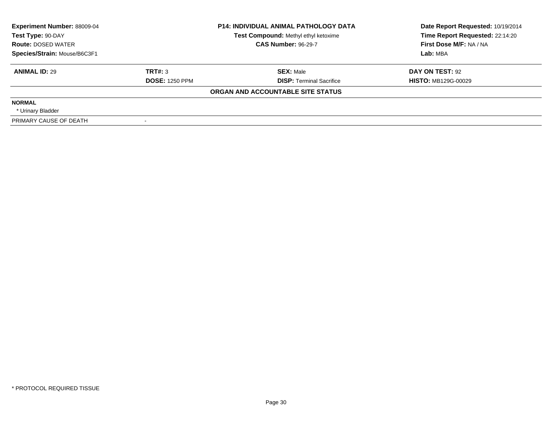| <b>Experiment Number: 88009-04</b><br>Test Type: 90-DAY<br><b>Route: DOSED WATER</b> |                       | <b>P14: INDIVIDUAL ANIMAL PATHOLOGY DATA</b><br>Test Compound: Methyl ethyl ketoxime<br><b>CAS Number: 96-29-7</b> | Date Report Requested: 10/19/2014<br>Time Report Requested: 22:14:20<br>First Dose M/F: NA / NA |
|--------------------------------------------------------------------------------------|-----------------------|--------------------------------------------------------------------------------------------------------------------|-------------------------------------------------------------------------------------------------|
| Species/Strain: Mouse/B6C3F1                                                         |                       |                                                                                                                    | Lab: MBA                                                                                        |
| <b>ANIMAL ID: 29</b>                                                                 | TRT#: 3               | <b>SEX: Male</b>                                                                                                   | DAY ON TEST: 92                                                                                 |
|                                                                                      | <b>DOSE: 1250 PPM</b> | <b>DISP:</b> Terminal Sacrifice                                                                                    | <b>HISTO: MB129G-00029</b>                                                                      |
|                                                                                      |                       | ORGAN AND ACCOUNTABLE SITE STATUS                                                                                  |                                                                                                 |
| <b>NORMAL</b>                                                                        |                       |                                                                                                                    |                                                                                                 |
| * Urinary Bladder                                                                    |                       |                                                                                                                    |                                                                                                 |
| PRIMARY CAUSE OF DEATH                                                               |                       |                                                                                                                    |                                                                                                 |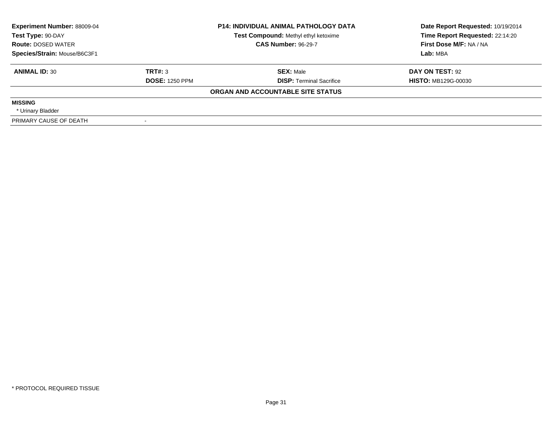| <b>Experiment Number: 88009-04</b><br>Test Type: 90-DAY<br><b>Route: DOSED WATER</b> |                       | <b>P14: INDIVIDUAL ANIMAL PATHOLOGY DATA</b><br>Test Compound: Methyl ethyl ketoxime<br><b>CAS Number: 96-29-7</b> | Date Report Requested: 10/19/2014<br>Time Report Requested: 22:14:20<br>First Dose M/F: NA / NA |
|--------------------------------------------------------------------------------------|-----------------------|--------------------------------------------------------------------------------------------------------------------|-------------------------------------------------------------------------------------------------|
| Species/Strain: Mouse/B6C3F1                                                         |                       |                                                                                                                    | Lab: MBA                                                                                        |
| <b>ANIMAL ID: 30</b>                                                                 | TRT#: 3               | <b>SEX: Male</b>                                                                                                   | DAY ON TEST: 92                                                                                 |
|                                                                                      | <b>DOSE: 1250 PPM</b> | <b>DISP: Terminal Sacrifice</b>                                                                                    | <b>HISTO: MB129G-00030</b>                                                                      |
|                                                                                      |                       | ORGAN AND ACCOUNTABLE SITE STATUS                                                                                  |                                                                                                 |
| <b>MISSING</b>                                                                       |                       |                                                                                                                    |                                                                                                 |
| * Urinary Bladder                                                                    |                       |                                                                                                                    |                                                                                                 |
| PRIMARY CAUSE OF DEATH                                                               |                       |                                                                                                                    |                                                                                                 |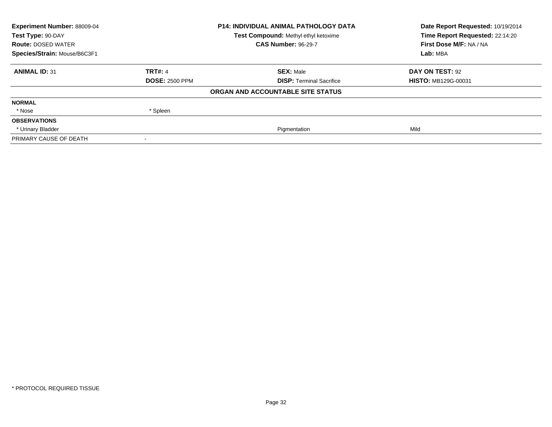| Experiment Number: 88009-04<br>Test Type: 90-DAY | <b>P14: INDIVIDUAL ANIMAL PATHOLOGY DATA</b><br>Test Compound: Methyl ethyl ketoxime |                                   | Date Report Requested: 10/19/2014<br>Time Report Requested: 22:14:20 |
|--------------------------------------------------|--------------------------------------------------------------------------------------|-----------------------------------|----------------------------------------------------------------------|
| <b>Route: DOSED WATER</b>                        |                                                                                      | <b>CAS Number: 96-29-7</b>        | First Dose M/F: NA / NA                                              |
| Species/Strain: Mouse/B6C3F1                     |                                                                                      |                                   | Lab: MBA                                                             |
| <b>ANIMAL ID: 31</b>                             | <b>TRT#: 4</b>                                                                       | <b>SEX: Male</b>                  | DAY ON TEST: 92                                                      |
|                                                  | <b>DOSE: 2500 PPM</b>                                                                | <b>DISP: Terminal Sacrifice</b>   | <b>HISTO: MB129G-00031</b>                                           |
|                                                  |                                                                                      | ORGAN AND ACCOUNTABLE SITE STATUS |                                                                      |
| <b>NORMAL</b>                                    |                                                                                      |                                   |                                                                      |
| * Nose                                           | * Spleen                                                                             |                                   |                                                                      |
| <b>OBSERVATIONS</b>                              |                                                                                      |                                   |                                                                      |
| * Urinary Bladder                                |                                                                                      | Pigmentation                      | Mild                                                                 |
| PRIMARY CAUSE OF DEATH                           |                                                                                      |                                   |                                                                      |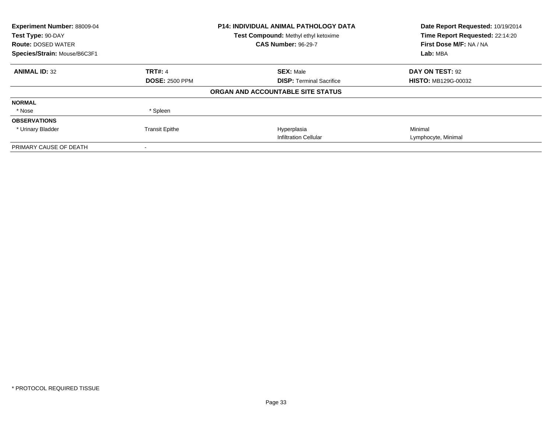| Experiment Number: 88009-04<br>Test Type: 90-DAY |                       | <b>P14: INDIVIDUAL ANIMAL PATHOLOGY DATA</b><br>Test Compound: Methyl ethyl ketoxime | Date Report Requested: 10/19/2014<br>Time Report Requested: 22:14:20 |
|--------------------------------------------------|-----------------------|--------------------------------------------------------------------------------------|----------------------------------------------------------------------|
| <b>Route: DOSED WATER</b>                        |                       | <b>CAS Number: 96-29-7</b>                                                           | First Dose M/F: NA / NA                                              |
| Species/Strain: Mouse/B6C3F1                     |                       |                                                                                      | Lab: MBA                                                             |
| <b>ANIMAL ID: 32</b>                             | <b>TRT#: 4</b>        | <b>SEX: Male</b>                                                                     | DAY ON TEST: 92                                                      |
|                                                  | <b>DOSE: 2500 PPM</b> | <b>DISP: Terminal Sacrifice</b>                                                      | <b>HISTO: MB129G-00032</b>                                           |
|                                                  |                       | ORGAN AND ACCOUNTABLE SITE STATUS                                                    |                                                                      |
| <b>NORMAL</b>                                    |                       |                                                                                      |                                                                      |
| * Nose                                           | * Spleen              |                                                                                      |                                                                      |
| <b>OBSERVATIONS</b>                              |                       |                                                                                      |                                                                      |
| * Urinary Bladder                                | <b>Transit Epithe</b> | Hyperplasia                                                                          | Minimal                                                              |
|                                                  |                       | <b>Infiltration Cellular</b>                                                         | Lymphocyte, Minimal                                                  |
| PRIMARY CAUSE OF DEATH                           |                       |                                                                                      |                                                                      |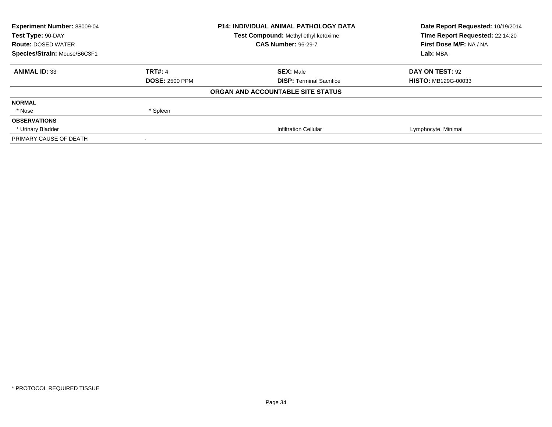| <b>Experiment Number: 88009-04</b><br>Test Type: 90-DAY |                       | <b>P14: INDIVIDUAL ANIMAL PATHOLOGY DATA</b><br>Test Compound: Methyl ethyl ketoxime | Date Report Requested: 10/19/2014<br>Time Report Requested: 22:14:20 |
|---------------------------------------------------------|-----------------------|--------------------------------------------------------------------------------------|----------------------------------------------------------------------|
| <b>Route: DOSED WATER</b>                               |                       | <b>CAS Number: 96-29-7</b>                                                           | First Dose M/F: NA / NA                                              |
| Species/Strain: Mouse/B6C3F1                            |                       |                                                                                      | Lab: MBA                                                             |
| <b>ANIMAL ID: 33</b>                                    | <b>TRT#: 4</b>        | <b>SEX: Male</b>                                                                     | DAY ON TEST: 92                                                      |
|                                                         | <b>DOSE: 2500 PPM</b> | <b>DISP: Terminal Sacrifice</b>                                                      | <b>HISTO: MB129G-00033</b>                                           |
|                                                         |                       | ORGAN AND ACCOUNTABLE SITE STATUS                                                    |                                                                      |
| <b>NORMAL</b>                                           |                       |                                                                                      |                                                                      |
| * Nose                                                  | * Spleen              |                                                                                      |                                                                      |
| <b>OBSERVATIONS</b>                                     |                       |                                                                                      |                                                                      |
| * Urinary Bladder                                       |                       | <b>Infiltration Cellular</b>                                                         | Lymphocyte, Minimal                                                  |
| PRIMARY CAUSE OF DEATH                                  |                       |                                                                                      |                                                                      |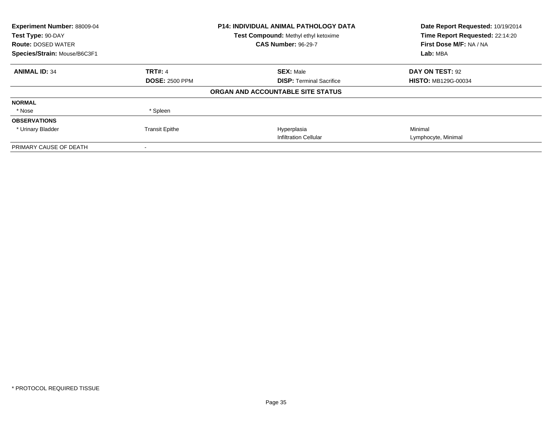| Experiment Number: 88009-04<br>Test Type: 90-DAY |                       | <b>P14: INDIVIDUAL ANIMAL PATHOLOGY DATA</b><br>Test Compound: Methyl ethyl ketoxime | Date Report Requested: 10/19/2014<br>Time Report Requested: 22:14:20 |  |
|--------------------------------------------------|-----------------------|--------------------------------------------------------------------------------------|----------------------------------------------------------------------|--|
| <b>Route: DOSED WATER</b>                        |                       | <b>CAS Number: 96-29-7</b>                                                           | First Dose M/F: NA / NA                                              |  |
| Species/Strain: Mouse/B6C3F1                     |                       |                                                                                      | Lab: MBA                                                             |  |
| <b>ANIMAL ID: 34</b>                             | <b>TRT#: 4</b>        | <b>SEX: Male</b>                                                                     | DAY ON TEST: 92                                                      |  |
|                                                  | <b>DOSE: 2500 PPM</b> | <b>DISP: Terminal Sacrifice</b>                                                      | <b>HISTO: MB129G-00034</b>                                           |  |
|                                                  |                       | ORGAN AND ACCOUNTABLE SITE STATUS                                                    |                                                                      |  |
| <b>NORMAL</b>                                    |                       |                                                                                      |                                                                      |  |
| * Nose                                           | * Spleen              |                                                                                      |                                                                      |  |
| <b>OBSERVATIONS</b>                              |                       |                                                                                      |                                                                      |  |
| * Urinary Bladder                                | <b>Transit Epithe</b> | Hyperplasia                                                                          | Minimal                                                              |  |
|                                                  |                       | <b>Infiltration Cellular</b>                                                         | Lymphocyte, Minimal                                                  |  |
| PRIMARY CAUSE OF DEATH                           |                       |                                                                                      |                                                                      |  |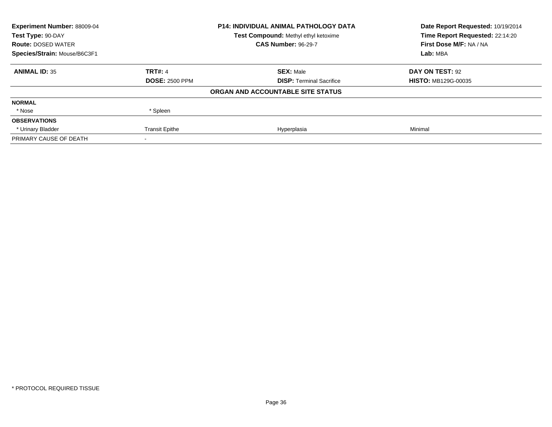| Experiment Number: 88009-04  | <b>P14: INDIVIDUAL ANIMAL PATHOLOGY DATA</b> |                                      | Date Report Requested: 10/19/2014 |
|------------------------------|----------------------------------------------|--------------------------------------|-----------------------------------|
| Test Type: 90-DAY            |                                              | Test Compound: Methyl ethyl ketoxime | Time Report Requested: 22:14:20   |
| <b>Route: DOSED WATER</b>    |                                              | <b>CAS Number: 96-29-7</b>           | First Dose M/F: NA / NA           |
| Species/Strain: Mouse/B6C3F1 |                                              |                                      | Lab: MBA                          |
| <b>ANIMAL ID: 35</b>         | <b>TRT#: 4</b>                               | <b>SEX: Male</b>                     | DAY ON TEST: 92                   |
|                              | <b>DOSE: 2500 PPM</b>                        | <b>DISP:</b> Terminal Sacrifice      | <b>HISTO: MB129G-00035</b>        |
|                              |                                              | ORGAN AND ACCOUNTABLE SITE STATUS    |                                   |
| <b>NORMAL</b>                |                                              |                                      |                                   |
| * Nose                       | * Spleen                                     |                                      |                                   |
| <b>OBSERVATIONS</b>          |                                              |                                      |                                   |
| * Urinary Bladder            | <b>Transit Epithe</b>                        | Hyperplasia                          | Minimal                           |
| PRIMARY CAUSE OF DEATH       |                                              |                                      |                                   |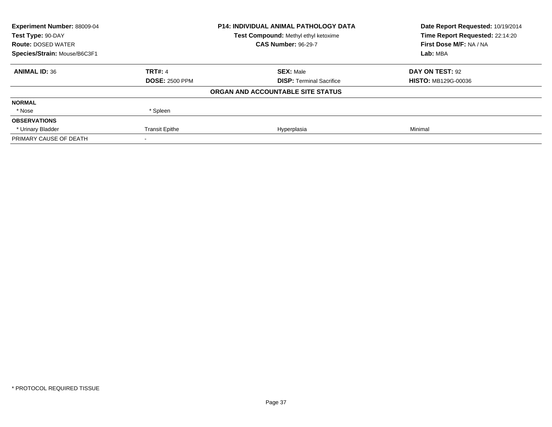| Experiment Number: 88009-04  | <b>P14: INDIVIDUAL ANIMAL PATHOLOGY DATA</b> |                                      | Date Report Requested: 10/19/2014 |
|------------------------------|----------------------------------------------|--------------------------------------|-----------------------------------|
| Test Type: 90-DAY            |                                              | Test Compound: Methyl ethyl ketoxime | Time Report Requested: 22:14:20   |
| <b>Route: DOSED WATER</b>    |                                              | <b>CAS Number: 96-29-7</b>           | First Dose M/F: NA / NA           |
| Species/Strain: Mouse/B6C3F1 |                                              |                                      | Lab: MBA                          |
| <b>ANIMAL ID: 36</b>         | <b>TRT#: 4</b>                               | <b>SEX: Male</b>                     | DAY ON TEST: 92                   |
|                              | <b>DOSE: 2500 PPM</b>                        | <b>DISP: Terminal Sacrifice</b>      | <b>HISTO: MB129G-00036</b>        |
|                              |                                              | ORGAN AND ACCOUNTABLE SITE STATUS    |                                   |
| <b>NORMAL</b>                |                                              |                                      |                                   |
| * Nose                       | * Spleen                                     |                                      |                                   |
| <b>OBSERVATIONS</b>          |                                              |                                      |                                   |
| * Urinary Bladder            | <b>Transit Epithe</b>                        | Hyperplasia                          | Minimal                           |
| PRIMARY CAUSE OF DEATH       |                                              |                                      |                                   |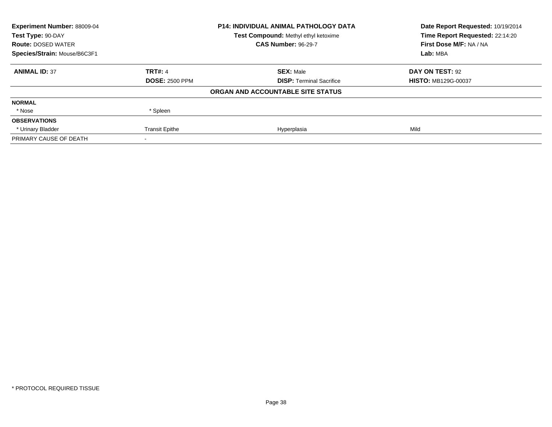| Experiment Number: 88009-04  |                       | <b>P14: INDIVIDUAL ANIMAL PATHOLOGY DATA</b> | Date Report Requested: 10/19/2014 |
|------------------------------|-----------------------|----------------------------------------------|-----------------------------------|
| Test Type: 90-DAY            |                       | Test Compound: Methyl ethyl ketoxime         | Time Report Requested: 22:14:20   |
| <b>Route: DOSED WATER</b>    |                       | <b>CAS Number: 96-29-7</b>                   | First Dose M/F: NA / NA           |
| Species/Strain: Mouse/B6C3F1 |                       |                                              | Lab: MBA                          |
| <b>ANIMAL ID: 37</b>         | <b>TRT#: 4</b>        | <b>SEX: Male</b>                             | DAY ON TEST: 92                   |
|                              | <b>DOSE: 2500 PPM</b> | <b>DISP: Terminal Sacrifice</b>              | <b>HISTO: MB129G-00037</b>        |
|                              |                       | ORGAN AND ACCOUNTABLE SITE STATUS            |                                   |
| <b>NORMAL</b>                |                       |                                              |                                   |
| * Nose                       | * Spleen              |                                              |                                   |
| <b>OBSERVATIONS</b>          |                       |                                              |                                   |
| * Urinary Bladder            | <b>Transit Epithe</b> | Hyperplasia                                  | Mild                              |
| PRIMARY CAUSE OF DEATH       |                       |                                              |                                   |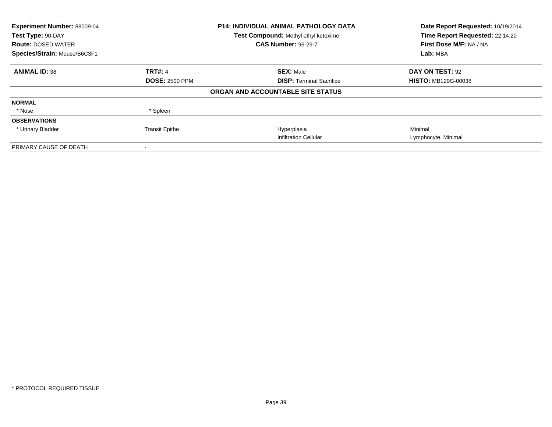| Experiment Number: 88009-04<br>Test Type: 90-DAY |                       | <b>P14: INDIVIDUAL ANIMAL PATHOLOGY DATA</b><br>Test Compound: Methyl ethyl ketoxime | Date Report Requested: 10/19/2014<br>Time Report Requested: 22:14:20 |
|--------------------------------------------------|-----------------------|--------------------------------------------------------------------------------------|----------------------------------------------------------------------|
| <b>Route: DOSED WATER</b>                        |                       | <b>CAS Number: 96-29-7</b>                                                           | First Dose M/F: NA / NA                                              |
| Species/Strain: Mouse/B6C3F1                     |                       |                                                                                      | Lab: MBA                                                             |
| <b>ANIMAL ID: 38</b>                             | <b>TRT#: 4</b>        | <b>SEX: Male</b>                                                                     | DAY ON TEST: 92                                                      |
|                                                  | <b>DOSE: 2500 PPM</b> | <b>DISP: Terminal Sacrifice</b>                                                      | <b>HISTO: MB129G-00038</b>                                           |
|                                                  |                       | ORGAN AND ACCOUNTABLE SITE STATUS                                                    |                                                                      |
| <b>NORMAL</b>                                    |                       |                                                                                      |                                                                      |
| * Nose                                           | * Spleen              |                                                                                      |                                                                      |
| <b>OBSERVATIONS</b>                              |                       |                                                                                      |                                                                      |
| * Urinary Bladder                                | <b>Transit Epithe</b> | Hyperplasia                                                                          | Minimal                                                              |
|                                                  |                       | <b>Infiltration Cellular</b>                                                         | Lymphocyte, Minimal                                                  |
| PRIMARY CAUSE OF DEATH                           |                       |                                                                                      |                                                                      |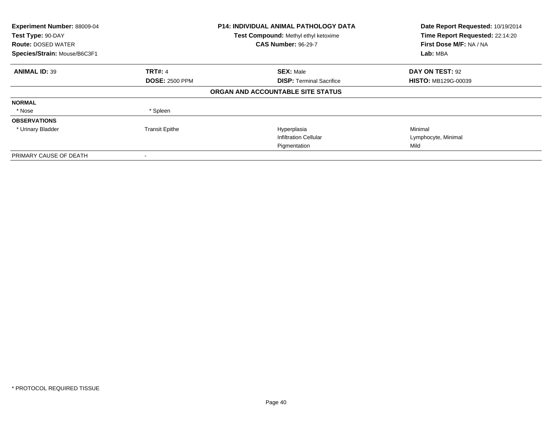| Experiment Number: 88009-04<br>Test Type: 90-DAY<br><b>Route: DOSED WATER</b><br>Species/Strain: Mouse/B6C3F1 |                       | <b>P14: INDIVIDUAL ANIMAL PATHOLOGY DATA</b><br>Test Compound: Methyl ethyl ketoxime<br><b>CAS Number: 96-29-7</b> | Date Report Requested: 10/19/2014<br>Time Report Requested: 22:14:20<br>First Dose M/F: NA / NA<br>Lab: MBA |
|---------------------------------------------------------------------------------------------------------------|-----------------------|--------------------------------------------------------------------------------------------------------------------|-------------------------------------------------------------------------------------------------------------|
| <b>ANIMAL ID: 39</b>                                                                                          | <b>TRT#: 4</b>        | <b>SEX: Male</b>                                                                                                   | DAY ON TEST: 92                                                                                             |
|                                                                                                               | <b>DOSE: 2500 PPM</b> | <b>DISP:</b> Terminal Sacrifice                                                                                    | <b>HISTO: MB129G-00039</b>                                                                                  |
|                                                                                                               |                       | ORGAN AND ACCOUNTABLE SITE STATUS                                                                                  |                                                                                                             |
| <b>NORMAL</b>                                                                                                 |                       |                                                                                                                    |                                                                                                             |
| * Nose                                                                                                        | * Spleen              |                                                                                                                    |                                                                                                             |
| <b>OBSERVATIONS</b>                                                                                           |                       |                                                                                                                    |                                                                                                             |
| * Urinary Bladder                                                                                             | <b>Transit Epithe</b> | Hyperplasia                                                                                                        | Minimal                                                                                                     |
|                                                                                                               |                       | <b>Infiltration Cellular</b>                                                                                       | Lymphocyte, Minimal                                                                                         |
|                                                                                                               |                       | Pigmentation                                                                                                       | Mild                                                                                                        |
| PRIMARY CAUSE OF DEATH                                                                                        |                       |                                                                                                                    |                                                                                                             |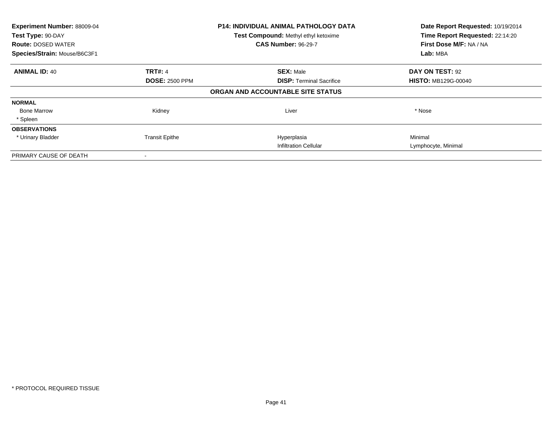| Experiment Number: 88009-04<br>Test Type: 90-DAY<br><b>Route: DOSED WATER</b><br>Species/Strain: Mouse/B6C3F1 |                       | <b>P14: INDIVIDUAL ANIMAL PATHOLOGY DATA</b><br>Test Compound: Methyl ethyl ketoxime<br><b>CAS Number: 96-29-7</b> | Date Report Requested: 10/19/2014<br>Time Report Requested: 22:14:20<br>First Dose M/F: NA / NA<br>Lab: MBA |
|---------------------------------------------------------------------------------------------------------------|-----------------------|--------------------------------------------------------------------------------------------------------------------|-------------------------------------------------------------------------------------------------------------|
| <b>ANIMAL ID: 40</b>                                                                                          | <b>TRT#: 4</b>        | <b>SEX: Male</b>                                                                                                   | DAY ON TEST: 92                                                                                             |
|                                                                                                               | <b>DOSE: 2500 PPM</b> | <b>DISP:</b> Terminal Sacrifice                                                                                    | <b>HISTO: MB129G-00040</b>                                                                                  |
|                                                                                                               |                       | ORGAN AND ACCOUNTABLE SITE STATUS                                                                                  |                                                                                                             |
| <b>NORMAL</b>                                                                                                 |                       |                                                                                                                    |                                                                                                             |
| <b>Bone Marrow</b>                                                                                            | Kidney                | Liver                                                                                                              | * Nose                                                                                                      |
| * Spleen                                                                                                      |                       |                                                                                                                    |                                                                                                             |
| <b>OBSERVATIONS</b>                                                                                           |                       |                                                                                                                    |                                                                                                             |
| * Urinary Bladder                                                                                             | <b>Transit Epithe</b> | Hyperplasia                                                                                                        | Minimal                                                                                                     |
|                                                                                                               |                       | <b>Infiltration Cellular</b>                                                                                       | Lymphocyte, Minimal                                                                                         |
| PRIMARY CAUSE OF DEATH                                                                                        |                       |                                                                                                                    |                                                                                                             |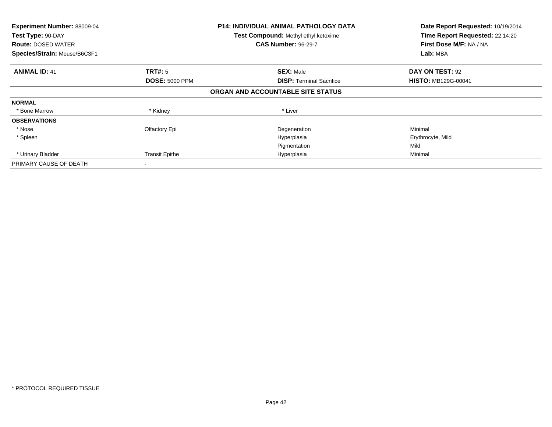| Experiment Number: 88009-04<br>Test Type: 90-DAY<br><b>Route: DOSED WATER</b><br>Species/Strain: Mouse/B6C3F1 |                       | P14: INDIVIDUAL ANIMAL PATHOLOGY DATA<br>Test Compound: Methyl ethyl ketoxime<br><b>CAS Number: 96-29-7</b> | Date Report Requested: 10/19/2014<br>Time Report Requested: 22:14:20<br>First Dose M/F: NA / NA<br>Lab: MBA |
|---------------------------------------------------------------------------------------------------------------|-----------------------|-------------------------------------------------------------------------------------------------------------|-------------------------------------------------------------------------------------------------------------|
|                                                                                                               |                       |                                                                                                             |                                                                                                             |
| <b>ANIMAL ID: 41</b>                                                                                          | <b>TRT#:</b> 5        | <b>SEX: Male</b>                                                                                            | DAY ON TEST: 92                                                                                             |
|                                                                                                               | <b>DOSE: 5000 PPM</b> | <b>DISP: Terminal Sacrifice</b>                                                                             | <b>HISTO: MB129G-00041</b>                                                                                  |
|                                                                                                               |                       | ORGAN AND ACCOUNTABLE SITE STATUS                                                                           |                                                                                                             |
| <b>NORMAL</b>                                                                                                 |                       |                                                                                                             |                                                                                                             |
| * Bone Marrow                                                                                                 | * Kidney              | * Liver                                                                                                     |                                                                                                             |
| <b>OBSERVATIONS</b>                                                                                           |                       |                                                                                                             |                                                                                                             |
| * Nose                                                                                                        | Olfactory Epi         | Degeneration                                                                                                | Minimal                                                                                                     |
| * Spleen                                                                                                      |                       | Hyperplasia                                                                                                 | Erythrocyte, Mild                                                                                           |
|                                                                                                               |                       | Pigmentation                                                                                                | Mild                                                                                                        |
| * Urinary Bladder                                                                                             | <b>Transit Epithe</b> | Hyperplasia                                                                                                 | Minimal                                                                                                     |
| PRIMARY CAUSE OF DEATH                                                                                        |                       |                                                                                                             |                                                                                                             |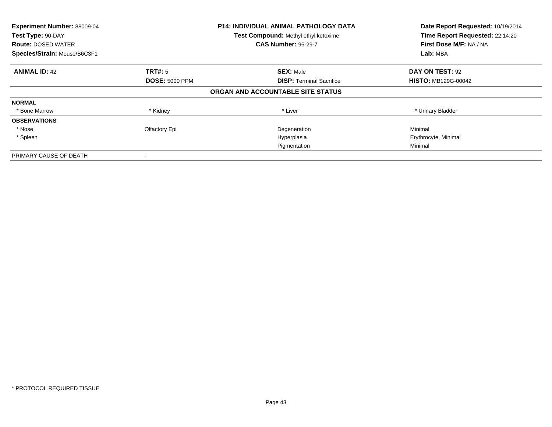| Experiment Number: 88009-04<br>Test Type: 90-DAY<br><b>Route: DOSED WATER</b><br>Species/Strain: Mouse/B6C3F1 |                       | P14: INDIVIDUAL ANIMAL PATHOLOGY DATA<br>Test Compound: Methyl ethyl ketoxime<br><b>CAS Number: 96-29-7</b> | Date Report Requested: 10/19/2014<br>Time Report Requested: 22:14:20<br>First Dose M/F: NA / NA<br>Lab: MBA |
|---------------------------------------------------------------------------------------------------------------|-----------------------|-------------------------------------------------------------------------------------------------------------|-------------------------------------------------------------------------------------------------------------|
| <b>ANIMAL ID: 42</b>                                                                                          | TRT#: 5               | <b>SEX: Male</b>                                                                                            | DAY ON TEST: 92                                                                                             |
|                                                                                                               | <b>DOSE: 5000 PPM</b> | <b>DISP: Terminal Sacrifice</b>                                                                             | <b>HISTO: MB129G-00042</b>                                                                                  |
|                                                                                                               |                       | ORGAN AND ACCOUNTABLE SITE STATUS                                                                           |                                                                                                             |
| <b>NORMAL</b>                                                                                                 |                       |                                                                                                             |                                                                                                             |
| * Bone Marrow                                                                                                 | * Kidney              | * Liver                                                                                                     | * Urinary Bladder                                                                                           |
| <b>OBSERVATIONS</b>                                                                                           |                       |                                                                                                             |                                                                                                             |
| * Nose                                                                                                        | Olfactory Epi         | Degeneration                                                                                                | Minimal                                                                                                     |
| * Spleen                                                                                                      |                       | Hyperplasia                                                                                                 | Erythrocyte, Minimal                                                                                        |
|                                                                                                               |                       | Pigmentation                                                                                                | Minimal                                                                                                     |
| PRIMARY CAUSE OF DEATH                                                                                        |                       |                                                                                                             |                                                                                                             |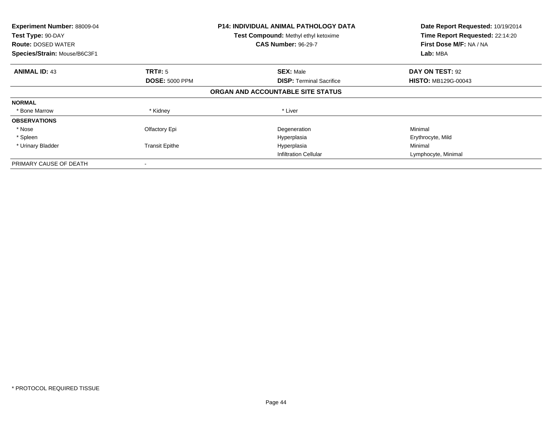| Experiment Number: 88009-04<br>Test Type: 90-DAY<br><b>Route: DOSED WATER</b><br>Species/Strain: Mouse/B6C3F1 |                       | <b>P14: INDIVIDUAL ANIMAL PATHOLOGY DATA</b><br>Test Compound: Methyl ethyl ketoxime<br><b>CAS Number: 96-29-7</b> | Date Report Requested: 10/19/2014<br>Time Report Requested: 22:14:20<br>First Dose M/F: NA / NA<br>Lab: MBA |
|---------------------------------------------------------------------------------------------------------------|-----------------------|--------------------------------------------------------------------------------------------------------------------|-------------------------------------------------------------------------------------------------------------|
| <b>ANIMAL ID: 43</b>                                                                                          | <b>TRT#: 5</b>        | <b>SEX: Male</b>                                                                                                   | DAY ON TEST: 92                                                                                             |
|                                                                                                               | <b>DOSE: 5000 PPM</b> | <b>DISP:</b> Terminal Sacrifice                                                                                    | <b>HISTO: MB129G-00043</b>                                                                                  |
|                                                                                                               |                       | ORGAN AND ACCOUNTABLE SITE STATUS                                                                                  |                                                                                                             |
| <b>NORMAL</b>                                                                                                 |                       |                                                                                                                    |                                                                                                             |
| * Bone Marrow                                                                                                 | * Kidney              | * Liver                                                                                                            |                                                                                                             |
| <b>OBSERVATIONS</b>                                                                                           |                       |                                                                                                                    |                                                                                                             |
| * Nose                                                                                                        | Olfactory Epi         | Degeneration                                                                                                       | Minimal                                                                                                     |
| * Spleen                                                                                                      |                       | Hyperplasia                                                                                                        | Erythrocyte, Mild                                                                                           |
| * Urinary Bladder                                                                                             | <b>Transit Epithe</b> | Hyperplasia                                                                                                        | Minimal                                                                                                     |
|                                                                                                               |                       | <b>Infiltration Cellular</b>                                                                                       | Lymphocyte, Minimal                                                                                         |
| PRIMARY CAUSE OF DEATH                                                                                        |                       |                                                                                                                    |                                                                                                             |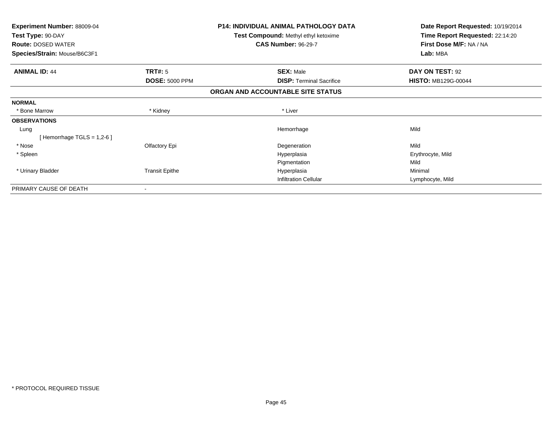| <b>Experiment Number: 88009-04</b><br>Test Type: 90-DAY |                       | <b>P14: INDIVIDUAL ANIMAL PATHOLOGY DATA</b><br>Test Compound: Methyl ethyl ketoxime | Date Report Requested: 10/19/2014<br>Time Report Requested: 22:14:20 |
|---------------------------------------------------------|-----------------------|--------------------------------------------------------------------------------------|----------------------------------------------------------------------|
| <b>Route: DOSED WATER</b>                               |                       | <b>CAS Number: 96-29-7</b>                                                           | First Dose M/F: NA / NA                                              |
| Species/Strain: Mouse/B6C3F1                            |                       |                                                                                      | Lab: MBA                                                             |
| <b>ANIMAL ID: 44</b>                                    | TRT#: 5               | <b>SEX: Male</b>                                                                     | DAY ON TEST: 92                                                      |
|                                                         | <b>DOSE: 5000 PPM</b> | <b>DISP:</b> Terminal Sacrifice                                                      | <b>HISTO: MB129G-00044</b>                                           |
|                                                         |                       | ORGAN AND ACCOUNTABLE SITE STATUS                                                    |                                                                      |
| <b>NORMAL</b>                                           |                       |                                                                                      |                                                                      |
| * Bone Marrow                                           | * Kidney              | * Liver                                                                              |                                                                      |
| <b>OBSERVATIONS</b>                                     |                       |                                                                                      |                                                                      |
| Lung                                                    |                       | Hemorrhage                                                                           | Mild                                                                 |
| [Hemorrhage TGLS = $1,2-6$ ]                            |                       |                                                                                      |                                                                      |
| * Nose                                                  | Olfactory Epi         | Degeneration                                                                         | Mild                                                                 |
| * Spleen                                                |                       | Hyperplasia                                                                          | Erythrocyte, Mild                                                    |
|                                                         |                       | Pigmentation                                                                         | Mild                                                                 |
| * Urinary Bladder                                       | <b>Transit Epithe</b> | Hyperplasia                                                                          | Minimal                                                              |
|                                                         |                       | <b>Infiltration Cellular</b>                                                         | Lymphocyte, Mild                                                     |
| PRIMARY CAUSE OF DEATH                                  |                       |                                                                                      |                                                                      |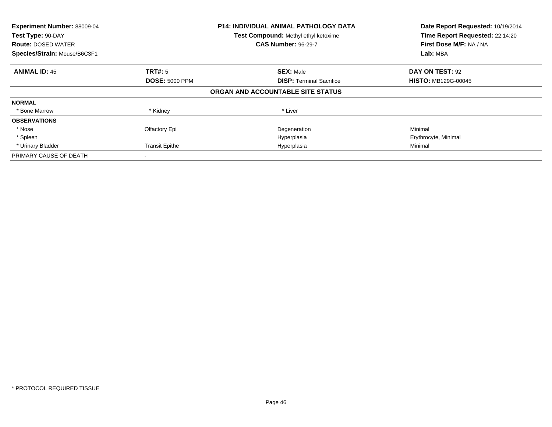| Experiment Number: 88009-04<br>Test Type: 90-DAY<br><b>Route: DOSED WATER</b><br>Species/Strain: Mouse/B6C3F1 |                       | P14: INDIVIDUAL ANIMAL PATHOLOGY DATA<br>Test Compound: Methyl ethyl ketoxime<br><b>CAS Number: 96-29-7</b> | Date Report Requested: 10/19/2014<br>Time Report Requested: 22:14:20<br>First Dose M/F: NA / NA<br>Lab: MBA |
|---------------------------------------------------------------------------------------------------------------|-----------------------|-------------------------------------------------------------------------------------------------------------|-------------------------------------------------------------------------------------------------------------|
| <b>ANIMAL ID: 45</b>                                                                                          | TRT#: 5               | <b>SEX: Male</b>                                                                                            | DAY ON TEST: 92                                                                                             |
|                                                                                                               | <b>DOSE: 5000 PPM</b> | <b>DISP:</b> Terminal Sacrifice                                                                             | <b>HISTO: MB129G-00045</b>                                                                                  |
|                                                                                                               |                       | ORGAN AND ACCOUNTABLE SITE STATUS                                                                           |                                                                                                             |
| <b>NORMAL</b>                                                                                                 |                       |                                                                                                             |                                                                                                             |
| * Bone Marrow                                                                                                 | * Kidney              | * Liver                                                                                                     |                                                                                                             |
| <b>OBSERVATIONS</b>                                                                                           |                       |                                                                                                             |                                                                                                             |
| * Nose                                                                                                        | Olfactory Epi         | Degeneration                                                                                                | Minimal                                                                                                     |
| * Spleen                                                                                                      |                       | Hyperplasia                                                                                                 | Erythrocyte, Minimal                                                                                        |
| * Urinary Bladder                                                                                             | <b>Transit Epithe</b> | Hyperplasia                                                                                                 | Minimal                                                                                                     |
| PRIMARY CAUSE OF DEATH                                                                                        |                       |                                                                                                             |                                                                                                             |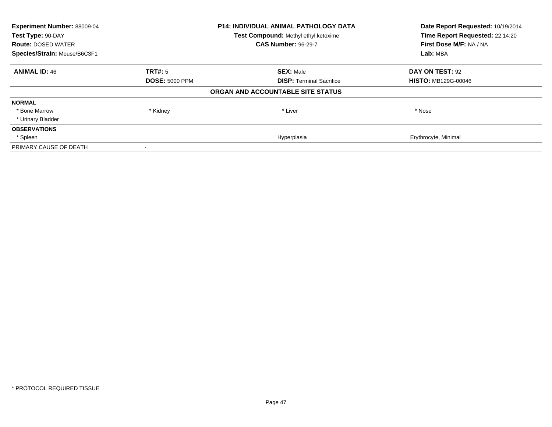| Experiment Number: 88009-04<br>Test Type: 90-DAY |                       | <b>P14: INDIVIDUAL ANIMAL PATHOLOGY DATA</b><br>Test Compound: Methyl ethyl ketoxime | Date Report Requested: 10/19/2014<br>Time Report Requested: 22:14:20 |
|--------------------------------------------------|-----------------------|--------------------------------------------------------------------------------------|----------------------------------------------------------------------|
| <b>Route: DOSED WATER</b>                        |                       | <b>CAS Number: 96-29-7</b>                                                           | First Dose M/F: NA / NA                                              |
| Species/Strain: Mouse/B6C3F1                     |                       |                                                                                      | Lab: MBA                                                             |
| <b>ANIMAL ID: 46</b>                             | <b>TRT#: 5</b>        | <b>SEX: Male</b>                                                                     | DAY ON TEST: 92                                                      |
|                                                  | <b>DOSE: 5000 PPM</b> | <b>DISP:</b> Terminal Sacrifice                                                      | <b>HISTO: MB129G-00046</b>                                           |
|                                                  |                       | ORGAN AND ACCOUNTABLE SITE STATUS                                                    |                                                                      |
| <b>NORMAL</b>                                    |                       |                                                                                      |                                                                      |
| * Bone Marrow                                    | * Kidney              | * Liver                                                                              | * Nose                                                               |
| * Urinary Bladder                                |                       |                                                                                      |                                                                      |
| <b>OBSERVATIONS</b>                              |                       |                                                                                      |                                                                      |
| * Spleen                                         |                       | Hyperplasia                                                                          | Erythrocyte, Minimal                                                 |
| PRIMARY CAUSE OF DEATH                           |                       |                                                                                      |                                                                      |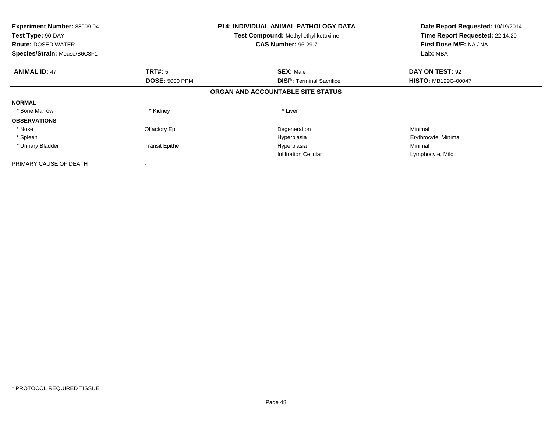| Experiment Number: 88009-04<br>Test Type: 90-DAY<br><b>Route: DOSED WATER</b><br>Species/Strain: Mouse/B6C3F1 |                       | <b>P14: INDIVIDUAL ANIMAL PATHOLOGY DATA</b><br>Test Compound: Methyl ethyl ketoxime<br><b>CAS Number: 96-29-7</b> | Date Report Requested: 10/19/2014<br>Time Report Requested: 22:14:20<br>First Dose M/F: NA / NA<br>Lab: MBA |
|---------------------------------------------------------------------------------------------------------------|-----------------------|--------------------------------------------------------------------------------------------------------------------|-------------------------------------------------------------------------------------------------------------|
| <b>ANIMAL ID: 47</b>                                                                                          | TRT#: 5               | <b>SEX: Male</b>                                                                                                   | DAY ON TEST: 92                                                                                             |
|                                                                                                               | <b>DOSE: 5000 PPM</b> | <b>DISP:</b> Terminal Sacrifice                                                                                    | <b>HISTO: MB129G-00047</b>                                                                                  |
|                                                                                                               |                       | ORGAN AND ACCOUNTABLE SITE STATUS                                                                                  |                                                                                                             |
| <b>NORMAL</b>                                                                                                 |                       |                                                                                                                    |                                                                                                             |
| * Bone Marrow                                                                                                 | * Kidney              | * Liver                                                                                                            |                                                                                                             |
| <b>OBSERVATIONS</b>                                                                                           |                       |                                                                                                                    |                                                                                                             |
| * Nose                                                                                                        | Olfactory Epi         | Degeneration                                                                                                       | Minimal                                                                                                     |
| * Spleen                                                                                                      |                       | Hyperplasia                                                                                                        | Erythrocyte, Minimal                                                                                        |
| * Urinary Bladder                                                                                             | <b>Transit Epithe</b> | Hyperplasia                                                                                                        | Minimal                                                                                                     |
|                                                                                                               |                       | <b>Infiltration Cellular</b>                                                                                       | Lymphocyte, Mild                                                                                            |
| PRIMARY CAUSE OF DEATH                                                                                        |                       |                                                                                                                    |                                                                                                             |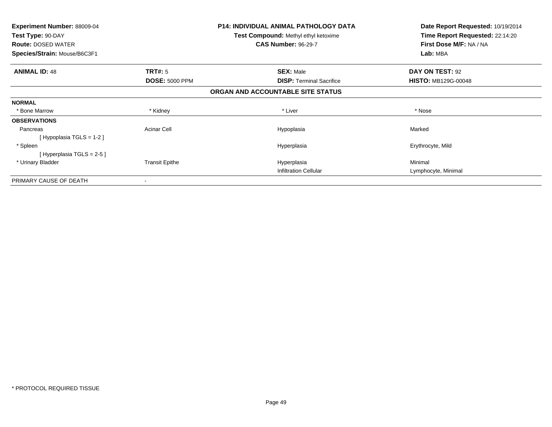| <b>Experiment Number: 88009-04</b><br>Test Type: 90-DAY<br><b>Route: DOSED WATER</b><br>Species/Strain: Mouse/B6C3F1 |                       | <b>P14: INDIVIDUAL ANIMAL PATHOLOGY DATA</b><br><b>Test Compound: Methyl ethyl ketoxime</b><br><b>CAS Number: 96-29-7</b> | Date Report Requested: 10/19/2014<br>Time Report Requested: 22:14:20<br>First Dose M/F: NA / NA<br>Lab: MBA |
|----------------------------------------------------------------------------------------------------------------------|-----------------------|---------------------------------------------------------------------------------------------------------------------------|-------------------------------------------------------------------------------------------------------------|
| <b>ANIMAL ID: 48</b>                                                                                                 | <b>TRT#: 5</b>        | <b>SEX: Male</b>                                                                                                          | DAY ON TEST: 92                                                                                             |
|                                                                                                                      | <b>DOSE: 5000 PPM</b> | <b>DISP:</b> Terminal Sacrifice                                                                                           | <b>HISTO: MB129G-00048</b>                                                                                  |
|                                                                                                                      |                       | ORGAN AND ACCOUNTABLE SITE STATUS                                                                                         |                                                                                                             |
| <b>NORMAL</b>                                                                                                        |                       |                                                                                                                           |                                                                                                             |
| * Bone Marrow                                                                                                        | * Kidney              | * Liver                                                                                                                   | * Nose                                                                                                      |
| <b>OBSERVATIONS</b>                                                                                                  |                       |                                                                                                                           |                                                                                                             |
| Pancreas<br>[Hypoplasia TGLS = $1-2$ ]                                                                               | <b>Acinar Cell</b>    | Hypoplasia                                                                                                                | Marked                                                                                                      |
| * Spleen<br>[Hyperplasia TGLS = $2-5$ ]                                                                              |                       | Hyperplasia                                                                                                               | Erythrocyte, Mild                                                                                           |
| * Urinary Bladder                                                                                                    | <b>Transit Epithe</b> | Hyperplasia                                                                                                               | Minimal                                                                                                     |
|                                                                                                                      |                       | <b>Infiltration Cellular</b>                                                                                              | Lymphocyte, Minimal                                                                                         |
| PRIMARY CAUSE OF DEATH                                                                                               |                       |                                                                                                                           |                                                                                                             |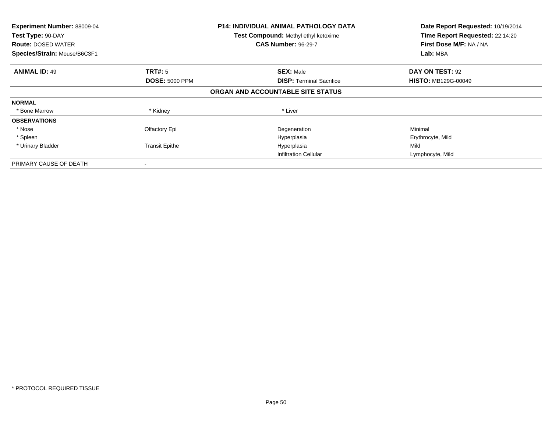| Experiment Number: 88009-04<br>Test Type: 90-DAY<br><b>Route: DOSED WATER</b><br>Species/Strain: Mouse/B6C3F1 |                       | <b>P14: INDIVIDUAL ANIMAL PATHOLOGY DATA</b><br>Test Compound: Methyl ethyl ketoxime<br><b>CAS Number: 96-29-7</b> | Date Report Requested: 10/19/2014<br>Time Report Requested: 22:14:20<br>First Dose M/F: NA / NA<br>Lab: MBA |
|---------------------------------------------------------------------------------------------------------------|-----------------------|--------------------------------------------------------------------------------------------------------------------|-------------------------------------------------------------------------------------------------------------|
| <b>ANIMAL ID: 49</b>                                                                                          | <b>TRT#: 5</b>        | <b>SEX: Male</b>                                                                                                   | DAY ON TEST: 92                                                                                             |
|                                                                                                               | <b>DOSE: 5000 PPM</b> | <b>DISP:</b> Terminal Sacrifice                                                                                    | <b>HISTO: MB129G-00049</b>                                                                                  |
|                                                                                                               |                       | ORGAN AND ACCOUNTABLE SITE STATUS                                                                                  |                                                                                                             |
| <b>NORMAL</b>                                                                                                 |                       |                                                                                                                    |                                                                                                             |
| * Bone Marrow                                                                                                 | * Kidney              | * Liver                                                                                                            |                                                                                                             |
| <b>OBSERVATIONS</b>                                                                                           |                       |                                                                                                                    |                                                                                                             |
| * Nose                                                                                                        | Olfactory Epi         | Degeneration                                                                                                       | Minimal                                                                                                     |
| * Spleen                                                                                                      |                       | Hyperplasia                                                                                                        | Erythrocyte, Mild                                                                                           |
| * Urinary Bladder                                                                                             | <b>Transit Epithe</b> | Hyperplasia                                                                                                        | Mild                                                                                                        |
|                                                                                                               |                       | <b>Infiltration Cellular</b>                                                                                       | Lymphocyte, Mild                                                                                            |
| PRIMARY CAUSE OF DEATH                                                                                        |                       |                                                                                                                    |                                                                                                             |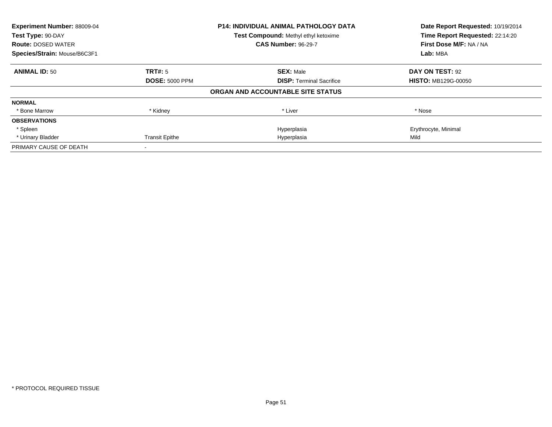| Experiment Number: 88009-04<br>Test Type: 90-DAY |                       | P14: INDIVIDUAL ANIMAL PATHOLOGY DATA<br>Test Compound: Methyl ethyl ketoxime | Date Report Requested: 10/19/2014<br>Time Report Requested: 22:14:20 |
|--------------------------------------------------|-----------------------|-------------------------------------------------------------------------------|----------------------------------------------------------------------|
| <b>Route: DOSED WATER</b>                        |                       | <b>CAS Number: 96-29-7</b>                                                    | First Dose M/F: NA / NA                                              |
| Species/Strain: Mouse/B6C3F1                     |                       |                                                                               | Lab: MBA                                                             |
| <b>ANIMAL ID: 50</b>                             | TRT#: 5               | <b>SEX: Male</b>                                                              | DAY ON TEST: 92                                                      |
|                                                  | <b>DOSE: 5000 PPM</b> | <b>DISP:</b> Terminal Sacrifice                                               | <b>HISTO: MB129G-00050</b>                                           |
|                                                  |                       | ORGAN AND ACCOUNTABLE SITE STATUS                                             |                                                                      |
| <b>NORMAL</b>                                    |                       |                                                                               |                                                                      |
| * Bone Marrow                                    | * Kidney              | * Liver                                                                       | * Nose                                                               |
| <b>OBSERVATIONS</b>                              |                       |                                                                               |                                                                      |
| * Spleen                                         |                       | Hyperplasia                                                                   | Erythrocyte, Minimal                                                 |
| * Urinary Bladder                                | <b>Transit Epithe</b> | Hyperplasia                                                                   | Mild                                                                 |
| PRIMARY CAUSE OF DEATH                           |                       |                                                                               |                                                                      |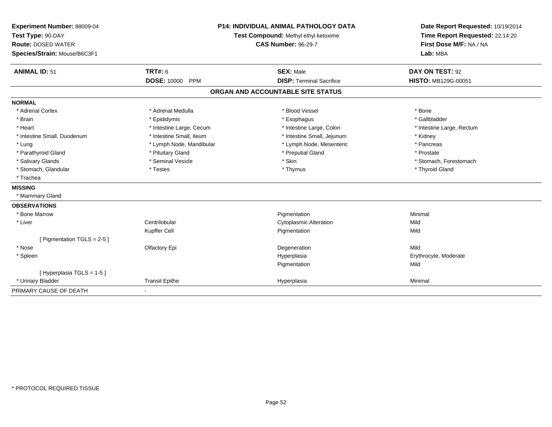| Experiment Number: 88009-04<br>Test Type: 90-DAY<br><b>Route: DOSED WATER</b><br>Species/Strain: Mouse/B6C3F1 |                                  | P14: INDIVIDUAL ANIMAL PATHOLOGY DATA<br>Test Compound: Methyl ethyl ketoxime<br><b>CAS Number: 96-29-7</b> | Date Report Requested: 10/19/2014<br>Time Report Requested: 22:14:20<br>First Dose M/F: NA / NA<br>Lab: MBA |  |
|---------------------------------------------------------------------------------------------------------------|----------------------------------|-------------------------------------------------------------------------------------------------------------|-------------------------------------------------------------------------------------------------------------|--|
| <b>ANIMAL ID: 51</b>                                                                                          | <b>TRT#: 6</b>                   | <b>SEX: Male</b>                                                                                            | DAY ON TEST: 92                                                                                             |  |
|                                                                                                               | <b>DOSE: 10000</b><br><b>PPM</b> | <b>DISP: Terminal Sacrifice</b>                                                                             | <b>HISTO: MB129G-00051</b>                                                                                  |  |
|                                                                                                               |                                  | ORGAN AND ACCOUNTABLE SITE STATUS                                                                           |                                                                                                             |  |
| <b>NORMAL</b>                                                                                                 |                                  |                                                                                                             |                                                                                                             |  |
| * Adrenal Cortex                                                                                              | * Adrenal Medulla                | * Blood Vessel                                                                                              | * Bone                                                                                                      |  |
| * Brain                                                                                                       | * Epididymis                     | * Esophagus                                                                                                 | * Gallbladder                                                                                               |  |
| * Heart                                                                                                       | * Intestine Large, Cecum         | * Intestine Large, Colon                                                                                    | * Intestine Large, Rectum                                                                                   |  |
| * Intestine Small, Duodenum                                                                                   | * Intestine Small, Ileum         | * Intestine Small, Jejunum                                                                                  | * Kidney                                                                                                    |  |
| * Lung                                                                                                        | * Lymph Node, Mandibular         | * Lymph Node, Mesenteric                                                                                    | * Pancreas                                                                                                  |  |
| * Parathyroid Gland                                                                                           | * Pituitary Gland                | * Preputial Gland                                                                                           | * Prostate                                                                                                  |  |
| * Salivary Glands                                                                                             | * Seminal Vesicle                | * Skin                                                                                                      | * Stomach, Forestomach                                                                                      |  |
| * Stomach, Glandular                                                                                          | * Testes                         | * Thymus                                                                                                    | * Thyroid Gland                                                                                             |  |
| * Trachea                                                                                                     |                                  |                                                                                                             |                                                                                                             |  |
| <b>MISSING</b>                                                                                                |                                  |                                                                                                             |                                                                                                             |  |
| * Mammary Gland                                                                                               |                                  |                                                                                                             |                                                                                                             |  |
| <b>OBSERVATIONS</b>                                                                                           |                                  |                                                                                                             |                                                                                                             |  |
| * Bone Marrow                                                                                                 |                                  | Pigmentation                                                                                                | Minimal                                                                                                     |  |
| * Liver                                                                                                       | Centrilobular                    | <b>Cytoplasmic Alteration</b>                                                                               | Mild                                                                                                        |  |
|                                                                                                               | Kupffer Cell                     | Pigmentation                                                                                                | Mild                                                                                                        |  |
| [ Pigmentation TGLS = 2-5 ]                                                                                   |                                  |                                                                                                             |                                                                                                             |  |
| * Nose                                                                                                        | Olfactory Epi                    | Degeneration                                                                                                | Mild                                                                                                        |  |
| * Spleen                                                                                                      |                                  | Hyperplasia                                                                                                 | Erythrocyte, Moderate                                                                                       |  |
|                                                                                                               |                                  | Pigmentation                                                                                                | Mild                                                                                                        |  |
| [Hyperplasia TGLS = 1-5]                                                                                      |                                  |                                                                                                             |                                                                                                             |  |
| * Urinary Bladder                                                                                             | <b>Transit Epithe</b>            | Hyperplasia                                                                                                 | Minimal                                                                                                     |  |
| PRIMARY CAUSE OF DEATH                                                                                        |                                  |                                                                                                             |                                                                                                             |  |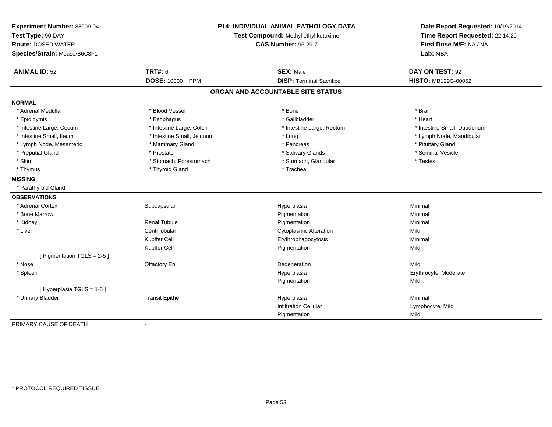| Experiment Number: 88009-04<br>Test Type: 90-DAY<br><b>Route: DOSED WATER</b><br>Species/Strain: Mouse/B6C3F1 |                            | P14: INDIVIDUAL ANIMAL PATHOLOGY DATA<br>Test Compound: Methyl ethyl ketoxime<br><b>CAS Number: 96-29-7</b> | Date Report Requested: 10/19/2014<br>Time Report Requested: 22:14:20<br>First Dose M/F: NA / NA<br>Lab: MBA |  |
|---------------------------------------------------------------------------------------------------------------|----------------------------|-------------------------------------------------------------------------------------------------------------|-------------------------------------------------------------------------------------------------------------|--|
| <b>ANIMAL ID: 52</b>                                                                                          | <b>TRT#: 6</b>             | <b>SEX: Male</b>                                                                                            | DAY ON TEST: 92                                                                                             |  |
|                                                                                                               | <b>DOSE: 10000 PPM</b>     | <b>DISP: Terminal Sacrifice</b>                                                                             | HISTO: MB129G-00052                                                                                         |  |
|                                                                                                               |                            | ORGAN AND ACCOUNTABLE SITE STATUS                                                                           |                                                                                                             |  |
| <b>NORMAL</b>                                                                                                 |                            |                                                                                                             |                                                                                                             |  |
| * Adrenal Medulla                                                                                             | * Blood Vessel             | * Bone                                                                                                      | * Brain                                                                                                     |  |
| * Epididymis                                                                                                  | * Esophagus                | * Gallbladder                                                                                               | * Heart                                                                                                     |  |
| * Intestine Large, Cecum                                                                                      | * Intestine Large, Colon   | * Intestine Large, Rectum                                                                                   | * Intestine Small, Duodenum                                                                                 |  |
| * Intestine Small, Ileum                                                                                      | * Intestine Small, Jejunum | * Lung                                                                                                      | * Lymph Node, Mandibular                                                                                    |  |
| * Lymph Node, Mesenteric                                                                                      | * Mammary Gland            | * Pancreas                                                                                                  | * Pituitary Gland                                                                                           |  |
| * Preputial Gland                                                                                             | * Prostate                 | * Salivary Glands                                                                                           | * Seminal Vesicle                                                                                           |  |
| * Skin                                                                                                        | * Stomach, Forestomach     | * Stomach, Glandular                                                                                        | * Testes                                                                                                    |  |
| * Thymus                                                                                                      | * Thyroid Gland            | * Trachea                                                                                                   |                                                                                                             |  |
| <b>MISSING</b>                                                                                                |                            |                                                                                                             |                                                                                                             |  |
| * Parathyroid Gland                                                                                           |                            |                                                                                                             |                                                                                                             |  |
| <b>OBSERVATIONS</b>                                                                                           |                            |                                                                                                             |                                                                                                             |  |
| * Adrenal Cortex                                                                                              | Subcapsular                | Hyperplasia                                                                                                 | Minimal                                                                                                     |  |
| * Bone Marrow                                                                                                 |                            | Pigmentation                                                                                                | Minimal                                                                                                     |  |
| * Kidney                                                                                                      | <b>Renal Tubule</b>        | Pigmentation                                                                                                | Minimal                                                                                                     |  |
| * Liver                                                                                                       | Centrilobular              | <b>Cytoplasmic Alteration</b>                                                                               | Mild                                                                                                        |  |
|                                                                                                               | Kupffer Cell               | Erythrophagocytosis                                                                                         | Minimal                                                                                                     |  |
|                                                                                                               | Kupffer Cell               | Pigmentation                                                                                                | Mild                                                                                                        |  |
| [ Pigmentation TGLS = 2-5 ]                                                                                   |                            |                                                                                                             |                                                                                                             |  |
| * Nose                                                                                                        | Olfactory Epi              | Degeneration                                                                                                | Mild                                                                                                        |  |
| * Spleen                                                                                                      |                            | Hyperplasia                                                                                                 | Erythrocyte, Moderate                                                                                       |  |
|                                                                                                               |                            | Pigmentation                                                                                                | Mild                                                                                                        |  |
| [Hyperplasia TGLS = 1-5]                                                                                      |                            |                                                                                                             |                                                                                                             |  |
| * Urinary Bladder                                                                                             | <b>Transit Epithe</b>      | Hyperplasia                                                                                                 | Minimal                                                                                                     |  |
|                                                                                                               |                            | <b>Infiltration Cellular</b>                                                                                | Lymphocyte, Mild                                                                                            |  |
|                                                                                                               |                            | Pigmentation                                                                                                | Mild                                                                                                        |  |
| PRIMARY CAUSE OF DEATH                                                                                        |                            |                                                                                                             |                                                                                                             |  |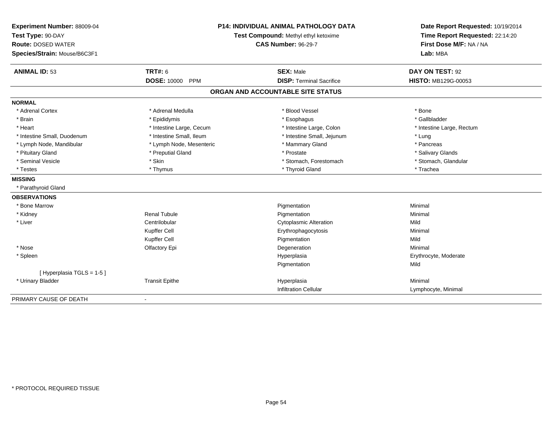| Experiment Number: 88009-04<br>Test Type: 90-DAY<br><b>Route: DOSED WATER</b><br>Species/Strain: Mouse/B6C3F1 |                                  | <b>P14: INDIVIDUAL ANIMAL PATHOLOGY DATA</b><br>Test Compound: Methyl ethyl ketoxime<br><b>CAS Number: 96-29-7</b> | Date Report Requested: 10/19/2014<br>Time Report Requested: 22:14:20<br>First Dose M/F: NA / NA<br>Lab: MBA |  |
|---------------------------------------------------------------------------------------------------------------|----------------------------------|--------------------------------------------------------------------------------------------------------------------|-------------------------------------------------------------------------------------------------------------|--|
| <b>ANIMAL ID: 53</b>                                                                                          | <b>TRT#: 6</b>                   | <b>SEX: Male</b>                                                                                                   | DAY ON TEST: 92                                                                                             |  |
|                                                                                                               | <b>DOSE: 10000</b><br><b>PPM</b> | <b>DISP: Terminal Sacrifice</b>                                                                                    | HISTO: MB129G-00053                                                                                         |  |
|                                                                                                               |                                  | ORGAN AND ACCOUNTABLE SITE STATUS                                                                                  |                                                                                                             |  |
| <b>NORMAL</b>                                                                                                 |                                  |                                                                                                                    |                                                                                                             |  |
| * Adrenal Cortex                                                                                              | * Adrenal Medulla                | * Blood Vessel                                                                                                     | * Bone                                                                                                      |  |
| * Brain                                                                                                       | * Epididymis                     | * Esophagus                                                                                                        | * Gallbladder                                                                                               |  |
| * Heart                                                                                                       | * Intestine Large, Cecum         | * Intestine Large, Colon                                                                                           | * Intestine Large, Rectum                                                                                   |  |
| * Intestine Small, Duodenum                                                                                   | * Intestine Small, Ileum         | * Intestine Small, Jejunum                                                                                         | * Lung                                                                                                      |  |
| * Lymph Node, Mandibular                                                                                      | * Lymph Node, Mesenteric         | * Mammary Gland                                                                                                    | * Pancreas                                                                                                  |  |
| * Pituitary Gland                                                                                             | * Preputial Gland                | * Prostate                                                                                                         | * Salivary Glands                                                                                           |  |
| * Seminal Vesicle                                                                                             | * Skin                           | * Stomach, Forestomach                                                                                             | * Stomach, Glandular                                                                                        |  |
| * Testes                                                                                                      | * Thymus                         | * Thyroid Gland                                                                                                    | * Trachea                                                                                                   |  |
| <b>MISSING</b>                                                                                                |                                  |                                                                                                                    |                                                                                                             |  |
| * Parathyroid Gland                                                                                           |                                  |                                                                                                                    |                                                                                                             |  |
| <b>OBSERVATIONS</b>                                                                                           |                                  |                                                                                                                    |                                                                                                             |  |
| * Bone Marrow                                                                                                 |                                  | Pigmentation                                                                                                       | Minimal                                                                                                     |  |
| * Kidney                                                                                                      | <b>Renal Tubule</b>              | Pigmentation                                                                                                       | Minimal                                                                                                     |  |
| * Liver                                                                                                       | Centrilobular                    | <b>Cytoplasmic Alteration</b>                                                                                      | Mild                                                                                                        |  |
|                                                                                                               | Kupffer Cell                     | Erythrophagocytosis                                                                                                | Minimal                                                                                                     |  |
|                                                                                                               | Kupffer Cell                     | Pigmentation                                                                                                       | Mild                                                                                                        |  |
| * Nose                                                                                                        | Olfactory Epi                    | Degeneration                                                                                                       | Minimal                                                                                                     |  |
| * Spleen                                                                                                      |                                  | Hyperplasia                                                                                                        | Erythrocyte, Moderate                                                                                       |  |
|                                                                                                               |                                  | Pigmentation                                                                                                       | Mild                                                                                                        |  |
| [Hyperplasia TGLS = 1-5]                                                                                      |                                  |                                                                                                                    |                                                                                                             |  |
| * Urinary Bladder                                                                                             | <b>Transit Epithe</b>            | Hyperplasia                                                                                                        | Minimal                                                                                                     |  |
|                                                                                                               |                                  | <b>Infiltration Cellular</b>                                                                                       | Lymphocyte, Minimal                                                                                         |  |
| PRIMARY CAUSE OF DEATH                                                                                        |                                  |                                                                                                                    |                                                                                                             |  |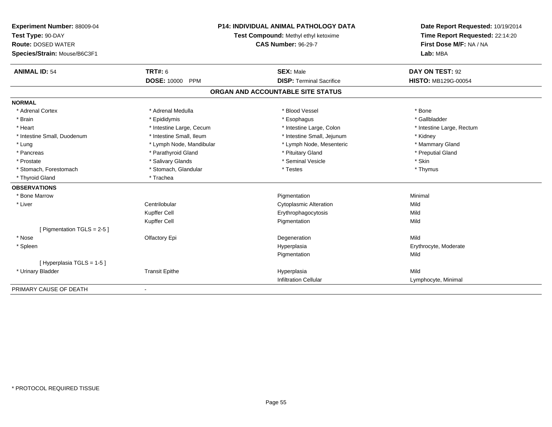| Experiment Number: 88009-04<br>Test Type: 90-DAY<br><b>Route: DOSED WATER</b><br>Species/Strain: Mouse/B6C3F1 |                                      | <b>P14: INDIVIDUAL ANIMAL PATHOLOGY DATA</b><br>Test Compound: Methyl ethyl ketoxime<br><b>CAS Number: 96-29-7</b> | Date Report Requested: 10/19/2014<br>Time Report Requested: 22:14:20<br>First Dose M/F: NA / NA<br>Lab: MBA |  |
|---------------------------------------------------------------------------------------------------------------|--------------------------------------|--------------------------------------------------------------------------------------------------------------------|-------------------------------------------------------------------------------------------------------------|--|
|                                                                                                               |                                      |                                                                                                                    |                                                                                                             |  |
| <b>ANIMAL ID: 54</b>                                                                                          | <b>TRT#: 6</b><br><b>DOSE: 10000</b> | <b>SEX: Male</b><br><b>DISP: Terminal Sacrifice</b>                                                                | DAY ON TEST: 92<br><b>HISTO: MB129G-00054</b>                                                               |  |
|                                                                                                               | <b>PPM</b>                           |                                                                                                                    |                                                                                                             |  |
|                                                                                                               |                                      | ORGAN AND ACCOUNTABLE SITE STATUS                                                                                  |                                                                                                             |  |
| <b>NORMAL</b>                                                                                                 |                                      |                                                                                                                    |                                                                                                             |  |
| * Adrenal Cortex                                                                                              | * Adrenal Medulla                    | * Blood Vessel                                                                                                     | * Bone                                                                                                      |  |
| * Brain                                                                                                       | * Epididymis                         | * Esophagus                                                                                                        | * Gallbladder                                                                                               |  |
| * Heart                                                                                                       | * Intestine Large, Cecum             | * Intestine Large, Colon                                                                                           | * Intestine Large, Rectum                                                                                   |  |
| * Intestine Small, Duodenum                                                                                   | * Intestine Small, Ileum             | * Intestine Small, Jejunum                                                                                         | * Kidney                                                                                                    |  |
| * Lung                                                                                                        | * Lymph Node, Mandibular             | * Lymph Node, Mesenteric                                                                                           | * Mammary Gland                                                                                             |  |
| * Pancreas                                                                                                    | * Parathyroid Gland                  | * Pituitary Gland                                                                                                  | * Preputial Gland                                                                                           |  |
| * Prostate                                                                                                    | * Salivary Glands                    | * Seminal Vesicle                                                                                                  | * Skin                                                                                                      |  |
| * Stomach, Forestomach                                                                                        | * Stomach, Glandular                 | * Testes                                                                                                           | * Thymus                                                                                                    |  |
| * Thyroid Gland                                                                                               | * Trachea                            |                                                                                                                    |                                                                                                             |  |
| <b>OBSERVATIONS</b>                                                                                           |                                      |                                                                                                                    |                                                                                                             |  |
| * Bone Marrow                                                                                                 |                                      | Pigmentation                                                                                                       | Minimal                                                                                                     |  |
| * Liver                                                                                                       | Centrilobular                        | <b>Cytoplasmic Alteration</b>                                                                                      | Mild                                                                                                        |  |
|                                                                                                               | Kupffer Cell                         | Erythrophagocytosis                                                                                                | Mild                                                                                                        |  |
|                                                                                                               | Kupffer Cell                         | Pigmentation                                                                                                       | Mild                                                                                                        |  |
| [Pigmentation TGLS = 2-5]                                                                                     |                                      |                                                                                                                    |                                                                                                             |  |
| * Nose                                                                                                        | Olfactory Epi                        | Degeneration                                                                                                       | Mild                                                                                                        |  |
| * Spleen                                                                                                      |                                      | Hyperplasia                                                                                                        | Erythrocyte, Moderate                                                                                       |  |
|                                                                                                               |                                      | Pigmentation                                                                                                       | Mild                                                                                                        |  |
| [Hyperplasia TGLS = 1-5]                                                                                      |                                      |                                                                                                                    |                                                                                                             |  |
| * Urinary Bladder                                                                                             | <b>Transit Epithe</b>                | Hyperplasia                                                                                                        | Mild                                                                                                        |  |
|                                                                                                               |                                      | <b>Infiltration Cellular</b>                                                                                       | Lymphocyte, Minimal                                                                                         |  |
| PRIMARY CAUSE OF DEATH                                                                                        |                                      |                                                                                                                    |                                                                                                             |  |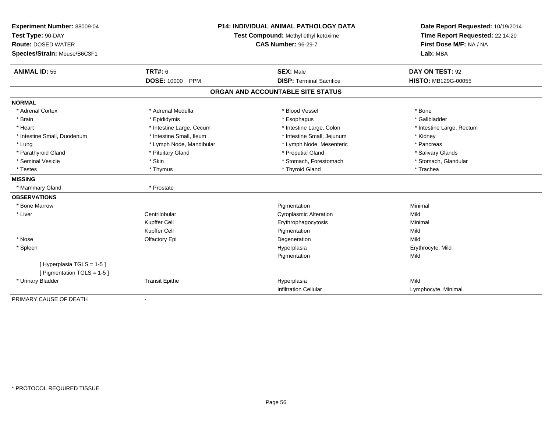| Experiment Number: 88009-04<br>Test Type: 90-DAY<br><b>Route: DOSED WATER</b><br>Species/Strain: Mouse/B6C3F1 |                          | <b>P14: INDIVIDUAL ANIMAL PATHOLOGY DATA</b><br>Test Compound: Methyl ethyl ketoxime<br><b>CAS Number: 96-29-7</b> | Date Report Requested: 10/19/2014<br>Time Report Requested: 22:14:20<br>First Dose M/F: NA / NA<br>Lab: MBA |  |
|---------------------------------------------------------------------------------------------------------------|--------------------------|--------------------------------------------------------------------------------------------------------------------|-------------------------------------------------------------------------------------------------------------|--|
| <b>ANIMAL ID: 55</b>                                                                                          | TRT#: 6                  | <b>SEX: Male</b>                                                                                                   | DAY ON TEST: 92                                                                                             |  |
|                                                                                                               | DOSE: 10000 PPM          | <b>DISP: Terminal Sacrifice</b>                                                                                    | <b>HISTO: MB129G-00055</b>                                                                                  |  |
|                                                                                                               |                          | ORGAN AND ACCOUNTABLE SITE STATUS                                                                                  |                                                                                                             |  |
| <b>NORMAL</b>                                                                                                 |                          |                                                                                                                    |                                                                                                             |  |
| * Adrenal Cortex                                                                                              | * Adrenal Medulla        | * Blood Vessel                                                                                                     | * Bone                                                                                                      |  |
| * Brain                                                                                                       | * Epididymis             | * Esophagus                                                                                                        | * Gallbladder                                                                                               |  |
| * Heart                                                                                                       | * Intestine Large, Cecum | * Intestine Large, Colon                                                                                           | * Intestine Large, Rectum                                                                                   |  |
| * Intestine Small, Duodenum                                                                                   | * Intestine Small, Ileum | * Intestine Small, Jejunum                                                                                         | * Kidney                                                                                                    |  |
| * Lung                                                                                                        | * Lymph Node, Mandibular | * Lymph Node, Mesenteric                                                                                           | * Pancreas                                                                                                  |  |
| * Parathyroid Gland                                                                                           | * Pituitary Gland        | * Preputial Gland                                                                                                  | * Salivary Glands                                                                                           |  |
| * Seminal Vesicle                                                                                             | * Skin                   | * Stomach, Forestomach                                                                                             | * Stomach, Glandular                                                                                        |  |
| * Testes                                                                                                      | * Thymus                 | * Thyroid Gland                                                                                                    | * Trachea                                                                                                   |  |
| <b>MISSING</b>                                                                                                |                          |                                                                                                                    |                                                                                                             |  |
| * Mammary Gland                                                                                               | * Prostate               |                                                                                                                    |                                                                                                             |  |
| <b>OBSERVATIONS</b>                                                                                           |                          |                                                                                                                    |                                                                                                             |  |
| * Bone Marrow                                                                                                 |                          | Pigmentation                                                                                                       | Minimal                                                                                                     |  |
| * Liver                                                                                                       | Centrilobular            | <b>Cytoplasmic Alteration</b>                                                                                      | Mild                                                                                                        |  |
|                                                                                                               | Kupffer Cell             | Erythrophagocytosis                                                                                                | Minimal                                                                                                     |  |
|                                                                                                               | Kupffer Cell             | Pigmentation                                                                                                       | Mild                                                                                                        |  |
| * Nose                                                                                                        | Olfactory Epi            | Degeneration                                                                                                       | Mild                                                                                                        |  |
| * Spleen                                                                                                      |                          | Hyperplasia                                                                                                        | Erythrocyte, Mild                                                                                           |  |
|                                                                                                               |                          | Pigmentation                                                                                                       | Mild                                                                                                        |  |
| [Hyperplasia TGLS = 1-5]<br>[ Pigmentation TGLS = 1-5 ]                                                       |                          |                                                                                                                    |                                                                                                             |  |
| * Urinary Bladder                                                                                             | <b>Transit Epithe</b>    | Hyperplasia                                                                                                        | Mild                                                                                                        |  |
|                                                                                                               |                          | <b>Infiltration Cellular</b>                                                                                       | Lymphocyte, Minimal                                                                                         |  |
| PRIMARY CAUSE OF DEATH                                                                                        |                          |                                                                                                                    |                                                                                                             |  |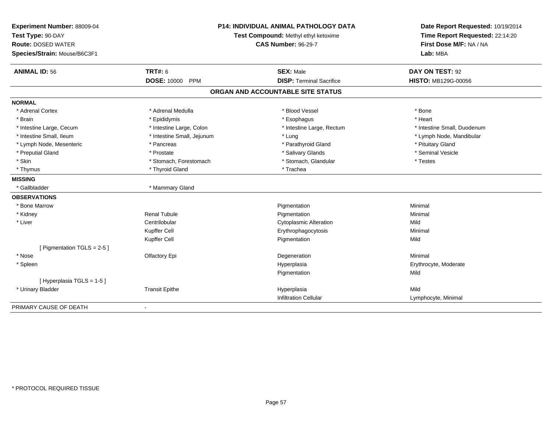| Experiment Number: 88009-04<br>Test Type: 90-DAY<br><b>Route: DOSED WATER</b><br>Species/Strain: Mouse/B6C3F1 | P14: INDIVIDUAL ANIMAL PATHOLOGY DATA<br>Test Compound: Methyl ethyl ketoxime<br><b>CAS Number: 96-29-7</b> |                                   | Date Report Requested: 10/19/2014<br>Time Report Requested: 22:14:20<br>First Dose M/F: NA / NA<br>Lab: MBA |
|---------------------------------------------------------------------------------------------------------------|-------------------------------------------------------------------------------------------------------------|-----------------------------------|-------------------------------------------------------------------------------------------------------------|
| <b>ANIMAL ID: 56</b>                                                                                          | <b>TRT#: 6</b>                                                                                              | <b>SEX: Male</b>                  | DAY ON TEST: 92                                                                                             |
|                                                                                                               | <b>DOSE: 10000</b><br><b>PPM</b>                                                                            | <b>DISP: Terminal Sacrifice</b>   | <b>HISTO: MB129G-00056</b>                                                                                  |
|                                                                                                               |                                                                                                             | ORGAN AND ACCOUNTABLE SITE STATUS |                                                                                                             |
| <b>NORMAL</b>                                                                                                 |                                                                                                             |                                   |                                                                                                             |
| * Adrenal Cortex                                                                                              | * Adrenal Medulla                                                                                           | * Blood Vessel                    | * Bone                                                                                                      |
| * Brain                                                                                                       | * Epididymis                                                                                                | * Esophagus                       | * Heart                                                                                                     |
| * Intestine Large, Cecum                                                                                      | * Intestine Large, Colon                                                                                    | * Intestine Large, Rectum         | * Intestine Small, Duodenum                                                                                 |
| * Intestine Small, Ileum                                                                                      | * Intestine Small, Jejunum                                                                                  | * Lung                            | * Lymph Node, Mandibular                                                                                    |
| * Lymph Node, Mesenteric                                                                                      | * Pancreas                                                                                                  | * Parathyroid Gland               | * Pituitary Gland                                                                                           |
| * Preputial Gland                                                                                             | * Prostate                                                                                                  | * Salivary Glands                 | * Seminal Vesicle                                                                                           |
| * Skin                                                                                                        | * Stomach, Forestomach                                                                                      | * Stomach, Glandular              | * Testes                                                                                                    |
| * Thymus                                                                                                      | * Thyroid Gland                                                                                             | * Trachea                         |                                                                                                             |
| <b>MISSING</b>                                                                                                |                                                                                                             |                                   |                                                                                                             |
| * Gallbladder                                                                                                 | * Mammary Gland                                                                                             |                                   |                                                                                                             |
| <b>OBSERVATIONS</b>                                                                                           |                                                                                                             |                                   |                                                                                                             |
| * Bone Marrow                                                                                                 |                                                                                                             | Pigmentation                      | Minimal                                                                                                     |
| * Kidney                                                                                                      | <b>Renal Tubule</b>                                                                                         | Pigmentation                      | Minimal                                                                                                     |
| * Liver                                                                                                       | Centrilobular                                                                                               | <b>Cytoplasmic Alteration</b>     | Mild                                                                                                        |
|                                                                                                               | Kupffer Cell                                                                                                | Erythrophagocytosis               | Minimal                                                                                                     |
|                                                                                                               | Kupffer Cell                                                                                                | Pigmentation                      | Mild                                                                                                        |
| [ Pigmentation TGLS = $2-5$ ]                                                                                 |                                                                                                             |                                   |                                                                                                             |
| * Nose                                                                                                        | Olfactory Epi                                                                                               | Degeneration                      | Minimal                                                                                                     |
| * Spleen                                                                                                      |                                                                                                             | Hyperplasia                       | Erythrocyte, Moderate                                                                                       |
|                                                                                                               |                                                                                                             | Pigmentation                      | Mild                                                                                                        |
| [ Hyperplasia TGLS = 1-5 ]                                                                                    |                                                                                                             |                                   |                                                                                                             |
| * Urinary Bladder                                                                                             | <b>Transit Epithe</b>                                                                                       | Hyperplasia                       | Mild                                                                                                        |
|                                                                                                               |                                                                                                             | Infiltration Cellular             | Lymphocyte, Minimal                                                                                         |
| PRIMARY CAUSE OF DEATH                                                                                        |                                                                                                             |                                   |                                                                                                             |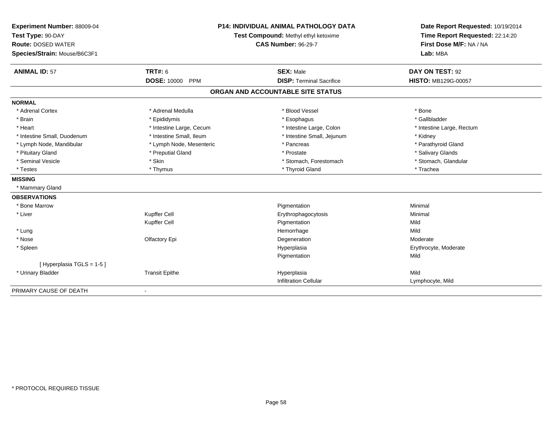| Experiment Number: 88009-04<br>Test Type: 90-DAY<br><b>Route: DOSED WATER</b><br>Species/Strain: Mouse/B6C3F1 |                                  | <b>P14: INDIVIDUAL ANIMAL PATHOLOGY DATA</b><br>Test Compound: Methyl ethyl ketoxime<br><b>CAS Number: 96-29-7</b> | Date Report Requested: 10/19/2014<br>Time Report Requested: 22:14:20<br>First Dose M/F: NA / NA<br>Lab: MBA |
|---------------------------------------------------------------------------------------------------------------|----------------------------------|--------------------------------------------------------------------------------------------------------------------|-------------------------------------------------------------------------------------------------------------|
| <b>ANIMAL ID: 57</b>                                                                                          | <b>TRT#: 6</b>                   | <b>SEX: Male</b>                                                                                                   | DAY ON TEST: 92                                                                                             |
|                                                                                                               | <b>DOSE: 10000</b><br><b>PPM</b> | <b>DISP: Terminal Sacrifice</b>                                                                                    | <b>HISTO: MB129G-00057</b>                                                                                  |
|                                                                                                               |                                  | ORGAN AND ACCOUNTABLE SITE STATUS                                                                                  |                                                                                                             |
| <b>NORMAL</b>                                                                                                 |                                  |                                                                                                                    |                                                                                                             |
| * Adrenal Cortex                                                                                              | * Adrenal Medulla                | * Blood Vessel                                                                                                     | * Bone                                                                                                      |
| * Brain                                                                                                       | * Epididymis                     | * Esophagus                                                                                                        | * Gallbladder                                                                                               |
| * Heart                                                                                                       | * Intestine Large, Cecum         | * Intestine Large, Colon                                                                                           | * Intestine Large, Rectum                                                                                   |
| * Intestine Small, Duodenum                                                                                   | * Intestine Small, Ileum         | * Intestine Small, Jejunum                                                                                         | * Kidney                                                                                                    |
| * Lymph Node, Mandibular                                                                                      | * Lymph Node, Mesenteric         | * Pancreas                                                                                                         | * Parathyroid Gland                                                                                         |
| * Pituitary Gland                                                                                             | * Preputial Gland                | * Prostate                                                                                                         | * Salivary Glands                                                                                           |
| * Seminal Vesicle                                                                                             | * Skin                           | * Stomach, Forestomach                                                                                             | * Stomach, Glandular                                                                                        |
| * Testes                                                                                                      | * Thymus                         | * Thyroid Gland                                                                                                    | * Trachea                                                                                                   |
| <b>MISSING</b>                                                                                                |                                  |                                                                                                                    |                                                                                                             |
| * Mammary Gland                                                                                               |                                  |                                                                                                                    |                                                                                                             |
| <b>OBSERVATIONS</b>                                                                                           |                                  |                                                                                                                    |                                                                                                             |
| * Bone Marrow                                                                                                 |                                  | Pigmentation                                                                                                       | Minimal                                                                                                     |
| * Liver                                                                                                       | Kupffer Cell                     | Erythrophagocytosis                                                                                                | Minimal                                                                                                     |
|                                                                                                               | Kupffer Cell                     | Pigmentation                                                                                                       | Mild                                                                                                        |
| * Lung                                                                                                        |                                  | Hemorrhage                                                                                                         | Mild                                                                                                        |
| * Nose                                                                                                        | Olfactory Epi                    | Degeneration                                                                                                       | Moderate                                                                                                    |
| * Spleen                                                                                                      |                                  | Hyperplasia                                                                                                        | Erythrocyte, Moderate                                                                                       |
|                                                                                                               |                                  | Pigmentation                                                                                                       | Mild                                                                                                        |
| [Hyperplasia TGLS = 1-5]                                                                                      |                                  |                                                                                                                    |                                                                                                             |
| * Urinary Bladder                                                                                             | <b>Transit Epithe</b>            | Hyperplasia                                                                                                        | Mild                                                                                                        |
|                                                                                                               |                                  | <b>Infiltration Cellular</b>                                                                                       | Lymphocyte, Mild                                                                                            |
| PRIMARY CAUSE OF DEATH                                                                                        | $\overline{\phantom{a}}$         |                                                                                                                    |                                                                                                             |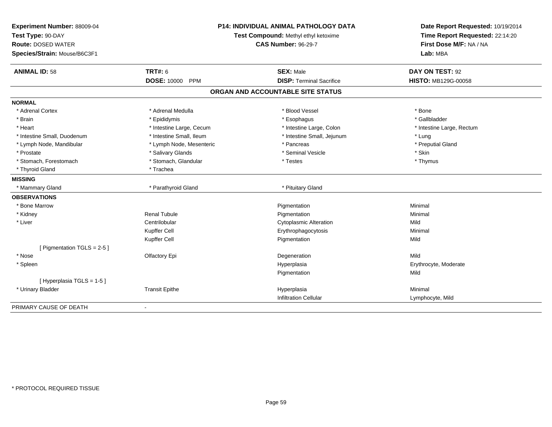| Experiment Number: 88009-04<br>Test Type: 90-DAY<br><b>Route: DOSED WATER</b><br>Species/Strain: Mouse/B6C3F1 | P14: INDIVIDUAL ANIMAL PATHOLOGY DATA<br>Test Compound: Methyl ethyl ketoxime<br><b>CAS Number: 96-29-7</b> |                                   | Date Report Requested: 10/19/2014<br>Time Report Requested: 22:14:20<br>First Dose M/F: NA / NA<br>Lab: MBA |
|---------------------------------------------------------------------------------------------------------------|-------------------------------------------------------------------------------------------------------------|-----------------------------------|-------------------------------------------------------------------------------------------------------------|
| <b>ANIMAL ID: 58</b>                                                                                          | <b>TRT#: 6</b>                                                                                              | <b>SEX: Male</b>                  | DAY ON TEST: 92                                                                                             |
|                                                                                                               | <b>DOSE: 10000</b><br><b>PPM</b>                                                                            | <b>DISP: Terminal Sacrifice</b>   | <b>HISTO: MB129G-00058</b>                                                                                  |
|                                                                                                               |                                                                                                             | ORGAN AND ACCOUNTABLE SITE STATUS |                                                                                                             |
| <b>NORMAL</b>                                                                                                 |                                                                                                             |                                   |                                                                                                             |
| * Adrenal Cortex                                                                                              | * Adrenal Medulla                                                                                           | * Blood Vessel                    | * Bone                                                                                                      |
| * Brain                                                                                                       | * Epididymis                                                                                                | * Esophagus                       | * Gallbladder                                                                                               |
| * Heart                                                                                                       | * Intestine Large, Cecum                                                                                    | * Intestine Large, Colon          | * Intestine Large, Rectum                                                                                   |
| * Intestine Small, Duodenum                                                                                   | * Intestine Small, Ileum                                                                                    | * Intestine Small, Jejunum        | * Lung                                                                                                      |
| * Lymph Node, Mandibular                                                                                      | * Lymph Node, Mesenteric                                                                                    | * Pancreas                        | * Preputial Gland                                                                                           |
| * Prostate                                                                                                    | * Salivary Glands                                                                                           | * Seminal Vesicle                 | * Skin                                                                                                      |
| * Stomach, Forestomach                                                                                        | * Stomach, Glandular                                                                                        | * Testes                          | * Thymus                                                                                                    |
| * Thyroid Gland                                                                                               | * Trachea                                                                                                   |                                   |                                                                                                             |
| <b>MISSING</b>                                                                                                |                                                                                                             |                                   |                                                                                                             |
| * Mammary Gland                                                                                               | * Parathyroid Gland                                                                                         | * Pituitary Gland                 |                                                                                                             |
| <b>OBSERVATIONS</b>                                                                                           |                                                                                                             |                                   |                                                                                                             |
| * Bone Marrow                                                                                                 |                                                                                                             | Pigmentation                      | Minimal                                                                                                     |
| * Kidney                                                                                                      | <b>Renal Tubule</b>                                                                                         | Pigmentation                      | Minimal                                                                                                     |
| * Liver                                                                                                       | Centrilobular                                                                                               | <b>Cytoplasmic Alteration</b>     | Mild                                                                                                        |
|                                                                                                               | Kupffer Cell                                                                                                | Erythrophagocytosis               | Minimal                                                                                                     |
|                                                                                                               | Kupffer Cell                                                                                                | Pigmentation                      | Mild                                                                                                        |
| [ Pigmentation TGLS = $2-5$ ]                                                                                 |                                                                                                             |                                   |                                                                                                             |
| * Nose                                                                                                        | Olfactory Epi                                                                                               | Degeneration                      | Mild                                                                                                        |
| * Spleen                                                                                                      |                                                                                                             | Hyperplasia                       | Erythrocyte, Moderate                                                                                       |
|                                                                                                               |                                                                                                             | Pigmentation                      | Mild                                                                                                        |
| [ Hyperplasia TGLS = 1-5 ]                                                                                    |                                                                                                             |                                   |                                                                                                             |
| * Urinary Bladder                                                                                             | <b>Transit Epithe</b>                                                                                       | Hyperplasia                       | Minimal                                                                                                     |
|                                                                                                               |                                                                                                             | Infiltration Cellular             | Lymphocyte, Mild                                                                                            |
| PRIMARY CAUSE OF DEATH                                                                                        |                                                                                                             |                                   |                                                                                                             |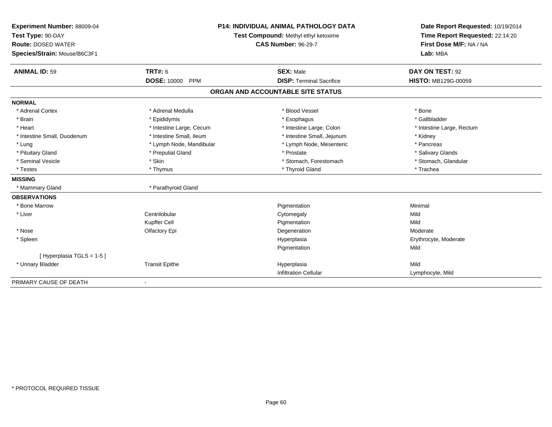| Experiment Number: 88009-04<br>Test Type: 90-DAY<br><b>Route: DOSED WATER</b><br>Species/Strain: Mouse/B6C3F1 |                                  | P14: INDIVIDUAL ANIMAL PATHOLOGY DATA<br>Test Compound: Methyl ethyl ketoxime<br><b>CAS Number: 96-29-7</b> | Date Report Requested: 10/19/2014<br>Time Report Requested: 22:14:20<br>First Dose M/F: NA / NA<br>Lab: MBA |  |
|---------------------------------------------------------------------------------------------------------------|----------------------------------|-------------------------------------------------------------------------------------------------------------|-------------------------------------------------------------------------------------------------------------|--|
| <b>ANIMAL ID: 59</b>                                                                                          | <b>TRT#: 6</b>                   | <b>SEX: Male</b>                                                                                            | DAY ON TEST: 92                                                                                             |  |
|                                                                                                               | <b>DOSE: 10000</b><br><b>PPM</b> | <b>DISP: Terminal Sacrifice</b>                                                                             | <b>HISTO: MB129G-00059</b>                                                                                  |  |
|                                                                                                               |                                  | ORGAN AND ACCOUNTABLE SITE STATUS                                                                           |                                                                                                             |  |
| <b>NORMAL</b>                                                                                                 |                                  |                                                                                                             |                                                                                                             |  |
| * Adrenal Cortex                                                                                              | * Adrenal Medulla                | * Blood Vessel                                                                                              | * Bone                                                                                                      |  |
| * Brain                                                                                                       | * Epididymis                     | * Esophagus                                                                                                 | * Gallbladder                                                                                               |  |
| * Heart                                                                                                       | * Intestine Large, Cecum         | * Intestine Large, Colon                                                                                    | * Intestine Large, Rectum                                                                                   |  |
| * Intestine Small, Duodenum                                                                                   | * Intestine Small, Ileum         | * Intestine Small, Jejunum                                                                                  | * Kidney                                                                                                    |  |
| * Lung                                                                                                        | * Lymph Node, Mandibular         | * Lymph Node, Mesenteric                                                                                    | * Pancreas                                                                                                  |  |
| * Pituitary Gland                                                                                             | * Preputial Gland                | * Prostate                                                                                                  | * Salivary Glands                                                                                           |  |
| * Seminal Vesicle                                                                                             | * Skin                           | * Stomach, Forestomach                                                                                      | * Stomach, Glandular                                                                                        |  |
| * Testes                                                                                                      | * Thymus                         | * Thyroid Gland                                                                                             | * Trachea                                                                                                   |  |
| <b>MISSING</b>                                                                                                |                                  |                                                                                                             |                                                                                                             |  |
| * Mammary Gland                                                                                               | * Parathyroid Gland              |                                                                                                             |                                                                                                             |  |
| <b>OBSERVATIONS</b>                                                                                           |                                  |                                                                                                             |                                                                                                             |  |
| * Bone Marrow                                                                                                 |                                  | Pigmentation                                                                                                | Minimal                                                                                                     |  |
| * Liver                                                                                                       | Centrilobular                    | Cytomegaly                                                                                                  | Mild                                                                                                        |  |
|                                                                                                               | <b>Kupffer Cell</b>              | Pigmentation                                                                                                | Mild                                                                                                        |  |
| * Nose                                                                                                        | Olfactory Epi                    | Degeneration                                                                                                | Moderate                                                                                                    |  |
| * Spleen                                                                                                      |                                  | Hyperplasia                                                                                                 | Erythrocyte, Moderate                                                                                       |  |
|                                                                                                               |                                  | Pigmentation                                                                                                | Mild                                                                                                        |  |
| [Hyperplasia TGLS = 1-5]                                                                                      |                                  |                                                                                                             |                                                                                                             |  |
| * Urinary Bladder                                                                                             | <b>Transit Epithe</b>            | Hyperplasia                                                                                                 | Mild                                                                                                        |  |
|                                                                                                               |                                  | <b>Infiltration Cellular</b>                                                                                | Lymphocyte, Mild                                                                                            |  |
| PRIMARY CAUSE OF DEATH                                                                                        | $\overline{\phantom{a}}$         |                                                                                                             |                                                                                                             |  |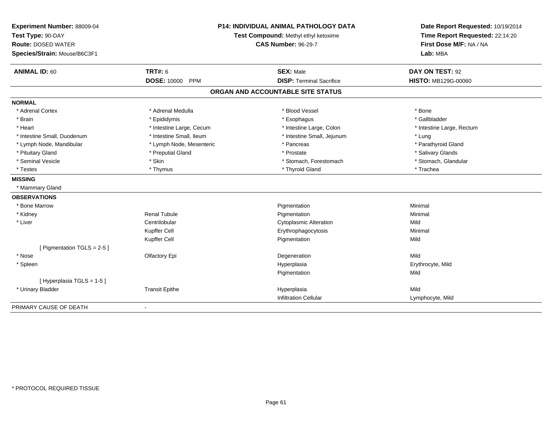| Experiment Number: 88009-04<br>Test Type: 90-DAY<br><b>Route: DOSED WATER</b><br>Species/Strain: Mouse/B6C3F1 | P14: INDIVIDUAL ANIMAL PATHOLOGY DATA<br>Test Compound: Methyl ethyl ketoxime<br><b>CAS Number: 96-29-7</b> |                                   | Date Report Requested: 10/19/2014<br>Time Report Requested: 22:14:20<br>First Dose M/F: NA / NA<br>Lab: MBA |
|---------------------------------------------------------------------------------------------------------------|-------------------------------------------------------------------------------------------------------------|-----------------------------------|-------------------------------------------------------------------------------------------------------------|
| <b>ANIMAL ID: 60</b>                                                                                          | <b>TRT#: 6</b>                                                                                              | <b>SEX: Male</b>                  | DAY ON TEST: 92                                                                                             |
|                                                                                                               | <b>DOSE: 10000</b><br>PPM                                                                                   | <b>DISP: Terminal Sacrifice</b>   | <b>HISTO: MB129G-00060</b>                                                                                  |
|                                                                                                               |                                                                                                             | ORGAN AND ACCOUNTABLE SITE STATUS |                                                                                                             |
| <b>NORMAL</b>                                                                                                 |                                                                                                             |                                   |                                                                                                             |
| * Adrenal Cortex                                                                                              | * Adrenal Medulla                                                                                           | * Blood Vessel                    | * Bone                                                                                                      |
| * Brain                                                                                                       | * Epididymis                                                                                                | * Esophagus                       | * Gallbladder                                                                                               |
| * Heart                                                                                                       | * Intestine Large, Cecum                                                                                    | * Intestine Large, Colon          | * Intestine Large, Rectum                                                                                   |
| * Intestine Small, Duodenum                                                                                   | * Intestine Small, Ileum                                                                                    | * Intestine Small, Jejunum        | * Lung                                                                                                      |
| * Lymph Node, Mandibular                                                                                      | * Lymph Node, Mesenteric                                                                                    | * Pancreas                        | * Parathyroid Gland                                                                                         |
| * Pituitary Gland                                                                                             | * Preputial Gland                                                                                           | * Prostate                        | * Salivary Glands                                                                                           |
| * Seminal Vesicle                                                                                             | * Skin                                                                                                      | * Stomach, Forestomach            | * Stomach, Glandular                                                                                        |
| * Testes                                                                                                      | * Thymus                                                                                                    | * Thyroid Gland                   | * Trachea                                                                                                   |
| <b>MISSING</b>                                                                                                |                                                                                                             |                                   |                                                                                                             |
| * Mammary Gland                                                                                               |                                                                                                             |                                   |                                                                                                             |
| <b>OBSERVATIONS</b>                                                                                           |                                                                                                             |                                   |                                                                                                             |
| * Bone Marrow                                                                                                 |                                                                                                             | Pigmentation                      | Minimal                                                                                                     |
| * Kidney                                                                                                      | <b>Renal Tubule</b>                                                                                         | Pigmentation                      | Minimal                                                                                                     |
| * Liver                                                                                                       | Centrilobular                                                                                               | <b>Cytoplasmic Alteration</b>     | Mild                                                                                                        |
|                                                                                                               | Kupffer Cell                                                                                                | Erythrophagocytosis               | Minimal                                                                                                     |
|                                                                                                               | Kupffer Cell                                                                                                | Pigmentation                      | Mild                                                                                                        |
| [ Pigmentation TGLS = $2-5$ ]                                                                                 |                                                                                                             |                                   |                                                                                                             |
| * Nose                                                                                                        | Olfactory Epi                                                                                               | Degeneration                      | Mild                                                                                                        |
| * Spleen                                                                                                      |                                                                                                             | Hyperplasia                       | Erythrocyte, Mild                                                                                           |
|                                                                                                               |                                                                                                             | Pigmentation                      | Mild                                                                                                        |
| [ Hyperplasia TGLS = 1-5 ]                                                                                    |                                                                                                             |                                   |                                                                                                             |
| * Urinary Bladder                                                                                             | <b>Transit Epithe</b>                                                                                       | Hyperplasia                       | Mild                                                                                                        |
|                                                                                                               |                                                                                                             | Infiltration Cellular             | Lymphocyte, Mild                                                                                            |
| PRIMARY CAUSE OF DEATH                                                                                        |                                                                                                             |                                   |                                                                                                             |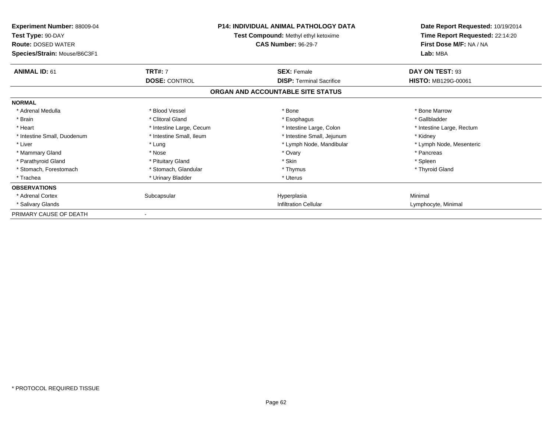| <b>Experiment Number: 88009-04</b><br>Test Type: 90-DAY<br><b>Route: DOSED WATER</b><br>Species/Strain: Mouse/B6C3F1 |                          | <b>P14: INDIVIDUAL ANIMAL PATHOLOGY DATA</b><br>Test Compound: Methyl ethyl ketoxime<br><b>CAS Number: 96-29-7</b> | Date Report Requested: 10/19/2014<br>Time Report Requested: 22:14:20<br>First Dose M/F: NA / NA<br>Lab: MBA |
|----------------------------------------------------------------------------------------------------------------------|--------------------------|--------------------------------------------------------------------------------------------------------------------|-------------------------------------------------------------------------------------------------------------|
| <b>ANIMAL ID: 61</b>                                                                                                 | <b>TRT#: 7</b>           | <b>SEX: Female</b>                                                                                                 | DAY ON TEST: 93                                                                                             |
|                                                                                                                      | <b>DOSE: CONTROL</b>     | <b>DISP: Terminal Sacrifice</b>                                                                                    | <b>HISTO: MB129G-00061</b>                                                                                  |
|                                                                                                                      |                          | ORGAN AND ACCOUNTABLE SITE STATUS                                                                                  |                                                                                                             |
| <b>NORMAL</b>                                                                                                        |                          |                                                                                                                    |                                                                                                             |
| * Adrenal Medulla                                                                                                    | * Blood Vessel           | * Bone                                                                                                             | * Bone Marrow                                                                                               |
| * Brain                                                                                                              | * Clitoral Gland         | * Esophagus                                                                                                        | * Gallbladder                                                                                               |
| * Heart                                                                                                              | * Intestine Large, Cecum | * Intestine Large, Colon                                                                                           | * Intestine Large, Rectum                                                                                   |
| * Intestine Small, Duodenum                                                                                          | * Intestine Small, Ileum | * Intestine Small, Jejunum                                                                                         | * Kidney                                                                                                    |
| * Liver                                                                                                              | * Lung                   | * Lymph Node, Mandibular                                                                                           | * Lymph Node, Mesenteric                                                                                    |
| * Mammary Gland                                                                                                      | * Nose                   | * Ovary                                                                                                            | * Pancreas                                                                                                  |
| * Parathyroid Gland                                                                                                  | * Pituitary Gland        | * Skin                                                                                                             | * Spleen                                                                                                    |
| * Stomach, Forestomach                                                                                               | * Stomach, Glandular     | * Thymus                                                                                                           | * Thyroid Gland                                                                                             |
| * Trachea                                                                                                            | * Urinary Bladder        | * Uterus                                                                                                           |                                                                                                             |
| <b>OBSERVATIONS</b>                                                                                                  |                          |                                                                                                                    |                                                                                                             |
| * Adrenal Cortex                                                                                                     | Subcapsular              | Hyperplasia                                                                                                        | Minimal                                                                                                     |
| * Salivary Glands                                                                                                    |                          | <b>Infiltration Cellular</b>                                                                                       | Lymphocyte, Minimal                                                                                         |
| PRIMARY CAUSE OF DEATH                                                                                               |                          |                                                                                                                    |                                                                                                             |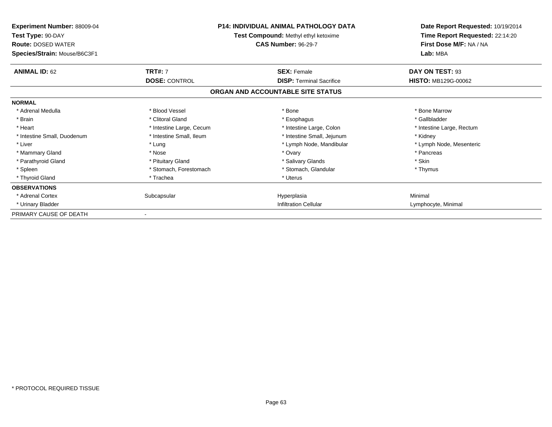| <b>Experiment Number: 88009-04</b><br>Test Type: 90-DAY<br><b>Route: DOSED WATER</b><br>Species/Strain: Mouse/B6C3F1 |                          | <b>P14: INDIVIDUAL ANIMAL PATHOLOGY DATA</b><br>Test Compound: Methyl ethyl ketoxime<br><b>CAS Number: 96-29-7</b> | Date Report Requested: 10/19/2014<br>Time Report Requested: 22:14:20<br>First Dose M/F: NA / NA<br>Lab: MBA |
|----------------------------------------------------------------------------------------------------------------------|--------------------------|--------------------------------------------------------------------------------------------------------------------|-------------------------------------------------------------------------------------------------------------|
| <b>ANIMAL ID: 62</b>                                                                                                 | <b>TRT#: 7</b>           | <b>SEX: Female</b>                                                                                                 | DAY ON TEST: 93                                                                                             |
|                                                                                                                      | <b>DOSE: CONTROL</b>     | <b>DISP: Terminal Sacrifice</b>                                                                                    | <b>HISTO: MB129G-00062</b>                                                                                  |
|                                                                                                                      |                          | ORGAN AND ACCOUNTABLE SITE STATUS                                                                                  |                                                                                                             |
| <b>NORMAL</b>                                                                                                        |                          |                                                                                                                    |                                                                                                             |
| * Adrenal Medulla                                                                                                    | * Blood Vessel           | * Bone                                                                                                             | * Bone Marrow                                                                                               |
| * Brain                                                                                                              | * Clitoral Gland         | * Esophagus                                                                                                        | * Gallbladder                                                                                               |
| * Heart                                                                                                              | * Intestine Large, Cecum | * Intestine Large, Colon                                                                                           | * Intestine Large, Rectum                                                                                   |
| * Intestine Small, Duodenum                                                                                          | * Intestine Small, Ileum | * Intestine Small, Jejunum                                                                                         | * Kidney                                                                                                    |
| * Liver                                                                                                              | * Lung                   | * Lymph Node, Mandibular                                                                                           | * Lymph Node, Mesenteric                                                                                    |
| * Mammary Gland                                                                                                      | * Nose                   | * Ovary                                                                                                            | * Pancreas                                                                                                  |
| * Parathyroid Gland                                                                                                  | * Pituitary Gland        | * Salivary Glands                                                                                                  | * Skin                                                                                                      |
| * Spleen                                                                                                             | * Stomach, Forestomach   | * Stomach, Glandular                                                                                               | * Thymus                                                                                                    |
| * Thyroid Gland                                                                                                      | * Trachea                | * Uterus                                                                                                           |                                                                                                             |
| <b>OBSERVATIONS</b>                                                                                                  |                          |                                                                                                                    |                                                                                                             |
| * Adrenal Cortex                                                                                                     | Subcapsular              | Hyperplasia                                                                                                        | Minimal                                                                                                     |
| * Urinary Bladder                                                                                                    |                          | <b>Infiltration Cellular</b>                                                                                       | Lymphocyte, Minimal                                                                                         |
| PRIMARY CAUSE OF DEATH                                                                                               |                          |                                                                                                                    |                                                                                                             |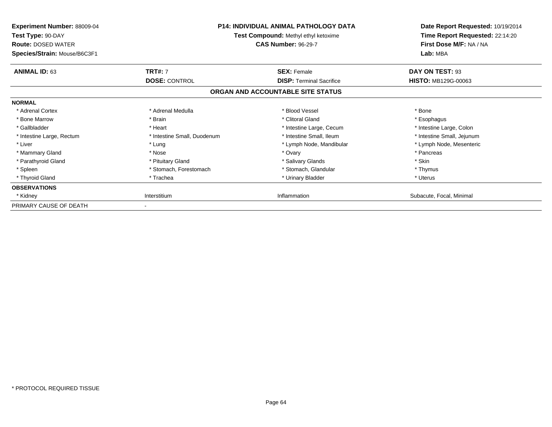| Experiment Number: 88009-04<br>Test Type: 90-DAY<br><b>Route: DOSED WATER</b><br>Species/Strain: Mouse/B6C3F1 |                             | <b>P14: INDIVIDUAL ANIMAL PATHOLOGY DATA</b><br>Test Compound: Methyl ethyl ketoxime<br><b>CAS Number: 96-29-7</b> | Date Report Requested: 10/19/2014<br>Time Report Requested: 22:14:20<br>First Dose M/F: NA / NA<br>Lab: MBA |
|---------------------------------------------------------------------------------------------------------------|-----------------------------|--------------------------------------------------------------------------------------------------------------------|-------------------------------------------------------------------------------------------------------------|
| <b>ANIMAL ID: 63</b>                                                                                          | <b>TRT#: 7</b>              | <b>SEX: Female</b>                                                                                                 | DAY ON TEST: 93                                                                                             |
|                                                                                                               | <b>DOSE: CONTROL</b>        | <b>DISP:</b> Terminal Sacrifice                                                                                    | <b>HISTO: MB129G-00063</b>                                                                                  |
|                                                                                                               |                             | ORGAN AND ACCOUNTABLE SITE STATUS                                                                                  |                                                                                                             |
| <b>NORMAL</b>                                                                                                 |                             |                                                                                                                    |                                                                                                             |
| * Adrenal Cortex                                                                                              | * Adrenal Medulla           | * Blood Vessel                                                                                                     | * Bone                                                                                                      |
| * Bone Marrow                                                                                                 | * Brain                     | * Clitoral Gland                                                                                                   | * Esophagus                                                                                                 |
| * Gallbladder                                                                                                 | * Heart                     | * Intestine Large, Cecum                                                                                           | * Intestine Large, Colon                                                                                    |
| * Intestine Large, Rectum                                                                                     | * Intestine Small, Duodenum | * Intestine Small, Ileum                                                                                           | * Intestine Small, Jejunum                                                                                  |
| * Liver                                                                                                       | * Lung                      | * Lymph Node, Mandibular                                                                                           | * Lymph Node, Mesenteric                                                                                    |
| * Mammary Gland                                                                                               | * Nose                      | * Ovary                                                                                                            | * Pancreas                                                                                                  |
| * Parathyroid Gland                                                                                           | * Pituitary Gland           | * Salivary Glands                                                                                                  | * Skin                                                                                                      |
| * Spleen                                                                                                      | * Stomach, Forestomach      | * Stomach, Glandular                                                                                               | * Thymus                                                                                                    |
| * Thyroid Gland                                                                                               | * Trachea                   | * Urinary Bladder                                                                                                  | * Uterus                                                                                                    |
| <b>OBSERVATIONS</b>                                                                                           |                             |                                                                                                                    |                                                                                                             |
| * Kidney                                                                                                      | Interstitium                | Inflammation                                                                                                       | Subacute, Focal, Minimal                                                                                    |
| PRIMARY CAUSE OF DEATH                                                                                        |                             |                                                                                                                    |                                                                                                             |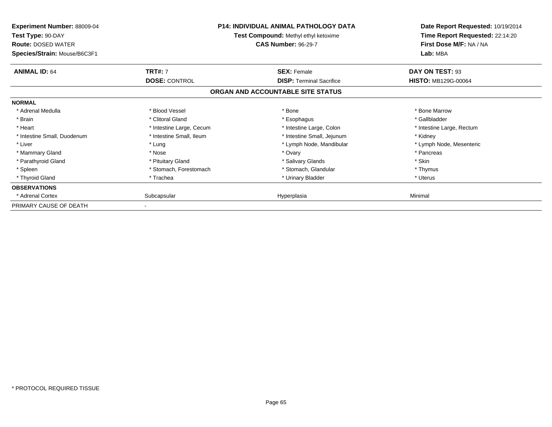| Experiment Number: 88009-04<br>Test Type: 90-DAY<br><b>Route: DOSED WATER</b><br>Species/Strain: Mouse/B6C3F1 |                          | <b>P14: INDIVIDUAL ANIMAL PATHOLOGY DATA</b><br>Test Compound: Methyl ethyl ketoxime<br><b>CAS Number: 96-29-7</b> | Date Report Requested: 10/19/2014<br>Time Report Requested: 22:14:20<br>First Dose M/F: NA / NA<br>Lab: MBA |
|---------------------------------------------------------------------------------------------------------------|--------------------------|--------------------------------------------------------------------------------------------------------------------|-------------------------------------------------------------------------------------------------------------|
| <b>ANIMAL ID: 64</b>                                                                                          | <b>TRT#: 7</b>           | <b>SEX: Female</b>                                                                                                 | DAY ON TEST: 93                                                                                             |
|                                                                                                               | <b>DOSE: CONTROL</b>     | <b>DISP:</b> Terminal Sacrifice                                                                                    | <b>HISTO: MB129G-00064</b>                                                                                  |
|                                                                                                               |                          | ORGAN AND ACCOUNTABLE SITE STATUS                                                                                  |                                                                                                             |
| <b>NORMAL</b>                                                                                                 |                          |                                                                                                                    |                                                                                                             |
| * Adrenal Medulla                                                                                             | * Blood Vessel           | * Bone                                                                                                             | * Bone Marrow                                                                                               |
| * Brain                                                                                                       | * Clitoral Gland         | * Esophagus                                                                                                        | * Gallbladder                                                                                               |
| * Heart                                                                                                       | * Intestine Large, Cecum | * Intestine Large, Colon                                                                                           | * Intestine Large, Rectum                                                                                   |
| * Intestine Small, Duodenum                                                                                   | * Intestine Small, Ileum | * Intestine Small, Jejunum                                                                                         | * Kidney                                                                                                    |
| * Liver                                                                                                       | * Lung                   | * Lymph Node, Mandibular                                                                                           | * Lymph Node, Mesenteric                                                                                    |
| * Mammary Gland                                                                                               | * Nose                   | * Ovary                                                                                                            | * Pancreas                                                                                                  |
| * Parathyroid Gland                                                                                           | * Pituitary Gland        | * Salivary Glands                                                                                                  | * Skin                                                                                                      |
| * Spleen                                                                                                      | * Stomach, Forestomach   | * Stomach, Glandular                                                                                               | * Thymus                                                                                                    |
| * Thyroid Gland                                                                                               | * Trachea                | * Urinary Bladder                                                                                                  | * Uterus                                                                                                    |
| <b>OBSERVATIONS</b>                                                                                           |                          |                                                                                                                    |                                                                                                             |
| * Adrenal Cortex                                                                                              | Subcapsular              | Hyperplasia                                                                                                        | Minimal                                                                                                     |
| PRIMARY CAUSE OF DEATH                                                                                        |                          |                                                                                                                    |                                                                                                             |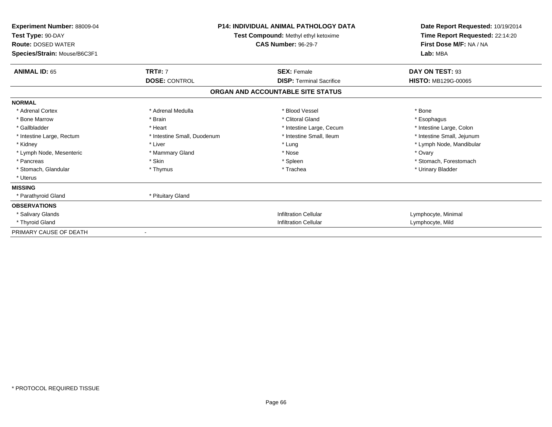| <b>Experiment Number: 88009-04</b><br>Test Type: 90-DAY<br><b>Route: DOSED WATER</b><br>Species/Strain: Mouse/B6C3F1 | <b>P14: INDIVIDUAL ANIMAL PATHOLOGY DATA</b><br>Test Compound: Methyl ethyl ketoxime<br><b>CAS Number: 96-29-7</b> |                                   | Date Report Requested: 10/19/2014<br>Time Report Requested: 22:14:20<br>First Dose M/F: NA / NA<br>Lab: MBA |  |
|----------------------------------------------------------------------------------------------------------------------|--------------------------------------------------------------------------------------------------------------------|-----------------------------------|-------------------------------------------------------------------------------------------------------------|--|
| <b>ANIMAL ID: 65</b>                                                                                                 | <b>TRT#: 7</b>                                                                                                     | <b>SEX: Female</b>                | DAY ON TEST: 93                                                                                             |  |
|                                                                                                                      | <b>DOSE: CONTROL</b>                                                                                               | <b>DISP: Terminal Sacrifice</b>   | <b>HISTO: MB129G-00065</b>                                                                                  |  |
|                                                                                                                      |                                                                                                                    | ORGAN AND ACCOUNTABLE SITE STATUS |                                                                                                             |  |
| <b>NORMAL</b>                                                                                                        |                                                                                                                    |                                   |                                                                                                             |  |
| * Adrenal Cortex                                                                                                     | * Adrenal Medulla                                                                                                  | * Blood Vessel                    | * Bone                                                                                                      |  |
| * Bone Marrow                                                                                                        | * Brain                                                                                                            | * Clitoral Gland                  | * Esophagus                                                                                                 |  |
| * Gallbladder                                                                                                        | * Heart                                                                                                            | * Intestine Large, Cecum          | * Intestine Large, Colon                                                                                    |  |
| * Intestine Large, Rectum                                                                                            | * Intestine Small, Duodenum                                                                                        | * Intestine Small, Ileum          | * Intestine Small, Jejunum                                                                                  |  |
| * Kidney                                                                                                             | * Liver                                                                                                            | * Lung                            | * Lymph Node, Mandibular                                                                                    |  |
| * Lymph Node, Mesenteric                                                                                             | * Mammary Gland                                                                                                    | * Nose                            | * Ovary                                                                                                     |  |
| * Pancreas                                                                                                           | * Skin                                                                                                             | * Spleen                          | * Stomach, Forestomach                                                                                      |  |
| * Stomach, Glandular                                                                                                 | * Thymus                                                                                                           | * Trachea                         | * Urinary Bladder                                                                                           |  |
| * Uterus                                                                                                             |                                                                                                                    |                                   |                                                                                                             |  |
| <b>MISSING</b>                                                                                                       |                                                                                                                    |                                   |                                                                                                             |  |
| * Parathyroid Gland                                                                                                  | * Pituitary Gland                                                                                                  |                                   |                                                                                                             |  |
| <b>OBSERVATIONS</b>                                                                                                  |                                                                                                                    |                                   |                                                                                                             |  |
| * Salivary Glands                                                                                                    |                                                                                                                    | <b>Infiltration Cellular</b>      | Lymphocyte, Minimal                                                                                         |  |
| * Thyroid Gland                                                                                                      |                                                                                                                    | <b>Infiltration Cellular</b>      | Lymphocyte, Mild                                                                                            |  |
| PRIMARY CAUSE OF DEATH                                                                                               |                                                                                                                    |                                   |                                                                                                             |  |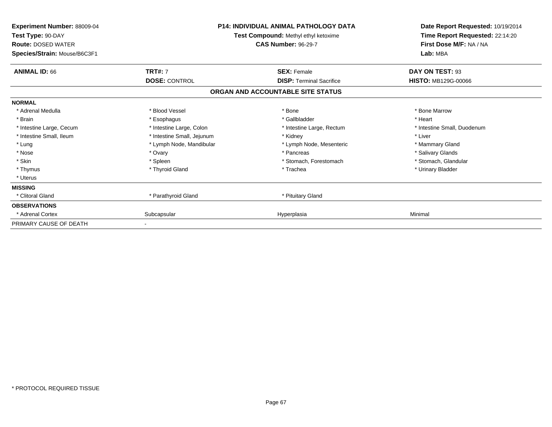| Experiment Number: 88009-04<br>Test Type: 90-DAY<br><b>Route: DOSED WATER</b><br>Species/Strain: Mouse/B6C3F1 | <b>P14: INDIVIDUAL ANIMAL PATHOLOGY DATA</b><br>Test Compound: Methyl ethyl ketoxime<br><b>CAS Number: 96-29-7</b> |                                   | Date Report Requested: 10/19/2014<br>Time Report Requested: 22:14:20<br>First Dose M/F: NA / NA<br>Lab: MBA |
|---------------------------------------------------------------------------------------------------------------|--------------------------------------------------------------------------------------------------------------------|-----------------------------------|-------------------------------------------------------------------------------------------------------------|
| <b>ANIMAL ID: 66</b>                                                                                          | <b>TRT#: 7</b>                                                                                                     | <b>SEX: Female</b>                | DAY ON TEST: 93                                                                                             |
|                                                                                                               | <b>DOSE: CONTROL</b>                                                                                               | <b>DISP: Terminal Sacrifice</b>   | <b>HISTO: MB129G-00066</b>                                                                                  |
|                                                                                                               |                                                                                                                    | ORGAN AND ACCOUNTABLE SITE STATUS |                                                                                                             |
| <b>NORMAL</b>                                                                                                 |                                                                                                                    |                                   |                                                                                                             |
| * Adrenal Medulla                                                                                             | * Blood Vessel                                                                                                     | * Bone                            | * Bone Marrow                                                                                               |
| * Brain                                                                                                       | * Esophagus                                                                                                        | * Gallbladder                     | * Heart                                                                                                     |
| * Intestine Large, Cecum                                                                                      | * Intestine Large, Colon                                                                                           | * Intestine Large, Rectum         | * Intestine Small, Duodenum                                                                                 |
| * Intestine Small, Ileum                                                                                      | * Intestine Small, Jejunum                                                                                         | * Kidney                          | * Liver                                                                                                     |
| * Lung                                                                                                        | * Lymph Node, Mandibular                                                                                           | * Lymph Node, Mesenteric          | * Mammary Gland                                                                                             |
| * Nose                                                                                                        | * Ovary                                                                                                            | * Pancreas                        | * Salivary Glands                                                                                           |
| * Skin                                                                                                        | * Spleen                                                                                                           | * Stomach, Forestomach            | * Stomach, Glandular                                                                                        |
| * Thymus                                                                                                      | * Thyroid Gland                                                                                                    | * Trachea                         | * Urinary Bladder                                                                                           |
| * Uterus                                                                                                      |                                                                                                                    |                                   |                                                                                                             |
| <b>MISSING</b>                                                                                                |                                                                                                                    |                                   |                                                                                                             |
| * Clitoral Gland                                                                                              | * Parathyroid Gland                                                                                                | * Pituitary Gland                 |                                                                                                             |
| <b>OBSERVATIONS</b>                                                                                           |                                                                                                                    |                                   |                                                                                                             |
| * Adrenal Cortex                                                                                              | Subcapsular                                                                                                        | Hyperplasia                       | Minimal                                                                                                     |
| PRIMARY CAUSE OF DEATH                                                                                        |                                                                                                                    |                                   |                                                                                                             |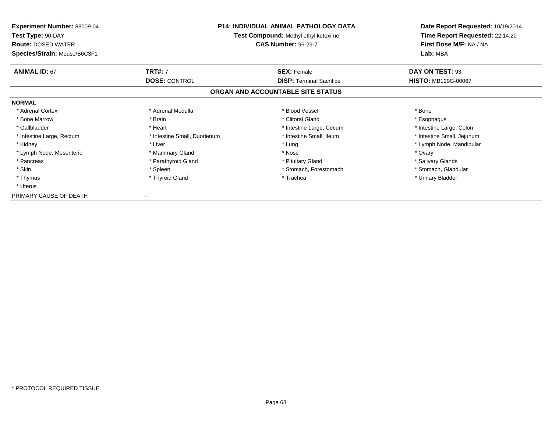| <b>Experiment Number: 88009-04</b><br>Test Type: 90-DAY<br><b>Route: DOSED WATER</b><br>Species/Strain: Mouse/B6C3F1 | <b>P14: INDIVIDUAL ANIMAL PATHOLOGY DATA</b><br>Test Compound: Methyl ethyl ketoxime<br><b>CAS Number: 96-29-7</b> |                                   | Date Report Requested: 10/19/2014<br>Time Report Requested: 22:14:20<br>First Dose M/F: NA / NA<br>Lab: MBA |
|----------------------------------------------------------------------------------------------------------------------|--------------------------------------------------------------------------------------------------------------------|-----------------------------------|-------------------------------------------------------------------------------------------------------------|
| <b>ANIMAL ID: 67</b>                                                                                                 | <b>TRT#: 7</b>                                                                                                     | <b>SEX: Female</b>                | DAY ON TEST: 93                                                                                             |
|                                                                                                                      | <b>DOSE: CONTROL</b>                                                                                               | <b>DISP:</b> Terminal Sacrifice   | <b>HISTO: MB129G-00067</b>                                                                                  |
|                                                                                                                      |                                                                                                                    | ORGAN AND ACCOUNTABLE SITE STATUS |                                                                                                             |
| <b>NORMAL</b>                                                                                                        |                                                                                                                    |                                   |                                                                                                             |
| * Adrenal Cortex                                                                                                     | * Adrenal Medulla                                                                                                  | * Blood Vessel                    | * Bone                                                                                                      |
| * Bone Marrow                                                                                                        | * Brain                                                                                                            | * Clitoral Gland                  | * Esophagus                                                                                                 |
| * Gallbladder                                                                                                        | * Heart                                                                                                            | * Intestine Large, Cecum          | * Intestine Large, Colon                                                                                    |
| * Intestine Large, Rectum                                                                                            | * Intestine Small, Duodenum                                                                                        | * Intestine Small, Ileum          | * Intestine Small, Jejunum                                                                                  |
| * Kidney                                                                                                             | * Liver                                                                                                            | * Lung                            | * Lymph Node, Mandibular                                                                                    |
| * Lymph Node, Mesenteric                                                                                             | * Mammary Gland                                                                                                    | * Nose                            | * Ovary                                                                                                     |
| * Pancreas                                                                                                           | * Parathyroid Gland                                                                                                | * Pituitary Gland                 | * Salivary Glands                                                                                           |
| * Skin                                                                                                               | * Spleen                                                                                                           | * Stomach, Forestomach            | * Stomach, Glandular                                                                                        |
| * Thymus                                                                                                             | * Thyroid Gland                                                                                                    | * Trachea                         | * Urinary Bladder                                                                                           |
| * Uterus                                                                                                             |                                                                                                                    |                                   |                                                                                                             |
| PRIMARY CAUSE OF DEATH                                                                                               |                                                                                                                    |                                   |                                                                                                             |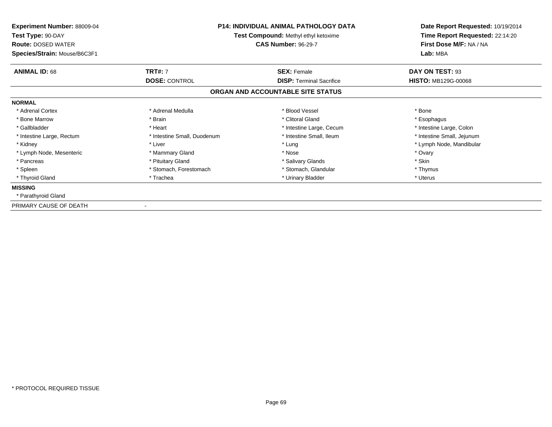| <b>Experiment Number: 88009-04</b><br>Test Type: 90-DAY<br><b>Route: DOSED WATER</b><br>Species/Strain: Mouse/B6C3F1 | <b>P14: INDIVIDUAL ANIMAL PATHOLOGY DATA</b><br>Test Compound: Methyl ethyl ketoxime<br><b>CAS Number: 96-29-7</b> |                                   | Date Report Requested: 10/19/2014<br>Time Report Requested: 22:14:20<br>First Dose M/F: NA / NA<br>Lab: MBA |
|----------------------------------------------------------------------------------------------------------------------|--------------------------------------------------------------------------------------------------------------------|-----------------------------------|-------------------------------------------------------------------------------------------------------------|
| <b>ANIMAL ID: 68</b>                                                                                                 | <b>TRT#: 7</b>                                                                                                     | <b>SEX: Female</b>                | DAY ON TEST: 93                                                                                             |
|                                                                                                                      | <b>DOSE: CONTROL</b>                                                                                               | <b>DISP:</b> Terminal Sacrifice   | <b>HISTO: MB129G-00068</b>                                                                                  |
|                                                                                                                      |                                                                                                                    | ORGAN AND ACCOUNTABLE SITE STATUS |                                                                                                             |
| <b>NORMAL</b>                                                                                                        |                                                                                                                    |                                   |                                                                                                             |
| * Adrenal Cortex                                                                                                     | * Adrenal Medulla                                                                                                  | * Blood Vessel                    | * Bone                                                                                                      |
| * Bone Marrow                                                                                                        | * Brain                                                                                                            | * Clitoral Gland                  | * Esophagus                                                                                                 |
| * Gallbladder                                                                                                        | * Heart                                                                                                            | * Intestine Large, Cecum          | * Intestine Large, Colon                                                                                    |
| * Intestine Large, Rectum                                                                                            | * Intestine Small, Duodenum                                                                                        | * Intestine Small, Ileum          | * Intestine Small, Jejunum                                                                                  |
| * Kidney                                                                                                             | * Liver                                                                                                            | * Lung                            | * Lymph Node, Mandibular                                                                                    |
| * Lymph Node, Mesenteric                                                                                             | * Mammary Gland                                                                                                    | * Nose                            | * Ovary                                                                                                     |
| * Pancreas                                                                                                           | * Pituitary Gland                                                                                                  | * Salivary Glands                 | * Skin                                                                                                      |
| * Spleen                                                                                                             | * Stomach, Forestomach                                                                                             | * Stomach, Glandular              | * Thymus                                                                                                    |
| * Thyroid Gland                                                                                                      | * Trachea                                                                                                          | * Urinary Bladder                 | * Uterus                                                                                                    |
| <b>MISSING</b>                                                                                                       |                                                                                                                    |                                   |                                                                                                             |
| * Parathyroid Gland                                                                                                  |                                                                                                                    |                                   |                                                                                                             |
| PRIMARY CAUSE OF DEATH                                                                                               |                                                                                                                    |                                   |                                                                                                             |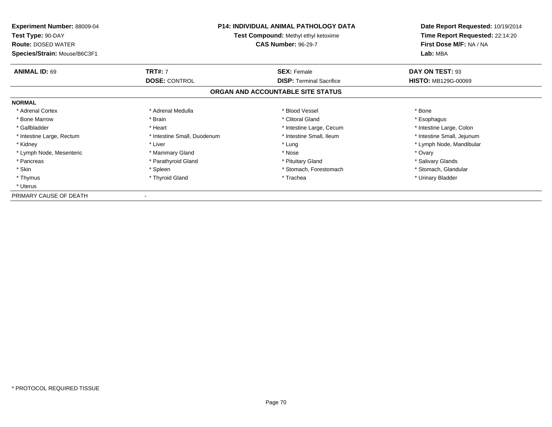| <b>Experiment Number: 88009-04</b><br>Test Type: 90-DAY<br><b>Route: DOSED WATER</b><br>Species/Strain: Mouse/B6C3F1 | <b>P14: INDIVIDUAL ANIMAL PATHOLOGY DATA</b><br>Test Compound: Methyl ethyl ketoxime<br><b>CAS Number: 96-29-7</b> |                                   | Date Report Requested: 10/19/2014<br>Time Report Requested: 22:14:20<br>First Dose M/F: NA / NA<br>Lab: MBA |
|----------------------------------------------------------------------------------------------------------------------|--------------------------------------------------------------------------------------------------------------------|-----------------------------------|-------------------------------------------------------------------------------------------------------------|
| <b>ANIMAL ID: 69</b>                                                                                                 | <b>TRT#: 7</b>                                                                                                     | <b>SEX: Female</b>                | DAY ON TEST: 93                                                                                             |
|                                                                                                                      | <b>DOSE: CONTROL</b>                                                                                               | <b>DISP:</b> Terminal Sacrifice   | <b>HISTO: MB129G-00069</b>                                                                                  |
|                                                                                                                      |                                                                                                                    | ORGAN AND ACCOUNTABLE SITE STATUS |                                                                                                             |
| <b>NORMAL</b>                                                                                                        |                                                                                                                    |                                   |                                                                                                             |
| * Adrenal Cortex                                                                                                     | * Adrenal Medulla                                                                                                  | * Blood Vessel                    | * Bone                                                                                                      |
| * Bone Marrow                                                                                                        | * Brain                                                                                                            | * Clitoral Gland                  | * Esophagus                                                                                                 |
| * Gallbladder                                                                                                        | * Heart                                                                                                            | * Intestine Large, Cecum          | * Intestine Large, Colon                                                                                    |
| * Intestine Large, Rectum                                                                                            | * Intestine Small, Duodenum                                                                                        | * Intestine Small, Ileum          | * Intestine Small, Jejunum                                                                                  |
| * Kidney                                                                                                             | * Liver                                                                                                            | * Lung                            | * Lymph Node, Mandibular                                                                                    |
| * Lymph Node, Mesenteric                                                                                             | * Mammary Gland                                                                                                    | * Nose                            | * Ovary                                                                                                     |
| * Pancreas                                                                                                           | * Parathyroid Gland                                                                                                | * Pituitary Gland                 | * Salivary Glands                                                                                           |
| * Skin                                                                                                               | * Spleen                                                                                                           | * Stomach, Forestomach            | * Stomach, Glandular                                                                                        |
| * Thymus                                                                                                             | * Thyroid Gland                                                                                                    | * Trachea                         | * Urinary Bladder                                                                                           |
| * Uterus                                                                                                             |                                                                                                                    |                                   |                                                                                                             |
| PRIMARY CAUSE OF DEATH                                                                                               |                                                                                                                    |                                   |                                                                                                             |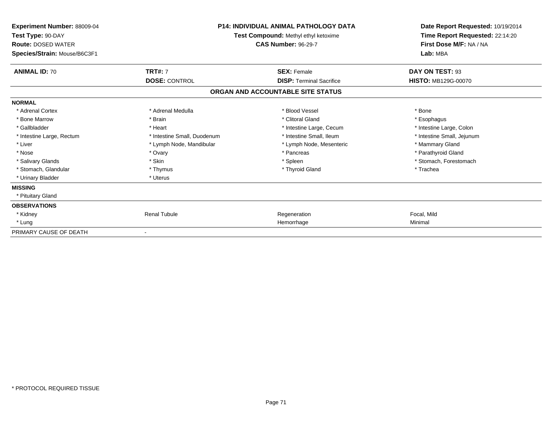| Experiment Number: 88009-04<br>Test Type: 90-DAY<br><b>Route: DOSED WATER</b><br>Species/Strain: Mouse/B6C3F1 | <b>P14: INDIVIDUAL ANIMAL PATHOLOGY DATA</b><br>Test Compound: Methyl ethyl ketoxime<br><b>CAS Number: 96-29-7</b> |                                   | Date Report Requested: 10/19/2014<br>Time Report Requested: 22:14:20<br>First Dose M/F: NA / NA<br>Lab: MBA |  |
|---------------------------------------------------------------------------------------------------------------|--------------------------------------------------------------------------------------------------------------------|-----------------------------------|-------------------------------------------------------------------------------------------------------------|--|
|                                                                                                               |                                                                                                                    |                                   |                                                                                                             |  |
| <b>ANIMAL ID: 70</b>                                                                                          | <b>TRT#: 7</b>                                                                                                     | <b>SEX: Female</b>                | DAY ON TEST: 93                                                                                             |  |
|                                                                                                               | <b>DOSE: CONTROL</b>                                                                                               | <b>DISP: Terminal Sacrifice</b>   | <b>HISTO: MB129G-00070</b>                                                                                  |  |
|                                                                                                               |                                                                                                                    | ORGAN AND ACCOUNTABLE SITE STATUS |                                                                                                             |  |
| <b>NORMAL</b>                                                                                                 |                                                                                                                    |                                   |                                                                                                             |  |
| * Adrenal Cortex                                                                                              | * Adrenal Medulla                                                                                                  | * Blood Vessel                    | * Bone                                                                                                      |  |
| * Bone Marrow                                                                                                 | * Brain                                                                                                            | * Clitoral Gland                  | * Esophagus                                                                                                 |  |
| * Gallbladder                                                                                                 | * Heart                                                                                                            | * Intestine Large, Cecum          | * Intestine Large, Colon                                                                                    |  |
| * Intestine Large, Rectum                                                                                     | * Intestine Small, Duodenum                                                                                        | * Intestine Small, Ileum          | * Intestine Small, Jejunum                                                                                  |  |
| * Liver                                                                                                       | * Lymph Node, Mandibular                                                                                           | * Lymph Node, Mesenteric          | * Mammary Gland                                                                                             |  |
| * Nose                                                                                                        | * Ovary                                                                                                            | * Pancreas                        | * Parathyroid Gland                                                                                         |  |
| * Salivary Glands                                                                                             | * Skin                                                                                                             | * Spleen                          | * Stomach, Forestomach                                                                                      |  |
| * Stomach, Glandular                                                                                          | * Thymus                                                                                                           | * Thyroid Gland                   | * Trachea                                                                                                   |  |
| * Urinary Bladder                                                                                             | * Uterus                                                                                                           |                                   |                                                                                                             |  |
| <b>MISSING</b>                                                                                                |                                                                                                                    |                                   |                                                                                                             |  |
| * Pituitary Gland                                                                                             |                                                                                                                    |                                   |                                                                                                             |  |
| <b>OBSERVATIONS</b>                                                                                           |                                                                                                                    |                                   |                                                                                                             |  |
| * Kidney                                                                                                      | <b>Renal Tubule</b>                                                                                                | Regeneration                      | Focal, Mild                                                                                                 |  |
| * Lung                                                                                                        |                                                                                                                    | Hemorrhage                        | Minimal                                                                                                     |  |
| PRIMARY CAUSE OF DEATH                                                                                        |                                                                                                                    |                                   |                                                                                                             |  |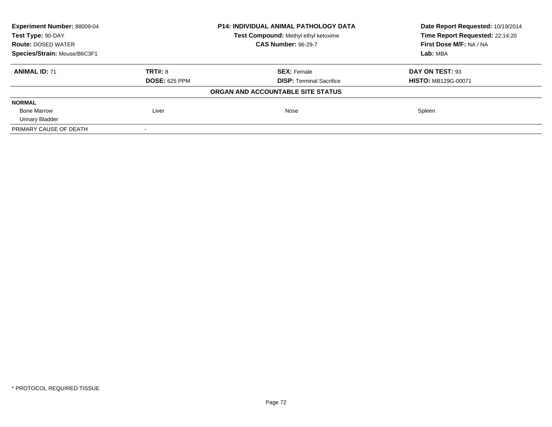| Experiment Number: 88009-04<br><b>P14: INDIVIDUAL ANIMAL PATHOLOGY DATA</b><br>Test Type: 90-DAY<br>Test Compound: Methyl ethyl ketoxime |                      |                                   | Date Report Requested: 10/19/2014 |  |
|------------------------------------------------------------------------------------------------------------------------------------------|----------------------|-----------------------------------|-----------------------------------|--|
|                                                                                                                                          |                      | Time Report Requested: 22:14:20   |                                   |  |
| <b>Route: DOSED WATER</b>                                                                                                                |                      | <b>CAS Number: 96-29-7</b>        | First Dose M/F: NA / NA           |  |
| Species/Strain: Mouse/B6C3F1                                                                                                             |                      |                                   | Lab: MBA                          |  |
| <b>ANIMAL ID: 71</b>                                                                                                                     | TRT#: 8              | <b>SEX: Female</b>                | DAY ON TEST: 93                   |  |
|                                                                                                                                          | <b>DOSE: 625 PPM</b> | <b>DISP:</b> Terminal Sacrifice   | <b>HISTO: MB129G-00071</b>        |  |
|                                                                                                                                          |                      | ORGAN AND ACCOUNTABLE SITE STATUS |                                   |  |
| <b>NORMAL</b>                                                                                                                            |                      |                                   |                                   |  |
| <b>Bone Marrow</b>                                                                                                                       | Liver                | Nose                              | Spleen                            |  |
| <b>Urinary Bladder</b>                                                                                                                   |                      |                                   |                                   |  |
| PRIMARY CAUSE OF DEATH                                                                                                                   |                      |                                   |                                   |  |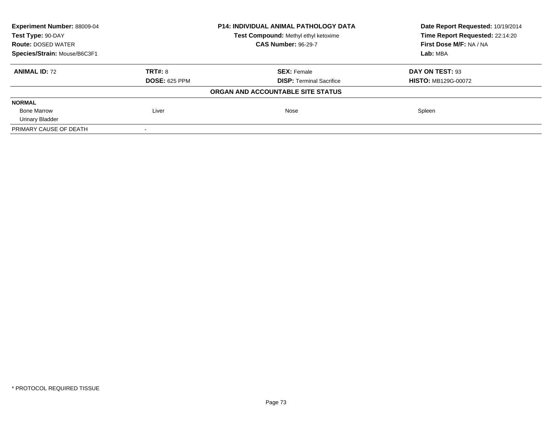| Experiment Number: 88009-04<br><b>P14: INDIVIDUAL ANIMAL PATHOLOGY DATA</b> |                                      |                                   | Date Report Requested: 10/19/2014 |  |
|-----------------------------------------------------------------------------|--------------------------------------|-----------------------------------|-----------------------------------|--|
| Test Type: 90-DAY                                                           | Test Compound: Methyl ethyl ketoxime |                                   | Time Report Requested: 22:14:20   |  |
| <b>Route: DOSED WATER</b>                                                   |                                      | <b>CAS Number: 96-29-7</b>        | First Dose M/F: NA / NA           |  |
| Species/Strain: Mouse/B6C3F1                                                |                                      |                                   | Lab: MBA                          |  |
| <b>ANIMAL ID: 72</b>                                                        | TRT#: 8                              | <b>SEX: Female</b>                | DAY ON TEST: 93                   |  |
|                                                                             | <b>DOSE: 625 PPM</b>                 | <b>DISP:</b> Terminal Sacrifice   | <b>HISTO: MB129G-00072</b>        |  |
|                                                                             |                                      | ORGAN AND ACCOUNTABLE SITE STATUS |                                   |  |
| <b>NORMAL</b>                                                               |                                      |                                   |                                   |  |
| <b>Bone Marrow</b>                                                          | Liver                                | Nose                              | Spleen                            |  |
| <b>Urinary Bladder</b>                                                      |                                      |                                   |                                   |  |
| PRIMARY CAUSE OF DEATH                                                      |                                      |                                   |                                   |  |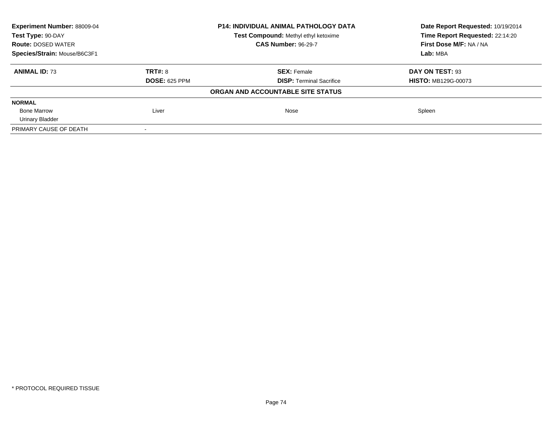| Experiment Number: 88009-04  |                                      | <b>P14: INDIVIDUAL ANIMAL PATHOLOGY DATA</b> | Date Report Requested: 10/19/2014 |
|------------------------------|--------------------------------------|----------------------------------------------|-----------------------------------|
| Test Type: 90-DAY            | Test Compound: Methyl ethyl ketoxime |                                              | Time Report Requested: 22:14:20   |
| <b>Route: DOSED WATER</b>    |                                      | <b>CAS Number: 96-29-7</b>                   | First Dose M/F: NA / NA           |
| Species/Strain: Mouse/B6C3F1 |                                      |                                              | Lab: MBA                          |
| <b>ANIMAL ID: 73</b>         | TRT#: 8                              | <b>SEX: Female</b>                           | DAY ON TEST: 93                   |
|                              | <b>DOSE: 625 PPM</b>                 | <b>DISP:</b> Terminal Sacrifice              | <b>HISTO: MB129G-00073</b>        |
|                              |                                      | ORGAN AND ACCOUNTABLE SITE STATUS            |                                   |
| <b>NORMAL</b>                |                                      |                                              |                                   |
| <b>Bone Marrow</b>           | Liver                                | Nose                                         | Spleen                            |
| <b>Urinary Bladder</b>       |                                      |                                              |                                   |
| PRIMARY CAUSE OF DEATH       |                                      |                                              |                                   |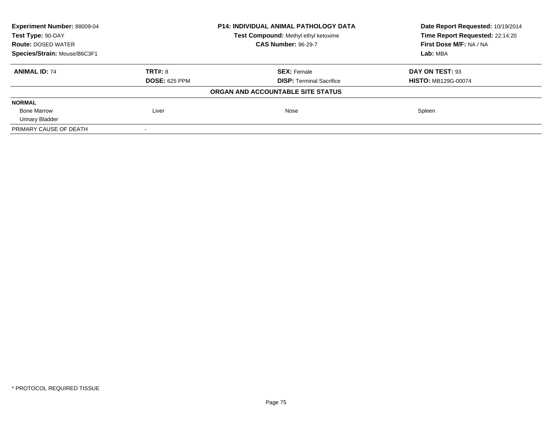| Experiment Number: 88009-04<br><b>P14: INDIVIDUAL ANIMAL PATHOLOGY DATA</b> |                                      |                                   | Date Report Requested: 10/19/2014 |  |
|-----------------------------------------------------------------------------|--------------------------------------|-----------------------------------|-----------------------------------|--|
| Test Type: 90-DAY                                                           | Test Compound: Methyl ethyl ketoxime |                                   | Time Report Requested: 22:14:20   |  |
| <b>Route: DOSED WATER</b>                                                   |                                      | <b>CAS Number: 96-29-7</b>        | First Dose M/F: NA / NA           |  |
| Species/Strain: Mouse/B6C3F1                                                |                                      |                                   | Lab: MBA                          |  |
| <b>ANIMAL ID: 74</b>                                                        | TRT#: 8                              | <b>SEX: Female</b>                | DAY ON TEST: 93                   |  |
|                                                                             | <b>DOSE: 625 PPM</b>                 | <b>DISP:</b> Terminal Sacrifice   | <b>HISTO: MB129G-00074</b>        |  |
|                                                                             |                                      | ORGAN AND ACCOUNTABLE SITE STATUS |                                   |  |
| <b>NORMAL</b>                                                               |                                      |                                   |                                   |  |
| <b>Bone Marrow</b>                                                          | Liver                                | Nose                              | Spleen                            |  |
| <b>Urinary Bladder</b>                                                      |                                      |                                   |                                   |  |
| PRIMARY CAUSE OF DEATH                                                      |                                      |                                   |                                   |  |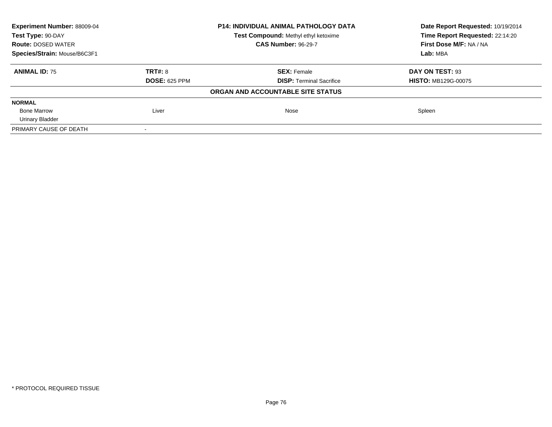| Experiment Number: 88009-04<br><b>P14: INDIVIDUAL ANIMAL PATHOLOGY DATA</b> |                                      |                                   | Date Report Requested: 10/19/2014 |  |
|-----------------------------------------------------------------------------|--------------------------------------|-----------------------------------|-----------------------------------|--|
| Test Type: 90-DAY                                                           | Test Compound: Methyl ethyl ketoxime |                                   | Time Report Requested: 22:14:20   |  |
| <b>Route: DOSED WATER</b>                                                   |                                      | <b>CAS Number: 96-29-7</b>        | First Dose M/F: NA / NA           |  |
| Species/Strain: Mouse/B6C3F1                                                |                                      |                                   | Lab: MBA                          |  |
| <b>ANIMAL ID: 75</b>                                                        | TRT#: 8                              | <b>SEX: Female</b>                | DAY ON TEST: 93                   |  |
|                                                                             | <b>DOSE: 625 PPM</b>                 | <b>DISP:</b> Terminal Sacrifice   | <b>HISTO: MB129G-00075</b>        |  |
|                                                                             |                                      | ORGAN AND ACCOUNTABLE SITE STATUS |                                   |  |
| <b>NORMAL</b>                                                               |                                      |                                   |                                   |  |
| <b>Bone Marrow</b>                                                          | Liver                                | Nose                              | Spleen                            |  |
| <b>Urinary Bladder</b>                                                      |                                      |                                   |                                   |  |
| PRIMARY CAUSE OF DEATH                                                      |                                      |                                   |                                   |  |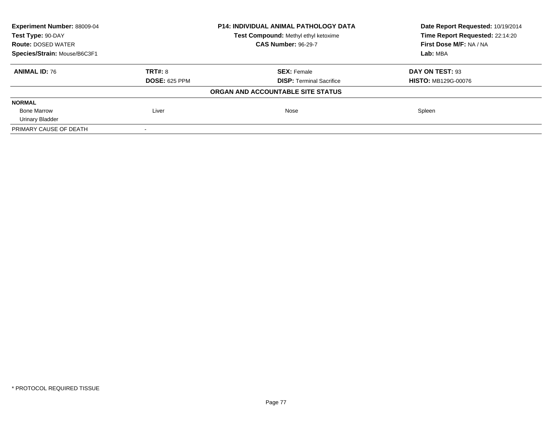| Experiment Number: 88009-04  |                                      | <b>P14: INDIVIDUAL ANIMAL PATHOLOGY DATA</b> | Date Report Requested: 10/19/2014<br>Time Report Requested: 22:14:20 |
|------------------------------|--------------------------------------|----------------------------------------------|----------------------------------------------------------------------|
| Test Type: 90-DAY            | Test Compound: Methyl ethyl ketoxime |                                              |                                                                      |
| <b>Route: DOSED WATER</b>    |                                      | <b>CAS Number: 96-29-7</b>                   | First Dose M/F: NA / NA                                              |
| Species/Strain: Mouse/B6C3F1 |                                      |                                              | Lab: MBA                                                             |
| <b>ANIMAL ID: 76</b>         | TRT#: 8                              | <b>SEX: Female</b>                           | DAY ON TEST: 93                                                      |
|                              | <b>DOSE: 625 PPM</b>                 | <b>DISP:</b> Terminal Sacrifice              | <b>HISTO: MB129G-00076</b>                                           |
|                              |                                      | ORGAN AND ACCOUNTABLE SITE STATUS            |                                                                      |
| <b>NORMAL</b>                |                                      |                                              |                                                                      |
| <b>Bone Marrow</b>           | Liver                                | Nose                                         | Spleen                                                               |
| <b>Urinary Bladder</b>       |                                      |                                              |                                                                      |
| PRIMARY CAUSE OF DEATH       |                                      |                                              |                                                                      |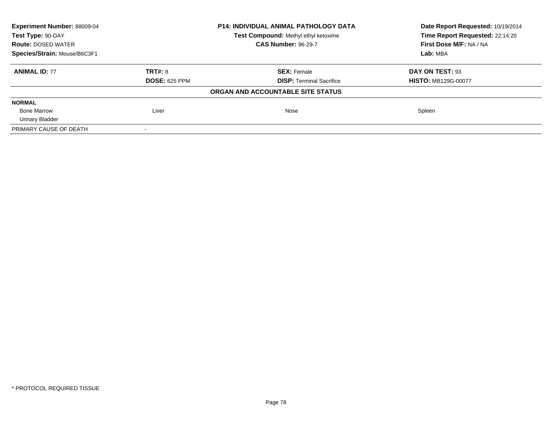| Experiment Number: 88009-04  |                                      | <b>P14: INDIVIDUAL ANIMAL PATHOLOGY DATA</b> | Date Report Requested: 10/19/2014 |
|------------------------------|--------------------------------------|----------------------------------------------|-----------------------------------|
| Test Type: 90-DAY            | Test Compound: Methyl ethyl ketoxime |                                              | Time Report Requested: 22:14:20   |
| <b>Route: DOSED WATER</b>    |                                      | <b>CAS Number: 96-29-7</b>                   | First Dose M/F: NA / NA           |
| Species/Strain: Mouse/B6C3F1 |                                      |                                              | Lab: MBA                          |
| <b>ANIMAL ID: 77</b>         | TRT#: 8                              | <b>SEX: Female</b>                           | DAY ON TEST: 93                   |
|                              | <b>DOSE: 625 PPM</b>                 | <b>DISP:</b> Terminal Sacrifice              | <b>HISTO: MB129G-00077</b>        |
|                              |                                      | ORGAN AND ACCOUNTABLE SITE STATUS            |                                   |
| <b>NORMAL</b>                |                                      |                                              |                                   |
| <b>Bone Marrow</b>           | Liver                                | Nose                                         | Spleen                            |
| <b>Urinary Bladder</b>       |                                      |                                              |                                   |
| PRIMARY CAUSE OF DEATH       |                                      |                                              |                                   |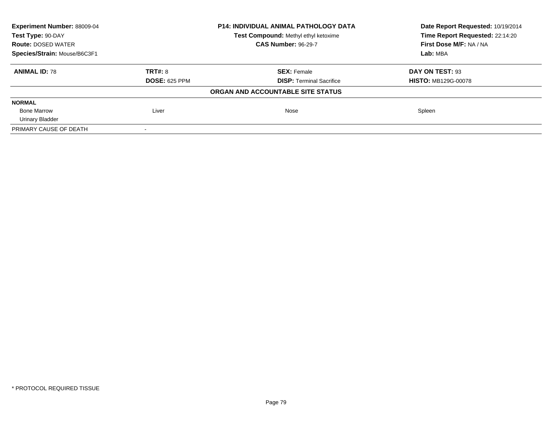| Experiment Number: 88009-04  |                                      | <b>P14: INDIVIDUAL ANIMAL PATHOLOGY DATA</b> | Date Report Requested: 10/19/2014<br>Time Report Requested: 22:14:20 |
|------------------------------|--------------------------------------|----------------------------------------------|----------------------------------------------------------------------|
| Test Type: 90-DAY            | Test Compound: Methyl ethyl ketoxime |                                              |                                                                      |
| <b>Route: DOSED WATER</b>    |                                      | <b>CAS Number: 96-29-7</b>                   | First Dose M/F: NA / NA                                              |
| Species/Strain: Mouse/B6C3F1 |                                      |                                              | Lab: MBA                                                             |
| <b>ANIMAL ID: 78</b>         | TRT#: 8                              | <b>SEX: Female</b>                           | DAY ON TEST: 93                                                      |
|                              | <b>DOSE: 625 PPM</b>                 | <b>DISP:</b> Terminal Sacrifice              | <b>HISTO: MB129G-00078</b>                                           |
|                              |                                      | ORGAN AND ACCOUNTABLE SITE STATUS            |                                                                      |
| <b>NORMAL</b>                |                                      |                                              |                                                                      |
| <b>Bone Marrow</b>           | Liver                                | Nose                                         | Spleen                                                               |
| <b>Urinary Bladder</b>       |                                      |                                              |                                                                      |
| PRIMARY CAUSE OF DEATH       |                                      |                                              |                                                                      |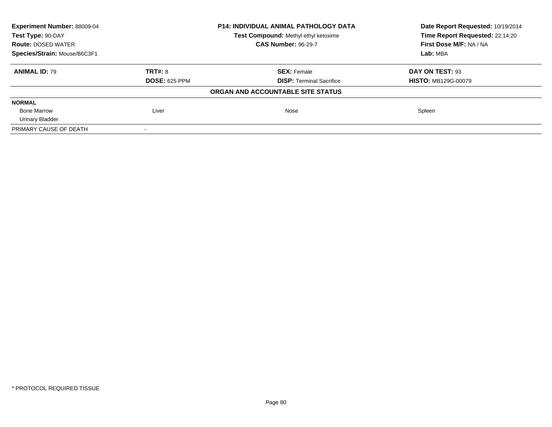| Experiment Number: 88009-04  |                                      | <b>P14: INDIVIDUAL ANIMAL PATHOLOGY DATA</b> | Date Report Requested: 10/19/2014<br>Time Report Requested: 22:14:20 |
|------------------------------|--------------------------------------|----------------------------------------------|----------------------------------------------------------------------|
| Test Type: 90-DAY            | Test Compound: Methyl ethyl ketoxime |                                              |                                                                      |
| <b>Route: DOSED WATER</b>    |                                      | <b>CAS Number: 96-29-7</b>                   | First Dose M/F: NA / NA                                              |
| Species/Strain: Mouse/B6C3F1 |                                      |                                              | Lab: MBA                                                             |
| <b>ANIMAL ID: 79</b>         | TRT#: 8                              | <b>SEX: Female</b>                           | DAY ON TEST: 93                                                      |
|                              | <b>DOSE: 625 PPM</b>                 | <b>DISP:</b> Terminal Sacrifice              | <b>HISTO: MB129G-00079</b>                                           |
|                              |                                      | ORGAN AND ACCOUNTABLE SITE STATUS            |                                                                      |
| <b>NORMAL</b>                |                                      |                                              |                                                                      |
| <b>Bone Marrow</b>           | Liver                                | Nose                                         | Spleen                                                               |
| <b>Urinary Bladder</b>       |                                      |                                              |                                                                      |
| PRIMARY CAUSE OF DEATH       |                                      |                                              |                                                                      |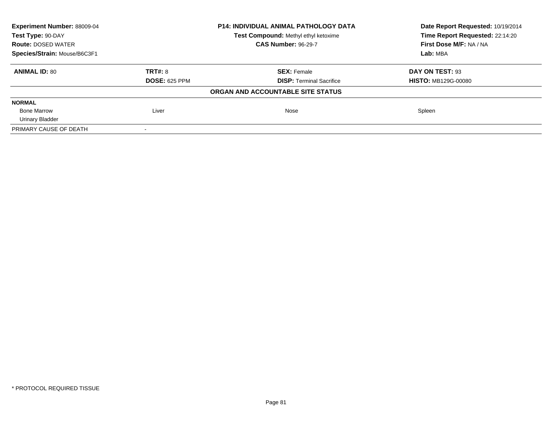| Experiment Number: 88009-04  |                                      | <b>P14: INDIVIDUAL ANIMAL PATHOLOGY DATA</b> | Date Report Requested: 10/19/2014<br>Time Report Requested: 22:14:20 |
|------------------------------|--------------------------------------|----------------------------------------------|----------------------------------------------------------------------|
| Test Type: 90-DAY            | Test Compound: Methyl ethyl ketoxime |                                              |                                                                      |
| <b>Route: DOSED WATER</b>    |                                      | <b>CAS Number: 96-29-7</b>                   | First Dose M/F: NA / NA                                              |
| Species/Strain: Mouse/B6C3F1 |                                      |                                              | Lab: MBA                                                             |
| <b>ANIMAL ID: 80</b>         | TRT#: 8                              | <b>SEX: Female</b>                           | DAY ON TEST: 93                                                      |
|                              | <b>DOSE: 625 PPM</b>                 | <b>DISP:</b> Terminal Sacrifice              | <b>HISTO: MB129G-00080</b>                                           |
|                              |                                      | ORGAN AND ACCOUNTABLE SITE STATUS            |                                                                      |
| <b>NORMAL</b>                |                                      |                                              |                                                                      |
| <b>Bone Marrow</b>           | Liver                                | Nose                                         | Spleen                                                               |
| <b>Urinary Bladder</b>       |                                      |                                              |                                                                      |
| PRIMARY CAUSE OF DEATH       |                                      |                                              |                                                                      |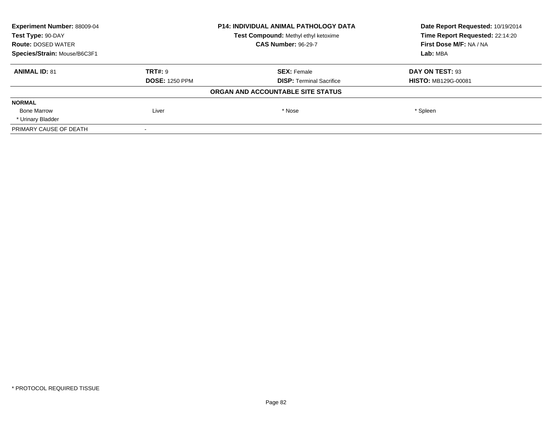| Experiment Number: 88009-04  |                                                                    | <b>P14: INDIVIDUAL ANIMAL PATHOLOGY DATA</b> | Date Report Requested: 10/19/2014<br>Time Report Requested: 22:14:20 |
|------------------------------|--------------------------------------------------------------------|----------------------------------------------|----------------------------------------------------------------------|
| Test Type: 90-DAY            | Test Compound: Methyl ethyl ketoxime<br><b>CAS Number: 96-29-7</b> |                                              |                                                                      |
| <b>Route: DOSED WATER</b>    |                                                                    |                                              | First Dose M/F: NA / NA                                              |
| Species/Strain: Mouse/B6C3F1 |                                                                    |                                              | Lab: MBA                                                             |
| <b>ANIMAL ID: 81</b>         | TRT#: 9                                                            | <b>SEX: Female</b>                           | DAY ON TEST: 93                                                      |
|                              | <b>DOSE: 1250 PPM</b>                                              | <b>DISP:</b> Terminal Sacrifice              | <b>HISTO: MB129G-00081</b>                                           |
|                              |                                                                    | ORGAN AND ACCOUNTABLE SITE STATUS            |                                                                      |
| <b>NORMAL</b>                |                                                                    |                                              |                                                                      |
| <b>Bone Marrow</b>           | Liver                                                              | * Nose                                       | * Spleen                                                             |
| * Urinary Bladder            |                                                                    |                                              |                                                                      |
| PRIMARY CAUSE OF DEATH       |                                                                    |                                              |                                                                      |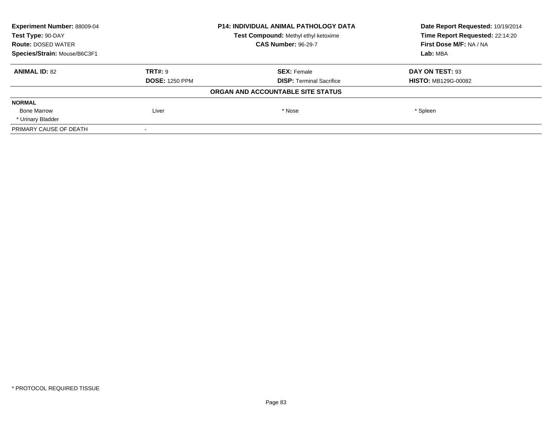| Experiment Number: 88009-04  |                                      | <b>P14: INDIVIDUAL ANIMAL PATHOLOGY DATA</b> | Date Report Requested: 10/19/2014<br>Time Report Requested: 22:14:20 |
|------------------------------|--------------------------------------|----------------------------------------------|----------------------------------------------------------------------|
| Test Type: 90-DAY            | Test Compound: Methyl ethyl ketoxime |                                              |                                                                      |
| <b>Route: DOSED WATER</b>    |                                      | <b>CAS Number: 96-29-7</b>                   | First Dose M/F: NA / NA                                              |
| Species/Strain: Mouse/B6C3F1 |                                      |                                              | Lab: MBA                                                             |
| <b>ANIMAL ID: 82</b>         | TRT#: 9                              | <b>SEX: Female</b>                           | DAY ON TEST: 93                                                      |
|                              | <b>DOSE: 1250 PPM</b>                | <b>DISP:</b> Terminal Sacrifice              | <b>HISTO: MB129G-00082</b>                                           |
|                              |                                      | ORGAN AND ACCOUNTABLE SITE STATUS            |                                                                      |
| <b>NORMAL</b>                |                                      |                                              |                                                                      |
| <b>Bone Marrow</b>           | Liver                                | * Nose                                       | * Spleen                                                             |
| * Urinary Bladder            |                                      |                                              |                                                                      |
| PRIMARY CAUSE OF DEATH       |                                      |                                              |                                                                      |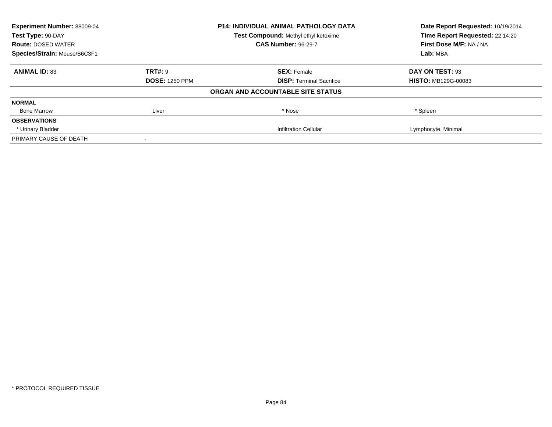| <b>Experiment Number: 88009-04</b><br><b>P14: INDIVIDUAL ANIMAL PATHOLOGY DATA</b><br>Test Type: 90-DAY<br>Test Compound: Methyl ethyl ketoxime |                       |                                   | Date Report Requested: 10/19/2014 |
|-------------------------------------------------------------------------------------------------------------------------------------------------|-----------------------|-----------------------------------|-----------------------------------|
|                                                                                                                                                 |                       | Time Report Requested: 22:14:20   |                                   |
| <b>Route: DOSED WATER</b>                                                                                                                       |                       | <b>CAS Number: 96-29-7</b>        | First Dose M/F: NA / NA           |
| Species/Strain: Mouse/B6C3F1                                                                                                                    |                       |                                   | Lab: MBA                          |
| <b>ANIMAL ID: 83</b>                                                                                                                            | TRT#: 9               | <b>SEX: Female</b>                | DAY ON TEST: 93                   |
|                                                                                                                                                 | <b>DOSE: 1250 PPM</b> | <b>DISP:</b> Terminal Sacrifice   | <b>HISTO: MB129G-00083</b>        |
|                                                                                                                                                 |                       | ORGAN AND ACCOUNTABLE SITE STATUS |                                   |
| <b>NORMAL</b>                                                                                                                                   |                       |                                   |                                   |
| <b>Bone Marrow</b>                                                                                                                              | Liver                 | * Nose                            | * Spleen                          |
| <b>OBSERVATIONS</b>                                                                                                                             |                       |                                   |                                   |
| * Urinary Bladder                                                                                                                               |                       | <b>Infiltration Cellular</b>      | Lymphocyte, Minimal               |
| PRIMARY CAUSE OF DEATH                                                                                                                          |                       |                                   |                                   |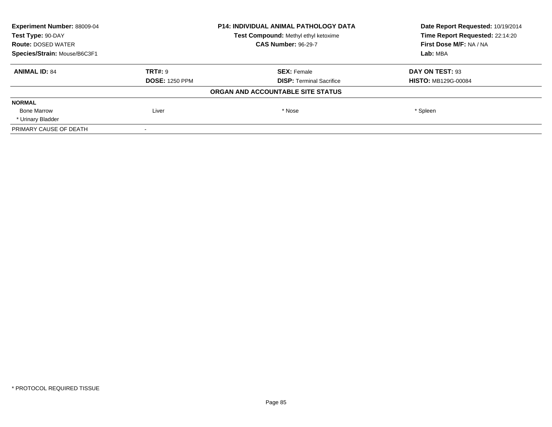| Experiment Number: 88009-04  |                                      | <b>P14: INDIVIDUAL ANIMAL PATHOLOGY DATA</b> | Date Report Requested: 10/19/2014 |
|------------------------------|--------------------------------------|----------------------------------------------|-----------------------------------|
| Test Type: 90-DAY            | Test Compound: Methyl ethyl ketoxime |                                              | Time Report Requested: 22:14:20   |
| <b>Route: DOSED WATER</b>    |                                      | <b>CAS Number: 96-29-7</b>                   | First Dose M/F: NA / NA           |
| Species/Strain: Mouse/B6C3F1 |                                      |                                              | Lab: MBA                          |
| <b>ANIMAL ID: 84</b>         | TRT#: 9                              | <b>SEX: Female</b>                           | DAY ON TEST: 93                   |
|                              | <b>DOSE: 1250 PPM</b>                | <b>DISP:</b> Terminal Sacrifice              | <b>HISTO: MB129G-00084</b>        |
|                              |                                      | ORGAN AND ACCOUNTABLE SITE STATUS            |                                   |
| <b>NORMAL</b>                |                                      |                                              |                                   |
| <b>Bone Marrow</b>           | Liver                                | * Nose                                       | * Spleen                          |
| * Urinary Bladder            |                                      |                                              |                                   |
| PRIMARY CAUSE OF DEATH       |                                      |                                              |                                   |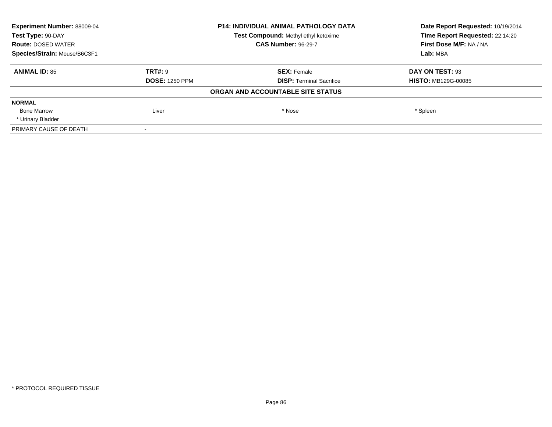| Experiment Number: 88009-04  |                                      | <b>P14: INDIVIDUAL ANIMAL PATHOLOGY DATA</b> | Date Report Requested: 10/19/2014 |
|------------------------------|--------------------------------------|----------------------------------------------|-----------------------------------|
| Test Type: 90-DAY            | Test Compound: Methyl ethyl ketoxime |                                              | Time Report Requested: 22:14:20   |
| <b>Route: DOSED WATER</b>    |                                      | <b>CAS Number: 96-29-7</b>                   | First Dose M/F: NA / NA           |
| Species/Strain: Mouse/B6C3F1 |                                      |                                              | Lab: MBA                          |
| <b>ANIMAL ID: 85</b>         | TRT#: 9                              | <b>SEX: Female</b>                           | DAY ON TEST: 93                   |
|                              | <b>DOSE: 1250 PPM</b>                | <b>DISP:</b> Terminal Sacrifice              | <b>HISTO: MB129G-00085</b>        |
|                              |                                      | ORGAN AND ACCOUNTABLE SITE STATUS            |                                   |
| <b>NORMAL</b>                |                                      |                                              |                                   |
| <b>Bone Marrow</b>           | Liver                                | * Nose                                       | * Spleen                          |
| * Urinary Bladder            |                                      |                                              |                                   |
| PRIMARY CAUSE OF DEATH       |                                      |                                              |                                   |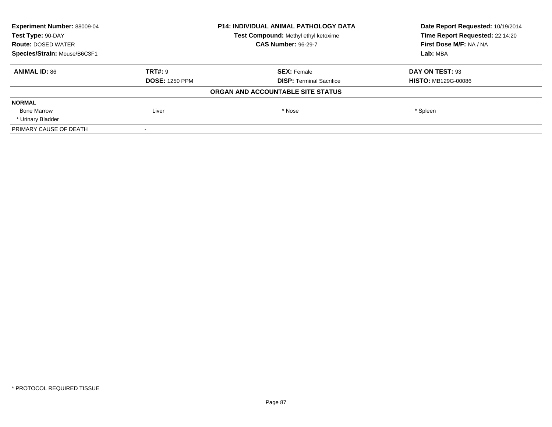| Experiment Number: 88009-04  |                                      | <b>P14: INDIVIDUAL ANIMAL PATHOLOGY DATA</b> | Date Report Requested: 10/19/2014 |
|------------------------------|--------------------------------------|----------------------------------------------|-----------------------------------|
| Test Type: 90-DAY            | Test Compound: Methyl ethyl ketoxime |                                              | Time Report Requested: 22:14:20   |
| <b>Route: DOSED WATER</b>    |                                      | <b>CAS Number: 96-29-7</b>                   | First Dose M/F: NA / NA           |
| Species/Strain: Mouse/B6C3F1 |                                      |                                              | Lab: MBA                          |
| <b>ANIMAL ID: 86</b>         | TRT#: 9                              | <b>SEX: Female</b>                           | DAY ON TEST: 93                   |
|                              | <b>DOSE: 1250 PPM</b>                | <b>DISP:</b> Terminal Sacrifice              | <b>HISTO: MB129G-00086</b>        |
|                              |                                      | ORGAN AND ACCOUNTABLE SITE STATUS            |                                   |
| <b>NORMAL</b>                |                                      |                                              |                                   |
| <b>Bone Marrow</b>           | Liver                                | * Nose                                       | * Spleen                          |
| * Urinary Bladder            |                                      |                                              |                                   |
| PRIMARY CAUSE OF DEATH       |                                      |                                              |                                   |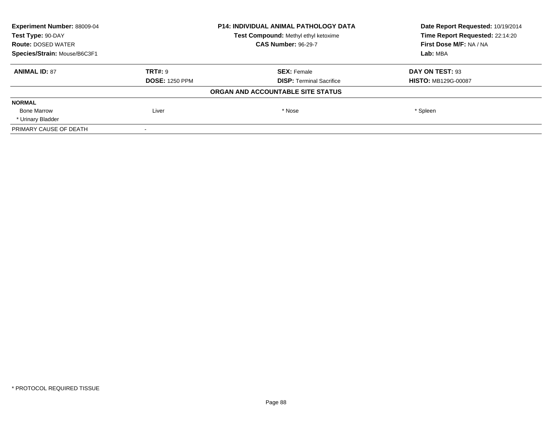| Experiment Number: 88009-04  |                       | <b>P14: INDIVIDUAL ANIMAL PATHOLOGY DATA</b> | Date Report Requested: 10/19/2014<br>Time Report Requested: 22:14:20 |
|------------------------------|-----------------------|----------------------------------------------|----------------------------------------------------------------------|
| Test Type: 90-DAY            |                       | Test Compound: Methyl ethyl ketoxime         |                                                                      |
| <b>Route: DOSED WATER</b>    |                       | <b>CAS Number: 96-29-7</b>                   | First Dose M/F: NA / NA                                              |
| Species/Strain: Mouse/B6C3F1 |                       |                                              | Lab: MBA                                                             |
| <b>ANIMAL ID: 87</b>         | TRT#: 9               | <b>SEX: Female</b>                           | DAY ON TEST: 93                                                      |
|                              | <b>DOSE: 1250 PPM</b> | <b>DISP:</b> Terminal Sacrifice              | <b>HISTO: MB129G-00087</b>                                           |
|                              |                       | ORGAN AND ACCOUNTABLE SITE STATUS            |                                                                      |
| <b>NORMAL</b>                |                       |                                              |                                                                      |
| <b>Bone Marrow</b>           | Liver                 | * Nose                                       | * Spleen                                                             |
| * Urinary Bladder            |                       |                                              |                                                                      |
| PRIMARY CAUSE OF DEATH       |                       |                                              |                                                                      |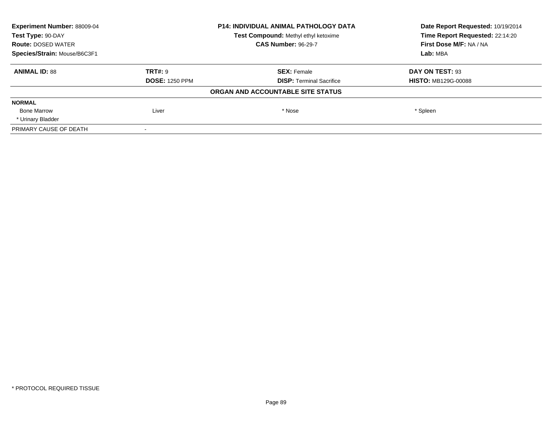| Experiment Number: 88009-04  |                       | <b>P14: INDIVIDUAL ANIMAL PATHOLOGY DATA</b> | Date Report Requested: 10/19/2014<br>Time Report Requested: 22:14:20 |
|------------------------------|-----------------------|----------------------------------------------|----------------------------------------------------------------------|
| Test Type: 90-DAY            |                       | Test Compound: Methyl ethyl ketoxime         |                                                                      |
| <b>Route: DOSED WATER</b>    |                       | <b>CAS Number: 96-29-7</b>                   | First Dose M/F: NA / NA                                              |
| Species/Strain: Mouse/B6C3F1 |                       |                                              | Lab: MBA                                                             |
| <b>ANIMAL ID: 88</b>         | TRT#: 9               | <b>SEX: Female</b>                           | DAY ON TEST: 93                                                      |
|                              | <b>DOSE: 1250 PPM</b> | <b>DISP:</b> Terminal Sacrifice              | <b>HISTO: MB129G-00088</b>                                           |
|                              |                       | ORGAN AND ACCOUNTABLE SITE STATUS            |                                                                      |
| <b>NORMAL</b>                |                       |                                              |                                                                      |
| <b>Bone Marrow</b>           | Liver                 | * Nose                                       | * Spleen                                                             |
| * Urinary Bladder            |                       |                                              |                                                                      |
| PRIMARY CAUSE OF DEATH       |                       |                                              |                                                                      |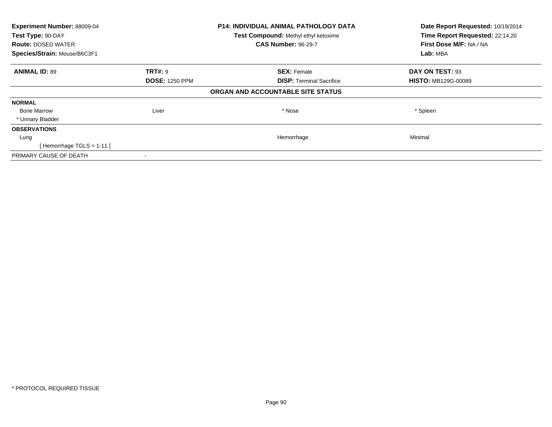| Experiment Number: 88009-04<br>Test Type: 90-DAY |                       | <b>P14: INDIVIDUAL ANIMAL PATHOLOGY DATA</b> | Date Report Requested: 10/19/2014<br>Time Report Requested: 22:14:20 |
|--------------------------------------------------|-----------------------|----------------------------------------------|----------------------------------------------------------------------|
|                                                  |                       | <b>Test Compound: Methyl ethyl ketoxime</b>  |                                                                      |
| <b>Route: DOSED WATER</b>                        |                       | <b>CAS Number: 96-29-7</b>                   | First Dose M/F: NA / NA                                              |
| Species/Strain: Mouse/B6C3F1                     |                       |                                              | Lab: MBA                                                             |
| <b>ANIMAL ID: 89</b>                             | <b>TRT#: 9</b>        | <b>SEX: Female</b>                           | DAY ON TEST: 93                                                      |
|                                                  | <b>DOSE: 1250 PPM</b> | <b>DISP:</b> Terminal Sacrifice              | <b>HISTO: MB129G-00089</b>                                           |
|                                                  |                       | ORGAN AND ACCOUNTABLE SITE STATUS            |                                                                      |
| <b>NORMAL</b>                                    |                       |                                              |                                                                      |
| <b>Bone Marrow</b>                               | Liver                 | * Nose                                       | * Spleen                                                             |
| * Urinary Bladder                                |                       |                                              |                                                                      |
| <b>OBSERVATIONS</b>                              |                       |                                              |                                                                      |
| Lung                                             |                       | Hemorrhage                                   | Minimal                                                              |
| [Hemorrhage TGLS = $1-11$ ]                      |                       |                                              |                                                                      |
| PRIMARY CAUSE OF DEATH                           |                       |                                              |                                                                      |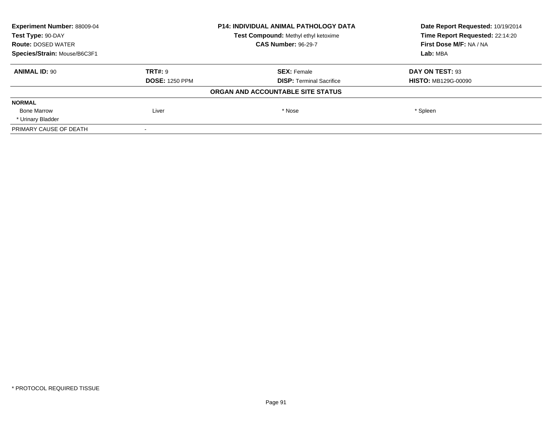| Experiment Number: 88009-04  |                                      | <b>P14: INDIVIDUAL ANIMAL PATHOLOGY DATA</b> | Date Report Requested: 10/19/2014 |
|------------------------------|--------------------------------------|----------------------------------------------|-----------------------------------|
| Test Type: 90-DAY            | Test Compound: Methyl ethyl ketoxime |                                              | Time Report Requested: 22:14:20   |
| <b>Route: DOSED WATER</b>    |                                      | <b>CAS Number: 96-29-7</b>                   | First Dose M/F: NA / NA           |
| Species/Strain: Mouse/B6C3F1 |                                      |                                              | Lab: MBA                          |
| <b>ANIMAL ID: 90</b>         | TRT#: 9                              | <b>SEX: Female</b>                           | DAY ON TEST: 93                   |
|                              | <b>DOSE: 1250 PPM</b>                | <b>DISP:</b> Terminal Sacrifice              | <b>HISTO: MB129G-00090</b>        |
|                              |                                      | ORGAN AND ACCOUNTABLE SITE STATUS            |                                   |
| <b>NORMAL</b>                |                                      |                                              |                                   |
| <b>Bone Marrow</b>           | Liver                                | * Nose                                       | * Spleen                          |
| * Urinary Bladder            |                                      |                                              |                                   |
| PRIMARY CAUSE OF DEATH       |                                      |                                              |                                   |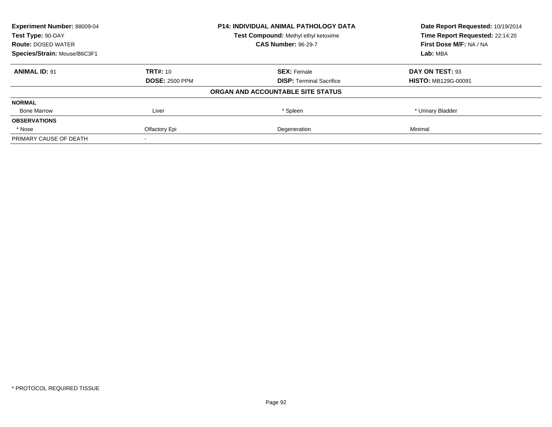| <b>Experiment Number: 88009-04</b><br>Test Type: 90-DAY |                       | <b>P14: INDIVIDUAL ANIMAL PATHOLOGY DATA</b> | Date Report Requested: 10/19/2014<br>Time Report Requested: 22:14:20 |
|---------------------------------------------------------|-----------------------|----------------------------------------------|----------------------------------------------------------------------|
|                                                         |                       | Test Compound: Methyl ethyl ketoxime         |                                                                      |
| <b>Route: DOSED WATER</b>                               |                       | <b>CAS Number: 96-29-7</b>                   | First Dose M/F: NA / NA                                              |
| Species/Strain: Mouse/B6C3F1                            |                       |                                              | Lab: MBA                                                             |
| <b>ANIMAL ID: 91</b>                                    | <b>TRT#: 10</b>       | <b>SEX: Female</b>                           | DAY ON TEST: 93                                                      |
|                                                         | <b>DOSE: 2500 PPM</b> | <b>DISP:</b> Terminal Sacrifice              | <b>HISTO: MB129G-00091</b>                                           |
|                                                         |                       | ORGAN AND ACCOUNTABLE SITE STATUS            |                                                                      |
| <b>NORMAL</b>                                           |                       |                                              |                                                                      |
| <b>Bone Marrow</b>                                      | Liver                 | * Spleen                                     | * Urinary Bladder                                                    |
| <b>OBSERVATIONS</b>                                     |                       |                                              |                                                                      |
| * Nose                                                  | Olfactory Epi         | Degeneration                                 | Minimal                                                              |
| PRIMARY CAUSE OF DEATH                                  |                       |                                              |                                                                      |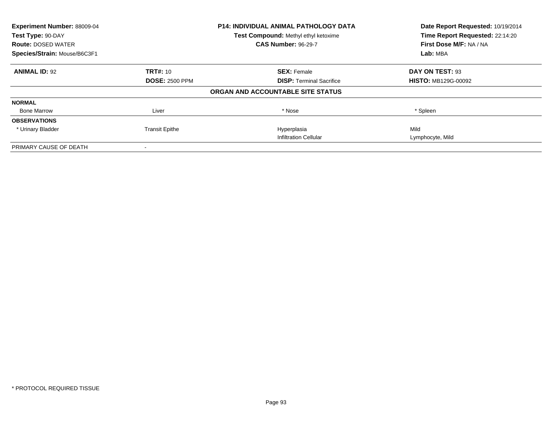| Experiment Number: 88009-04<br>Test Type: 90-DAY |                       | P14: INDIVIDUAL ANIMAL PATHOLOGY DATA | Date Report Requested: 10/19/2014<br>Time Report Requested: 22:14:20 |
|--------------------------------------------------|-----------------------|---------------------------------------|----------------------------------------------------------------------|
|                                                  |                       | Test Compound: Methyl ethyl ketoxime  |                                                                      |
| <b>Route: DOSED WATER</b>                        |                       | <b>CAS Number: 96-29-7</b>            | First Dose M/F: NA / NA                                              |
| Species/Strain: Mouse/B6C3F1                     |                       |                                       | Lab: MBA                                                             |
| <b>ANIMAL ID: 92</b>                             | TRT#: 10              | <b>SEX: Female</b>                    | DAY ON TEST: 93                                                      |
|                                                  | <b>DOSE: 2500 PPM</b> | <b>DISP:</b> Terminal Sacrifice       | <b>HISTO: MB129G-00092</b>                                           |
|                                                  |                       | ORGAN AND ACCOUNTABLE SITE STATUS     |                                                                      |
| <b>NORMAL</b>                                    |                       |                                       |                                                                      |
| <b>Bone Marrow</b>                               | Liver                 | * Nose                                | * Spleen                                                             |
| <b>OBSERVATIONS</b>                              |                       |                                       |                                                                      |
| * Urinary Bladder                                | <b>Transit Epithe</b> | Hyperplasia                           | Mild                                                                 |
|                                                  |                       | <b>Infiltration Cellular</b>          | Lymphocyte, Mild                                                     |
| PRIMARY CAUSE OF DEATH                           |                       |                                       |                                                                      |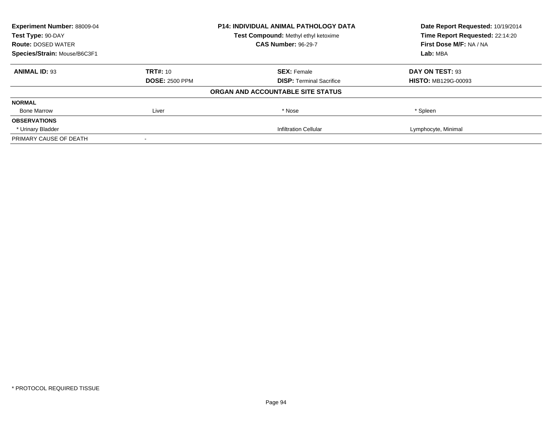| <b>Experiment Number: 88009-04</b><br><b>P14: INDIVIDUAL ANIMAL PATHOLOGY DATA</b><br>Test Type: 90-DAY<br>Test Compound: Methyl ethyl ketoxime |                       |                                   | Date Report Requested: 10/19/2014 |
|-------------------------------------------------------------------------------------------------------------------------------------------------|-----------------------|-----------------------------------|-----------------------------------|
|                                                                                                                                                 |                       | Time Report Requested: 22:14:20   |                                   |
| <b>Route: DOSED WATER</b>                                                                                                                       |                       | <b>CAS Number: 96-29-7</b>        | First Dose M/F: NA / NA           |
| Species/Strain: Mouse/B6C3F1                                                                                                                    |                       |                                   | Lab: MBA                          |
| <b>ANIMAL ID: 93</b>                                                                                                                            | <b>TRT#: 10</b>       | <b>SEX: Female</b>                | DAY ON TEST: 93                   |
|                                                                                                                                                 | <b>DOSE: 2500 PPM</b> | <b>DISP:</b> Terminal Sacrifice   | <b>HISTO: MB129G-00093</b>        |
|                                                                                                                                                 |                       | ORGAN AND ACCOUNTABLE SITE STATUS |                                   |
| <b>NORMAL</b>                                                                                                                                   |                       |                                   |                                   |
| <b>Bone Marrow</b>                                                                                                                              | Liver                 | * Nose                            | * Spleen                          |
| <b>OBSERVATIONS</b>                                                                                                                             |                       |                                   |                                   |
| * Urinary Bladder                                                                                                                               |                       | <b>Infiltration Cellular</b>      | Lymphocyte, Minimal               |
| PRIMARY CAUSE OF DEATH                                                                                                                          |                       |                                   |                                   |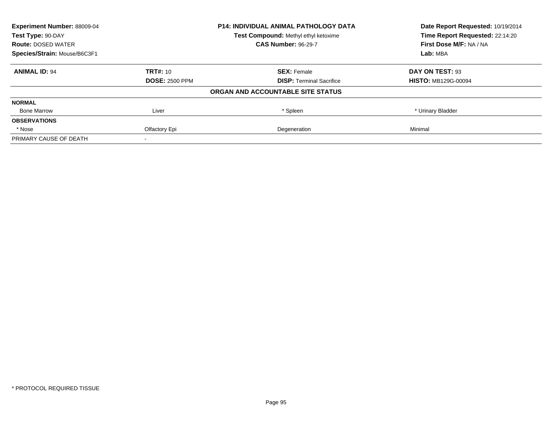| <b>Experiment Number: 88009-04</b> |                       | <b>P14: INDIVIDUAL ANIMAL PATHOLOGY DATA</b> | Date Report Requested: 10/19/2014 |
|------------------------------------|-----------------------|----------------------------------------------|-----------------------------------|
| Test Type: 90-DAY                  |                       | Test Compound: Methyl ethyl ketoxime         | Time Report Requested: 22:14:20   |
| <b>Route: DOSED WATER</b>          |                       | <b>CAS Number: 96-29-7</b>                   | First Dose M/F: NA / NA           |
| Species/Strain: Mouse/B6C3F1       |                       |                                              | Lab: MBA                          |
| <b>ANIMAL ID: 94</b>               | <b>TRT#: 10</b>       | <b>SEX: Female</b>                           | DAY ON TEST: 93                   |
|                                    | <b>DOSE: 2500 PPM</b> | <b>DISP:</b> Terminal Sacrifice              | <b>HISTO: MB129G-00094</b>        |
|                                    |                       | ORGAN AND ACCOUNTABLE SITE STATUS            |                                   |
| <b>NORMAL</b>                      |                       |                                              |                                   |
| <b>Bone Marrow</b>                 | Liver                 | * Spleen                                     | * Urinary Bladder                 |
| <b>OBSERVATIONS</b>                |                       |                                              |                                   |
| * Nose                             | Olfactory Epi         | Degeneration                                 | Minimal                           |
| PRIMARY CAUSE OF DEATH             |                       |                                              |                                   |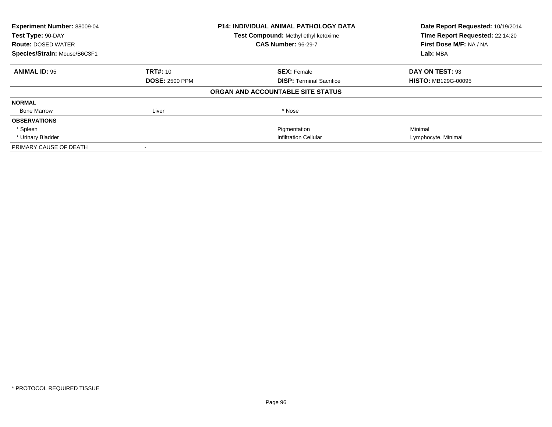| Experiment Number: 88009-04<br>Test Type: 90-DAY<br><b>Route: DOSED WATER</b> |                       | <b>P14: INDIVIDUAL ANIMAL PATHOLOGY DATA</b><br>Test Compound: Methyl ethyl ketoxime<br><b>CAS Number: 96-29-7</b> | Date Report Requested: 10/19/2014<br>Time Report Requested: 22:14:20<br>First Dose M/F: NA / NA |
|-------------------------------------------------------------------------------|-----------------------|--------------------------------------------------------------------------------------------------------------------|-------------------------------------------------------------------------------------------------|
| Species/Strain: Mouse/B6C3F1                                                  |                       |                                                                                                                    | Lab: MBA                                                                                        |
| <b>ANIMAL ID: 95</b>                                                          | <b>TRT#: 10</b>       | <b>SEX: Female</b>                                                                                                 | DAY ON TEST: 93                                                                                 |
|                                                                               | <b>DOSE: 2500 PPM</b> | <b>DISP:</b> Terminal Sacrifice                                                                                    | <b>HISTO: MB129G-00095</b>                                                                      |
|                                                                               |                       | ORGAN AND ACCOUNTABLE SITE STATUS                                                                                  |                                                                                                 |
| <b>NORMAL</b>                                                                 |                       |                                                                                                                    |                                                                                                 |
| <b>Bone Marrow</b>                                                            | Liver                 | * Nose                                                                                                             |                                                                                                 |
| <b>OBSERVATIONS</b>                                                           |                       |                                                                                                                    |                                                                                                 |
| * Spleen                                                                      |                       | Pigmentation                                                                                                       | Minimal                                                                                         |
| * Urinary Bladder                                                             |                       | <b>Infiltration Cellular</b>                                                                                       | Lymphocyte, Minimal                                                                             |
| PRIMARY CAUSE OF DEATH                                                        |                       |                                                                                                                    |                                                                                                 |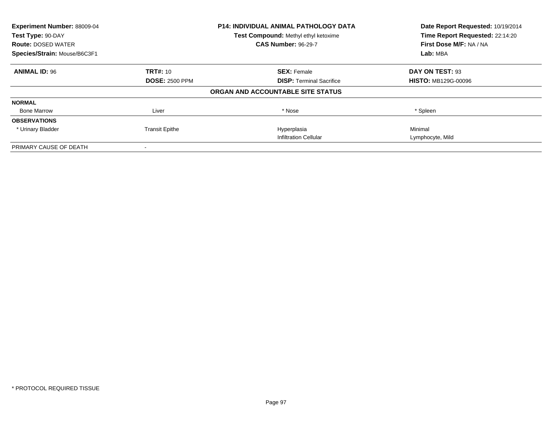| Experiment Number: 88009-04  |                       | P14: INDIVIDUAL ANIMAL PATHOLOGY DATA | Date Report Requested: 10/19/2014<br>Time Report Requested: 22:14:20 |
|------------------------------|-----------------------|---------------------------------------|----------------------------------------------------------------------|
| Test Type: 90-DAY            |                       | Test Compound: Methyl ethyl ketoxime  |                                                                      |
| <b>Route: DOSED WATER</b>    |                       | <b>CAS Number: 96-29-7</b>            | First Dose M/F: NA / NA                                              |
| Species/Strain: Mouse/B6C3F1 |                       |                                       | Lab: MBA                                                             |
| <b>ANIMAL ID: 96</b>         | TRT#: 10              | <b>SEX: Female</b>                    | DAY ON TEST: 93                                                      |
|                              | <b>DOSE: 2500 PPM</b> | <b>DISP:</b> Terminal Sacrifice       | <b>HISTO: MB129G-00096</b>                                           |
|                              |                       | ORGAN AND ACCOUNTABLE SITE STATUS     |                                                                      |
| <b>NORMAL</b>                |                       |                                       |                                                                      |
| <b>Bone Marrow</b>           | Liver                 | * Nose                                | * Spleen                                                             |
| <b>OBSERVATIONS</b>          |                       |                                       |                                                                      |
| * Urinary Bladder            | <b>Transit Epithe</b> | Hyperplasia                           | Minimal                                                              |
|                              |                       | <b>Infiltration Cellular</b>          | Lymphocyte, Mild                                                     |
| PRIMARY CAUSE OF DEATH       |                       |                                       |                                                                      |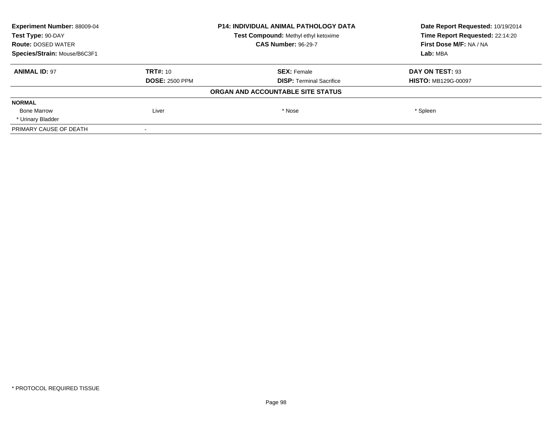| Experiment Number: 88009-04  | P14: INDIVIDUAL ANIMAL PATHOLOGY DATA<br>Test Compound: Methyl ethyl ketoxime |                                   | Date Report Requested: 10/19/2014<br>Time Report Requested: 22:14:20 |
|------------------------------|-------------------------------------------------------------------------------|-----------------------------------|----------------------------------------------------------------------|
| Test Type: 90-DAY            |                                                                               |                                   |                                                                      |
| <b>Route: DOSED WATER</b>    |                                                                               | <b>CAS Number: 96-29-7</b>        | First Dose M/F: NA / NA                                              |
| Species/Strain: Mouse/B6C3F1 |                                                                               |                                   | Lab: MBA                                                             |
| <b>ANIMAL ID: 97</b>         | <b>TRT#: 10</b>                                                               | <b>SEX: Female</b>                | DAY ON TEST: 93                                                      |
|                              | <b>DOSE: 2500 PPM</b>                                                         | <b>DISP:</b> Terminal Sacrifice   | <b>HISTO: MB129G-00097</b>                                           |
|                              |                                                                               | ORGAN AND ACCOUNTABLE SITE STATUS |                                                                      |
| <b>NORMAL</b>                |                                                                               |                                   |                                                                      |
| <b>Bone Marrow</b>           | Liver                                                                         | * Nose                            | * Spleen                                                             |
| * Urinary Bladder            |                                                                               |                                   |                                                                      |
| PRIMARY CAUSE OF DEATH       |                                                                               |                                   |                                                                      |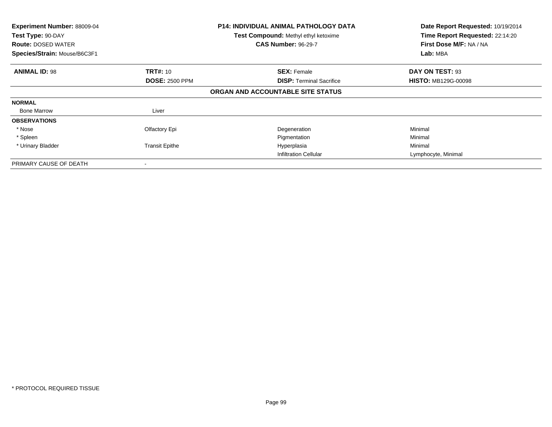| <b>Experiment Number: 88009-04</b><br>Test Type: 90-DAY<br><b>Route: DOSED WATER</b><br>Species/Strain: Mouse/B6C3F1 |                       | <b>P14: INDIVIDUAL ANIMAL PATHOLOGY DATA</b><br>Test Compound: Methyl ethyl ketoxime<br><b>CAS Number: 96-29-7</b> | Date Report Requested: 10/19/2014<br>Time Report Requested: 22:14:20<br>First Dose M/F: NA / NA<br>Lab: MBA |
|----------------------------------------------------------------------------------------------------------------------|-----------------------|--------------------------------------------------------------------------------------------------------------------|-------------------------------------------------------------------------------------------------------------|
| <b>ANIMAL ID: 98</b>                                                                                                 | <b>TRT#: 10</b>       | <b>SEX: Female</b>                                                                                                 | DAY ON TEST: 93                                                                                             |
|                                                                                                                      | <b>DOSE: 2500 PPM</b> | <b>DISP:</b> Terminal Sacrifice                                                                                    | <b>HISTO: MB129G-00098</b>                                                                                  |
|                                                                                                                      |                       | ORGAN AND ACCOUNTABLE SITE STATUS                                                                                  |                                                                                                             |
| <b>NORMAL</b>                                                                                                        |                       |                                                                                                                    |                                                                                                             |
| <b>Bone Marrow</b>                                                                                                   | Liver                 |                                                                                                                    |                                                                                                             |
| <b>OBSERVATIONS</b>                                                                                                  |                       |                                                                                                                    |                                                                                                             |
| * Nose                                                                                                               | Olfactory Epi         | Degeneration                                                                                                       | Minimal                                                                                                     |
| * Spleen                                                                                                             |                       | Pigmentation                                                                                                       | Minimal                                                                                                     |
| * Urinary Bladder                                                                                                    | <b>Transit Epithe</b> | Hyperplasia                                                                                                        | Minimal                                                                                                     |
|                                                                                                                      |                       | <b>Infiltration Cellular</b>                                                                                       | Lymphocyte, Minimal                                                                                         |
| PRIMARY CAUSE OF DEATH                                                                                               |                       |                                                                                                                    |                                                                                                             |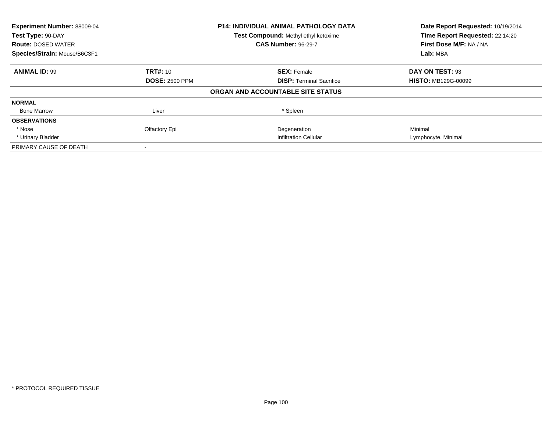| Experiment Number: 88009-04  |                       | <b>P14: INDIVIDUAL ANIMAL PATHOLOGY DATA</b> | Date Report Requested: 10/19/2014 |
|------------------------------|-----------------------|----------------------------------------------|-----------------------------------|
| Test Type: 90-DAY            |                       | Test Compound: Methyl ethyl ketoxime         | Time Report Requested: 22:14:20   |
| <b>Route: DOSED WATER</b>    |                       | <b>CAS Number: 96-29-7</b>                   | First Dose M/F: NA / NA           |
| Species/Strain: Mouse/B6C3F1 |                       |                                              | Lab: MBA                          |
| <b>ANIMAL ID: 99</b>         | <b>TRT#: 10</b>       | <b>SEX: Female</b>                           | DAY ON TEST: 93                   |
|                              | <b>DOSE: 2500 PPM</b> | <b>DISP:</b> Terminal Sacrifice              | <b>HISTO: MB129G-00099</b>        |
|                              |                       | ORGAN AND ACCOUNTABLE SITE STATUS            |                                   |
| <b>NORMAL</b>                |                       |                                              |                                   |
| <b>Bone Marrow</b>           | Liver                 | * Spleen                                     |                                   |
| <b>OBSERVATIONS</b>          |                       |                                              |                                   |
| * Nose                       | Olfactory Epi         | Degeneration                                 | Minimal                           |
| * Urinary Bladder            |                       | <b>Infiltration Cellular</b>                 | Lymphocyte, Minimal               |
| PRIMARY CAUSE OF DEATH       |                       |                                              |                                   |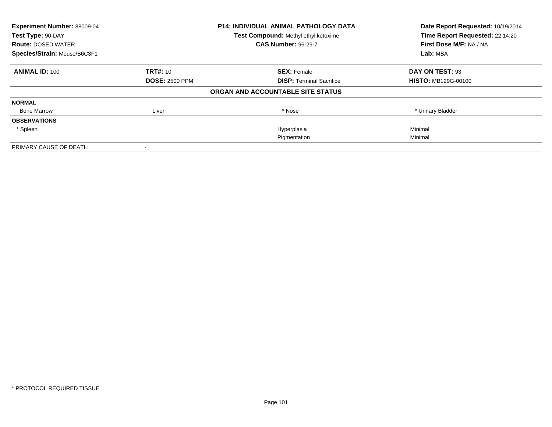| Experiment Number: 88009-04  | <b>P14: INDIVIDUAL ANIMAL PATHOLOGY DATA</b> |                                      | Date Report Requested: 10/19/2014                          |
|------------------------------|----------------------------------------------|--------------------------------------|------------------------------------------------------------|
| Test Type: 90-DAY            |                                              | Test Compound: Methyl ethyl ketoxime | Time Report Requested: 22:14:20<br>First Dose M/F: NA / NA |
| <b>Route: DOSED WATER</b>    |                                              | <b>CAS Number: 96-29-7</b>           |                                                            |
| Species/Strain: Mouse/B6C3F1 |                                              |                                      | Lab: MBA                                                   |
| <b>ANIMAL ID: 100</b>        | <b>TRT#: 10</b>                              | <b>SEX: Female</b>                   | DAY ON TEST: 93                                            |
|                              | <b>DOSE: 2500 PPM</b>                        | <b>DISP:</b> Terminal Sacrifice      | <b>HISTO: MB129G-00100</b>                                 |
|                              |                                              | ORGAN AND ACCOUNTABLE SITE STATUS    |                                                            |
| <b>NORMAL</b>                |                                              |                                      |                                                            |
| <b>Bone Marrow</b>           | Liver                                        | * Nose                               | * Urinary Bladder                                          |
| <b>OBSERVATIONS</b>          |                                              |                                      |                                                            |
| * Spleen                     |                                              | Hyperplasia                          | Minimal                                                    |
|                              |                                              | Pigmentation                         | Minimal                                                    |
| PRIMARY CAUSE OF DEATH       |                                              |                                      |                                                            |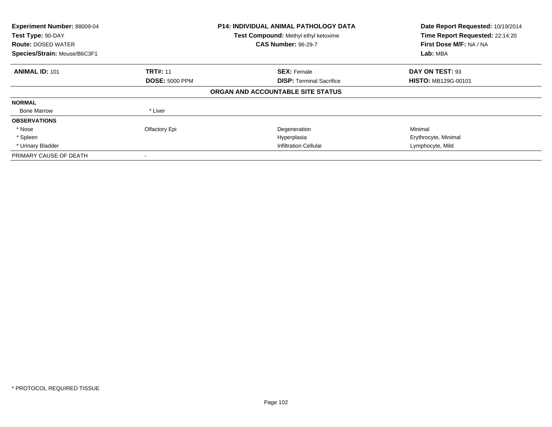| Experiment Number: 88009-04<br>Test Type: 90-DAY<br><b>Route: DOSED WATER</b><br>Species/Strain: Mouse/B6C3F1 |                       | <b>P14: INDIVIDUAL ANIMAL PATHOLOGY DATA</b><br>Test Compound: Methyl ethyl ketoxime<br><b>CAS Number: 96-29-7</b> | Date Report Requested: 10/19/2014<br>Time Report Requested: 22:14:20<br>First Dose M/F: NA / NA<br>Lab: MBA |
|---------------------------------------------------------------------------------------------------------------|-----------------------|--------------------------------------------------------------------------------------------------------------------|-------------------------------------------------------------------------------------------------------------|
| <b>ANIMAL ID: 101</b>                                                                                         | <b>TRT#: 11</b>       | <b>SEX: Female</b>                                                                                                 | DAY ON TEST: 93                                                                                             |
|                                                                                                               | <b>DOSE: 5000 PPM</b> | <b>DISP:</b> Terminal Sacrifice                                                                                    | <b>HISTO: MB129G-00101</b>                                                                                  |
|                                                                                                               |                       | ORGAN AND ACCOUNTABLE SITE STATUS                                                                                  |                                                                                                             |
| <b>NORMAL</b>                                                                                                 |                       |                                                                                                                    |                                                                                                             |
| <b>Bone Marrow</b>                                                                                            | * Liver               |                                                                                                                    |                                                                                                             |
| <b>OBSERVATIONS</b>                                                                                           |                       |                                                                                                                    |                                                                                                             |
| * Nose                                                                                                        | Olfactory Epi         | Degeneration                                                                                                       | Minimal                                                                                                     |
| * Spleen                                                                                                      |                       | Hyperplasia                                                                                                        | Erythrocyte, Minimal                                                                                        |
| * Urinary Bladder                                                                                             |                       | <b>Infiltration Cellular</b>                                                                                       | Lymphocyte, Mild                                                                                            |
| PRIMARY CAUSE OF DEATH                                                                                        |                       |                                                                                                                    |                                                                                                             |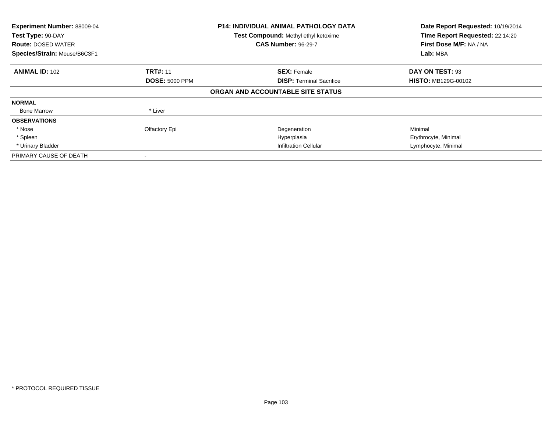| Experiment Number: 88009-04<br>Test Type: 90-DAY<br><b>Route: DOSED WATER</b><br>Species/Strain: Mouse/B6C3F1 |                       | <b>P14: INDIVIDUAL ANIMAL PATHOLOGY DATA</b><br><b>Test Compound: Methyl ethyl ketoxime</b><br><b>CAS Number: 96-29-7</b> | Date Report Requested: 10/19/2014<br>Time Report Requested: 22:14:20<br>First Dose M/F: NA / NA<br>Lab: MBA |
|---------------------------------------------------------------------------------------------------------------|-----------------------|---------------------------------------------------------------------------------------------------------------------------|-------------------------------------------------------------------------------------------------------------|
| <b>ANIMAL ID: 102</b>                                                                                         | <b>TRT#: 11</b>       | <b>SEX: Female</b>                                                                                                        | DAY ON TEST: 93                                                                                             |
|                                                                                                               | <b>DOSE: 5000 PPM</b> | <b>DISP:</b> Terminal Sacrifice                                                                                           | <b>HISTO: MB129G-00102</b>                                                                                  |
|                                                                                                               |                       | ORGAN AND ACCOUNTABLE SITE STATUS                                                                                         |                                                                                                             |
| <b>NORMAL</b>                                                                                                 |                       |                                                                                                                           |                                                                                                             |
| <b>Bone Marrow</b>                                                                                            | * Liver               |                                                                                                                           |                                                                                                             |
| <b>OBSERVATIONS</b>                                                                                           |                       |                                                                                                                           |                                                                                                             |
| * Nose                                                                                                        | Olfactory Epi         | Degeneration                                                                                                              | Minimal                                                                                                     |
| * Spleen                                                                                                      |                       | Hyperplasia                                                                                                               | Erythrocyte, Minimal                                                                                        |
| * Urinary Bladder                                                                                             |                       | <b>Infiltration Cellular</b>                                                                                              | Lymphocyte, Minimal                                                                                         |
| PRIMARY CAUSE OF DEATH                                                                                        |                       |                                                                                                                           |                                                                                                             |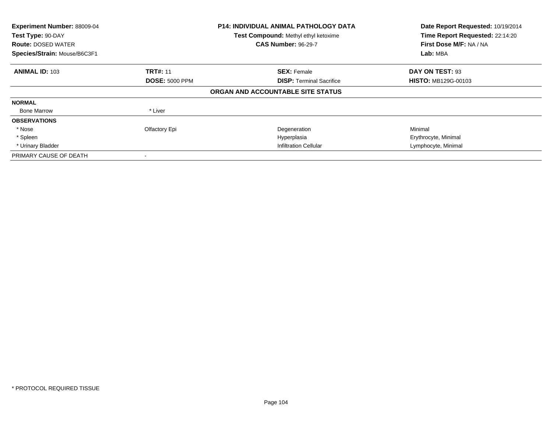| Experiment Number: 88009-04<br>Test Type: 90-DAY<br><b>Route: DOSED WATER</b><br>Species/Strain: Mouse/B6C3F1 |                       | <b>P14: INDIVIDUAL ANIMAL PATHOLOGY DATA</b><br><b>Test Compound: Methyl ethyl ketoxime</b><br><b>CAS Number: 96-29-7</b> | Date Report Requested: 10/19/2014<br>Time Report Requested: 22:14:20<br>First Dose M/F: NA / NA<br>Lab: MBA |
|---------------------------------------------------------------------------------------------------------------|-----------------------|---------------------------------------------------------------------------------------------------------------------------|-------------------------------------------------------------------------------------------------------------|
| <b>ANIMAL ID: 103</b>                                                                                         | <b>TRT#: 11</b>       | <b>SEX: Female</b>                                                                                                        | DAY ON TEST: 93                                                                                             |
|                                                                                                               | <b>DOSE: 5000 PPM</b> | <b>DISP:</b> Terminal Sacrifice                                                                                           | <b>HISTO: MB129G-00103</b>                                                                                  |
|                                                                                                               |                       | ORGAN AND ACCOUNTABLE SITE STATUS                                                                                         |                                                                                                             |
| <b>NORMAL</b>                                                                                                 |                       |                                                                                                                           |                                                                                                             |
| <b>Bone Marrow</b>                                                                                            | * Liver               |                                                                                                                           |                                                                                                             |
| <b>OBSERVATIONS</b>                                                                                           |                       |                                                                                                                           |                                                                                                             |
| * Nose                                                                                                        | Olfactory Epi         | Degeneration                                                                                                              | Minimal                                                                                                     |
| * Spleen                                                                                                      |                       | Hyperplasia                                                                                                               | Erythrocyte, Minimal                                                                                        |
| * Urinary Bladder                                                                                             |                       | <b>Infiltration Cellular</b>                                                                                              | Lymphocyte, Minimal                                                                                         |
| PRIMARY CAUSE OF DEATH                                                                                        |                       |                                                                                                                           |                                                                                                             |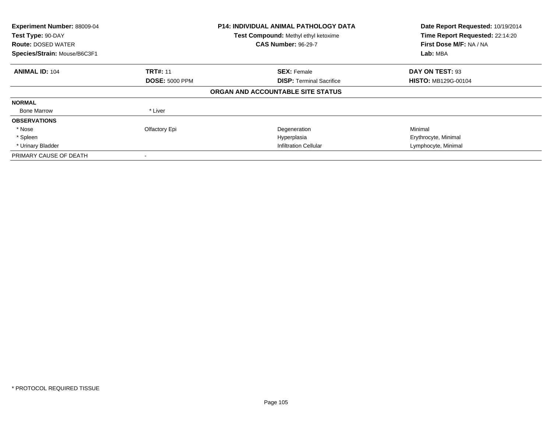| Experiment Number: 88009-04<br>Test Type: 90-DAY<br><b>Route: DOSED WATER</b><br>Species/Strain: Mouse/B6C3F1 |                       | <b>P14: INDIVIDUAL ANIMAL PATHOLOGY DATA</b><br>Test Compound: Methyl ethyl ketoxime<br><b>CAS Number: 96-29-7</b> | Date Report Requested: 10/19/2014<br>Time Report Requested: 22:14:20<br>First Dose M/F: NA / NA<br>Lab: MBA |
|---------------------------------------------------------------------------------------------------------------|-----------------------|--------------------------------------------------------------------------------------------------------------------|-------------------------------------------------------------------------------------------------------------|
| <b>ANIMAL ID: 104</b>                                                                                         | <b>TRT#: 11</b>       | <b>SEX: Female</b>                                                                                                 | DAY ON TEST: 93                                                                                             |
|                                                                                                               | <b>DOSE: 5000 PPM</b> | <b>DISP:</b> Terminal Sacrifice                                                                                    | <b>HISTO: MB129G-00104</b>                                                                                  |
|                                                                                                               |                       | ORGAN AND ACCOUNTABLE SITE STATUS                                                                                  |                                                                                                             |
| <b>NORMAL</b>                                                                                                 |                       |                                                                                                                    |                                                                                                             |
| <b>Bone Marrow</b>                                                                                            | * Liver               |                                                                                                                    |                                                                                                             |
| <b>OBSERVATIONS</b>                                                                                           |                       |                                                                                                                    |                                                                                                             |
| * Nose                                                                                                        | Olfactory Epi         | Degeneration                                                                                                       | Minimal                                                                                                     |
| * Spleen                                                                                                      |                       | Hyperplasia                                                                                                        | Erythrocyte, Minimal                                                                                        |
| * Urinary Bladder                                                                                             |                       | <b>Infiltration Cellular</b>                                                                                       | Lymphocyte, Minimal                                                                                         |
| PRIMARY CAUSE OF DEATH                                                                                        |                       |                                                                                                                    |                                                                                                             |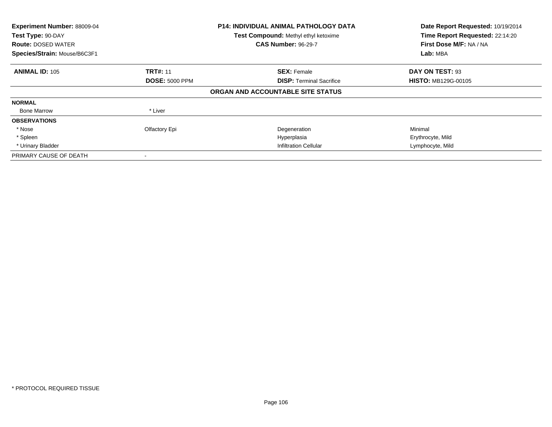| <b>Experiment Number: 88009-04</b><br>Test Type: 90-DAY<br><b>Route: DOSED WATER</b><br>Species/Strain: Mouse/B6C3F1 |                       | <b>P14: INDIVIDUAL ANIMAL PATHOLOGY DATA</b><br>Test Compound: Methyl ethyl ketoxime<br><b>CAS Number: 96-29-7</b> | Date Report Requested: 10/19/2014<br>Time Report Requested: 22:14:20<br>First Dose M/F: NA / NA<br>Lab: MBA |
|----------------------------------------------------------------------------------------------------------------------|-----------------------|--------------------------------------------------------------------------------------------------------------------|-------------------------------------------------------------------------------------------------------------|
| <b>ANIMAL ID: 105</b>                                                                                                | <b>TRT#: 11</b>       | <b>SEX: Female</b>                                                                                                 | DAY ON TEST: 93                                                                                             |
|                                                                                                                      | <b>DOSE: 5000 PPM</b> | <b>DISP:</b> Terminal Sacrifice                                                                                    | <b>HISTO: MB129G-00105</b>                                                                                  |
|                                                                                                                      |                       | ORGAN AND ACCOUNTABLE SITE STATUS                                                                                  |                                                                                                             |
| <b>NORMAL</b>                                                                                                        |                       |                                                                                                                    |                                                                                                             |
| <b>Bone Marrow</b>                                                                                                   | * Liver               |                                                                                                                    |                                                                                                             |
| <b>OBSERVATIONS</b>                                                                                                  |                       |                                                                                                                    |                                                                                                             |
| * Nose                                                                                                               | Olfactory Epi         | Degeneration                                                                                                       | Minimal                                                                                                     |
| * Spleen                                                                                                             |                       | Hyperplasia                                                                                                        | Erythrocyte, Mild                                                                                           |
| * Urinary Bladder                                                                                                    |                       | <b>Infiltration Cellular</b>                                                                                       | Lymphocyte, Mild                                                                                            |
| PRIMARY CAUSE OF DEATH                                                                                               |                       |                                                                                                                    |                                                                                                             |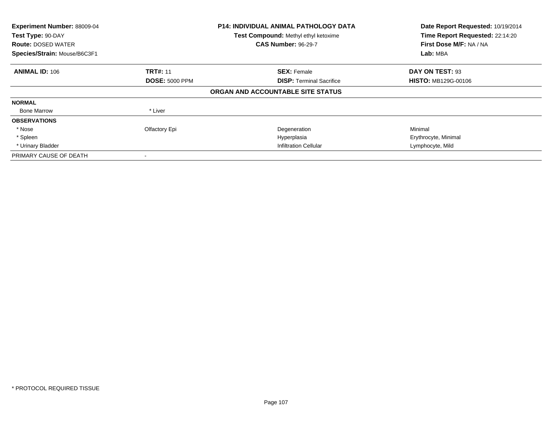| Experiment Number: 88009-04<br>Test Type: 90-DAY<br><b>Route: DOSED WATER</b><br>Species/Strain: Mouse/B6C3F1 |                       | <b>P14: INDIVIDUAL ANIMAL PATHOLOGY DATA</b><br>Test Compound: Methyl ethyl ketoxime<br><b>CAS Number: 96-29-7</b> | Date Report Requested: 10/19/2014<br>Time Report Requested: 22:14:20<br>First Dose M/F: NA / NA<br>Lab: MBA |
|---------------------------------------------------------------------------------------------------------------|-----------------------|--------------------------------------------------------------------------------------------------------------------|-------------------------------------------------------------------------------------------------------------|
| <b>ANIMAL ID: 106</b>                                                                                         | <b>TRT#: 11</b>       | <b>SEX: Female</b>                                                                                                 | DAY ON TEST: 93                                                                                             |
|                                                                                                               | <b>DOSE: 5000 PPM</b> | <b>DISP:</b> Terminal Sacrifice                                                                                    | <b>HISTO: MB129G-00106</b>                                                                                  |
|                                                                                                               |                       | ORGAN AND ACCOUNTABLE SITE STATUS                                                                                  |                                                                                                             |
| <b>NORMAL</b>                                                                                                 |                       |                                                                                                                    |                                                                                                             |
| <b>Bone Marrow</b>                                                                                            | * Liver               |                                                                                                                    |                                                                                                             |
| <b>OBSERVATIONS</b>                                                                                           |                       |                                                                                                                    |                                                                                                             |
| * Nose                                                                                                        | Olfactory Epi         | Degeneration                                                                                                       | Minimal                                                                                                     |
| * Spleen                                                                                                      |                       | Hyperplasia                                                                                                        | Erythrocyte, Minimal                                                                                        |
| * Urinary Bladder                                                                                             |                       | <b>Infiltration Cellular</b>                                                                                       | Lymphocyte, Mild                                                                                            |
| PRIMARY CAUSE OF DEATH                                                                                        |                       |                                                                                                                    |                                                                                                             |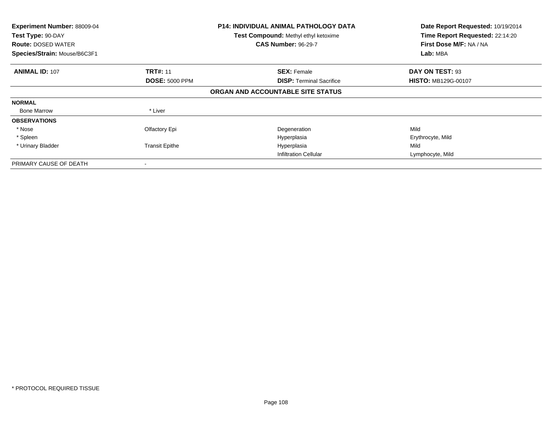| <b>Experiment Number: 88009-04</b><br>Test Type: 90-DAY<br><b>Route: DOSED WATER</b><br>Species/Strain: Mouse/B6C3F1 |                       | <b>P14: INDIVIDUAL ANIMAL PATHOLOGY DATA</b><br>Test Compound: Methyl ethyl ketoxime<br><b>CAS Number: 96-29-7</b> | Date Report Requested: 10/19/2014<br>Time Report Requested: 22:14:20<br>First Dose M/F: NA / NA<br>Lab: MBA |
|----------------------------------------------------------------------------------------------------------------------|-----------------------|--------------------------------------------------------------------------------------------------------------------|-------------------------------------------------------------------------------------------------------------|
| <b>ANIMAL ID: 107</b>                                                                                                | <b>TRT#: 11</b>       | <b>SEX: Female</b>                                                                                                 | DAY ON TEST: 93                                                                                             |
|                                                                                                                      | <b>DOSE: 5000 PPM</b> | <b>DISP:</b> Terminal Sacrifice                                                                                    | <b>HISTO: MB129G-00107</b>                                                                                  |
|                                                                                                                      |                       | ORGAN AND ACCOUNTABLE SITE STATUS                                                                                  |                                                                                                             |
| <b>NORMAL</b>                                                                                                        |                       |                                                                                                                    |                                                                                                             |
| <b>Bone Marrow</b>                                                                                                   | * Liver               |                                                                                                                    |                                                                                                             |
| <b>OBSERVATIONS</b>                                                                                                  |                       |                                                                                                                    |                                                                                                             |
| * Nose                                                                                                               | Olfactory Epi         | Degeneration                                                                                                       | Mild                                                                                                        |
| * Spleen                                                                                                             |                       | Hyperplasia                                                                                                        | Erythrocyte, Mild                                                                                           |
| * Urinary Bladder                                                                                                    | <b>Transit Epithe</b> | Hyperplasia                                                                                                        | Mild                                                                                                        |
|                                                                                                                      |                       | <b>Infiltration Cellular</b>                                                                                       | Lymphocyte, Mild                                                                                            |
| PRIMARY CAUSE OF DEATH                                                                                               |                       |                                                                                                                    |                                                                                                             |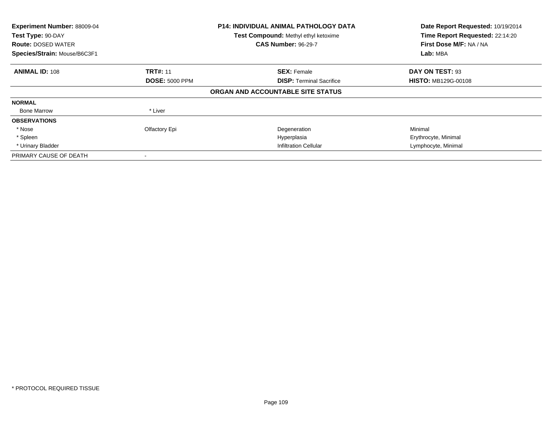| <b>Experiment Number: 88009-04</b><br>Test Type: 90-DAY<br><b>Route: DOSED WATER</b><br>Species/Strain: Mouse/B6C3F1 |                       | <b>P14: INDIVIDUAL ANIMAL PATHOLOGY DATA</b><br><b>Test Compound: Methyl ethyl ketoxime</b><br><b>CAS Number: 96-29-7</b> | Date Report Requested: 10/19/2014<br>Time Report Requested: 22:14:20<br>First Dose M/F: NA / NA<br>Lab: MBA |  |
|----------------------------------------------------------------------------------------------------------------------|-----------------------|---------------------------------------------------------------------------------------------------------------------------|-------------------------------------------------------------------------------------------------------------|--|
| <b>ANIMAL ID: 108</b>                                                                                                | <b>TRT#: 11</b>       | <b>SEX: Female</b>                                                                                                        | DAY ON TEST: 93                                                                                             |  |
|                                                                                                                      | <b>DOSE: 5000 PPM</b> | <b>DISP:</b> Terminal Sacrifice                                                                                           | <b>HISTO: MB129G-00108</b>                                                                                  |  |
|                                                                                                                      |                       | ORGAN AND ACCOUNTABLE SITE STATUS                                                                                         |                                                                                                             |  |
| <b>NORMAL</b>                                                                                                        |                       |                                                                                                                           |                                                                                                             |  |
| <b>Bone Marrow</b>                                                                                                   | * Liver               |                                                                                                                           |                                                                                                             |  |
| <b>OBSERVATIONS</b>                                                                                                  |                       |                                                                                                                           |                                                                                                             |  |
| * Nose                                                                                                               | Olfactory Epi         | Degeneration                                                                                                              | Minimal                                                                                                     |  |
| * Spleen                                                                                                             |                       | Hyperplasia                                                                                                               | Erythrocyte, Minimal                                                                                        |  |
| * Urinary Bladder                                                                                                    |                       | <b>Infiltration Cellular</b>                                                                                              | Lymphocyte, Minimal                                                                                         |  |
| PRIMARY CAUSE OF DEATH                                                                                               |                       |                                                                                                                           |                                                                                                             |  |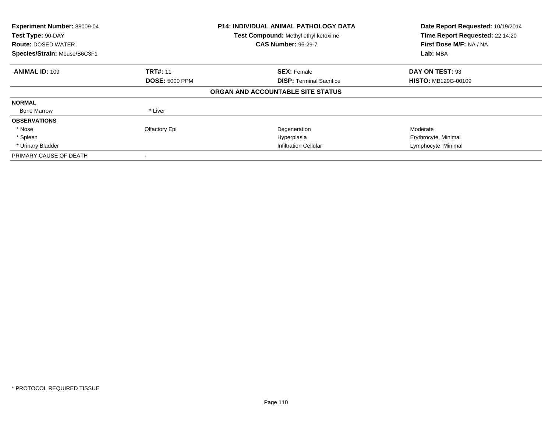| <b>Experiment Number: 88009-04</b><br>Test Type: 90-DAY<br><b>Route: DOSED WATER</b><br>Species/Strain: Mouse/B6C3F1 |                       | <b>P14: INDIVIDUAL ANIMAL PATHOLOGY DATA</b><br><b>Test Compound: Methyl ethyl ketoxime</b><br><b>CAS Number: 96-29-7</b> | Date Report Requested: 10/19/2014<br>Time Report Requested: 22:14:20<br>First Dose M/F: NA / NA<br>Lab: MBA |  |
|----------------------------------------------------------------------------------------------------------------------|-----------------------|---------------------------------------------------------------------------------------------------------------------------|-------------------------------------------------------------------------------------------------------------|--|
| <b>ANIMAL ID: 109</b>                                                                                                | <b>TRT#: 11</b>       | <b>SEX: Female</b>                                                                                                        | DAY ON TEST: 93                                                                                             |  |
|                                                                                                                      | <b>DOSE: 5000 PPM</b> | <b>DISP:</b> Terminal Sacrifice                                                                                           | <b>HISTO: MB129G-00109</b>                                                                                  |  |
|                                                                                                                      |                       | ORGAN AND ACCOUNTABLE SITE STATUS                                                                                         |                                                                                                             |  |
| <b>NORMAL</b>                                                                                                        |                       |                                                                                                                           |                                                                                                             |  |
| <b>Bone Marrow</b>                                                                                                   | * Liver               |                                                                                                                           |                                                                                                             |  |
| <b>OBSERVATIONS</b>                                                                                                  |                       |                                                                                                                           |                                                                                                             |  |
| * Nose                                                                                                               | Olfactory Epi         | Degeneration                                                                                                              | Moderate                                                                                                    |  |
| * Spleen                                                                                                             |                       | Hyperplasia                                                                                                               | Erythrocyte, Minimal                                                                                        |  |
| * Urinary Bladder                                                                                                    |                       | <b>Infiltration Cellular</b>                                                                                              | Lymphocyte, Minimal                                                                                         |  |
| PRIMARY CAUSE OF DEATH                                                                                               |                       |                                                                                                                           |                                                                                                             |  |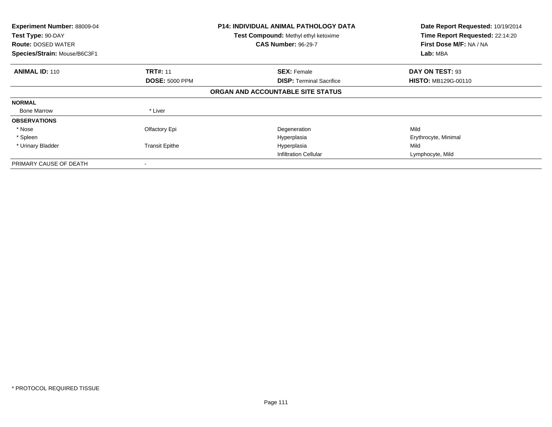| <b>Experiment Number: 88009-04</b><br>Test Type: 90-DAY<br><b>Route: DOSED WATER</b><br>Species/Strain: Mouse/B6C3F1 |                       | <b>P14: INDIVIDUAL ANIMAL PATHOLOGY DATA</b><br>Test Compound: Methyl ethyl ketoxime<br><b>CAS Number: 96-29-7</b> | Date Report Requested: 10/19/2014<br>Time Report Requested: 22:14:20<br>First Dose M/F: NA / NA<br>Lab: MBA |
|----------------------------------------------------------------------------------------------------------------------|-----------------------|--------------------------------------------------------------------------------------------------------------------|-------------------------------------------------------------------------------------------------------------|
|                                                                                                                      |                       |                                                                                                                    |                                                                                                             |
| <b>ANIMAL ID: 110</b>                                                                                                | <b>TRT#: 11</b>       | <b>SEX: Female</b>                                                                                                 | DAY ON TEST: 93                                                                                             |
|                                                                                                                      | <b>DOSE: 5000 PPM</b> | <b>DISP:</b> Terminal Sacrifice                                                                                    | <b>HISTO: MB129G-00110</b>                                                                                  |
|                                                                                                                      |                       | ORGAN AND ACCOUNTABLE SITE STATUS                                                                                  |                                                                                                             |
| <b>NORMAL</b>                                                                                                        |                       |                                                                                                                    |                                                                                                             |
| <b>Bone Marrow</b>                                                                                                   | * Liver               |                                                                                                                    |                                                                                                             |
| <b>OBSERVATIONS</b>                                                                                                  |                       |                                                                                                                    |                                                                                                             |
| * Nose                                                                                                               | Olfactory Epi         | Degeneration                                                                                                       | Mild                                                                                                        |
| * Spleen                                                                                                             |                       | Hyperplasia                                                                                                        | Erythrocyte, Minimal                                                                                        |
| * Urinary Bladder                                                                                                    | <b>Transit Epithe</b> | Hyperplasia                                                                                                        | Mild                                                                                                        |
|                                                                                                                      |                       | <b>Infiltration Cellular</b>                                                                                       | Lymphocyte, Mild                                                                                            |
| PRIMARY CAUSE OF DEATH                                                                                               |                       |                                                                                                                    |                                                                                                             |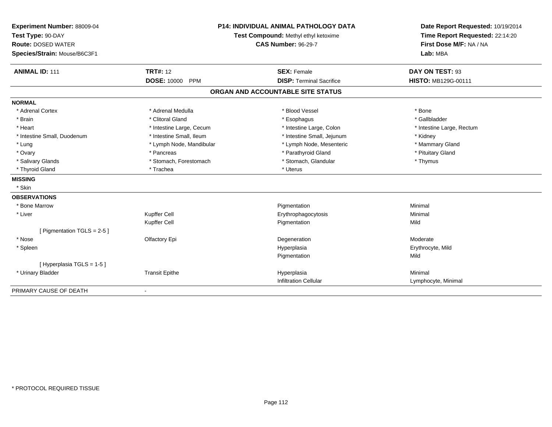| Experiment Number: 88009-04<br>Test Type: 90-DAY<br><b>Route: DOSED WATER</b><br>Species/Strain: Mouse/B6C3F1 |                                  | P14: INDIVIDUAL ANIMAL PATHOLOGY DATA<br>Test Compound: Methyl ethyl ketoxime<br><b>CAS Number: 96-29-7</b> | Date Report Requested: 10/19/2014<br>Time Report Requested: 22:14:20<br>First Dose M/F: NA / NA<br>Lab: MBA |
|---------------------------------------------------------------------------------------------------------------|----------------------------------|-------------------------------------------------------------------------------------------------------------|-------------------------------------------------------------------------------------------------------------|
| <b>ANIMAL ID: 111</b>                                                                                         | <b>TRT#: 12</b>                  | <b>SEX: Female</b>                                                                                          | DAY ON TEST: 93                                                                                             |
|                                                                                                               | <b>DOSE: 10000</b><br><b>PPM</b> | <b>DISP: Terminal Sacrifice</b>                                                                             | HISTO: MB129G-00111                                                                                         |
|                                                                                                               |                                  | ORGAN AND ACCOUNTABLE SITE STATUS                                                                           |                                                                                                             |
| <b>NORMAL</b>                                                                                                 |                                  |                                                                                                             |                                                                                                             |
| * Adrenal Cortex                                                                                              | * Adrenal Medulla                | * Blood Vessel                                                                                              | * Bone                                                                                                      |
| * Brain                                                                                                       | * Clitoral Gland                 | * Esophagus                                                                                                 | * Gallbladder                                                                                               |
| * Heart                                                                                                       | * Intestine Large, Cecum         | * Intestine Large, Colon                                                                                    | * Intestine Large, Rectum                                                                                   |
| * Intestine Small, Duodenum                                                                                   | * Intestine Small, Ileum         | * Intestine Small, Jejunum                                                                                  | * Kidney                                                                                                    |
| * Lung                                                                                                        | * Lymph Node, Mandibular         | * Lymph Node, Mesenteric                                                                                    | * Mammary Gland                                                                                             |
| * Ovary                                                                                                       | * Pancreas                       | * Parathyroid Gland                                                                                         | * Pituitary Gland                                                                                           |
| * Salivary Glands                                                                                             | * Stomach, Forestomach           | * Stomach, Glandular                                                                                        | * Thymus                                                                                                    |
| * Thyroid Gland                                                                                               | * Trachea                        | * Uterus                                                                                                    |                                                                                                             |
| <b>MISSING</b>                                                                                                |                                  |                                                                                                             |                                                                                                             |
| * Skin                                                                                                        |                                  |                                                                                                             |                                                                                                             |
| <b>OBSERVATIONS</b>                                                                                           |                                  |                                                                                                             |                                                                                                             |
| * Bone Marrow                                                                                                 |                                  | Pigmentation                                                                                                | Minimal                                                                                                     |
| * Liver                                                                                                       | Kupffer Cell                     | Erythrophagocytosis                                                                                         | Minimal                                                                                                     |
|                                                                                                               | Kupffer Cell                     | Pigmentation                                                                                                | Mild                                                                                                        |
| [ Pigmentation TGLS = $2-5$ ]                                                                                 |                                  |                                                                                                             |                                                                                                             |
| * Nose                                                                                                        | Olfactory Epi                    | Degeneration                                                                                                | Moderate                                                                                                    |
| * Spleen                                                                                                      |                                  | Hyperplasia                                                                                                 | Erythrocyte, Mild                                                                                           |
|                                                                                                               |                                  | Pigmentation                                                                                                | Mild                                                                                                        |
| [Hyperplasia TGLS = 1-5]                                                                                      |                                  |                                                                                                             |                                                                                                             |
| * Urinary Bladder                                                                                             | <b>Transit Epithe</b>            | Hyperplasia                                                                                                 | Minimal                                                                                                     |
|                                                                                                               |                                  | <b>Infiltration Cellular</b>                                                                                | Lymphocyte, Minimal                                                                                         |
| PRIMARY CAUSE OF DEATH                                                                                        |                                  |                                                                                                             |                                                                                                             |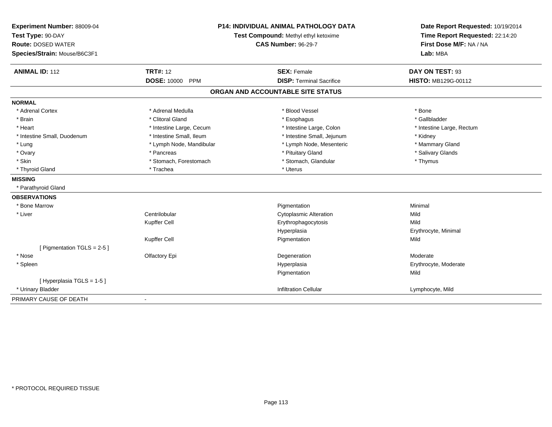| Experiment Number: 88009-04<br>Test Type: 90-DAY<br><b>Route: DOSED WATER</b><br>Species/Strain: Mouse/B6C3F1 |                          | <b>P14: INDIVIDUAL ANIMAL PATHOLOGY DATA</b><br>Test Compound: Methyl ethyl ketoxime<br><b>CAS Number: 96-29-7</b> | Date Report Requested: 10/19/2014<br>Time Report Requested: 22:14:20<br>First Dose M/F: NA / NA<br>Lab: MBA |
|---------------------------------------------------------------------------------------------------------------|--------------------------|--------------------------------------------------------------------------------------------------------------------|-------------------------------------------------------------------------------------------------------------|
| <b>ANIMAL ID: 112</b>                                                                                         | <b>TRT#: 12</b>          | <b>SEX: Female</b>                                                                                                 | DAY ON TEST: 93                                                                                             |
|                                                                                                               | DOSE: 10000 PPM          | <b>DISP: Terminal Sacrifice</b>                                                                                    | HISTO: MB129G-00112                                                                                         |
|                                                                                                               |                          | ORGAN AND ACCOUNTABLE SITE STATUS                                                                                  |                                                                                                             |
| <b>NORMAL</b>                                                                                                 |                          |                                                                                                                    |                                                                                                             |
| * Adrenal Cortex                                                                                              | * Adrenal Medulla        | * Blood Vessel                                                                                                     | * Bone                                                                                                      |
| * Brain                                                                                                       | * Clitoral Gland         | * Esophagus                                                                                                        | * Gallbladder                                                                                               |
| * Heart                                                                                                       | * Intestine Large, Cecum | * Intestine Large, Colon                                                                                           | * Intestine Large, Rectum                                                                                   |
| * Intestine Small, Duodenum                                                                                   | * Intestine Small, Ileum | * Intestine Small, Jejunum                                                                                         | * Kidney                                                                                                    |
| * Lung                                                                                                        | * Lymph Node, Mandibular | * Lymph Node, Mesenteric                                                                                           | * Mammary Gland                                                                                             |
| * Ovary                                                                                                       | * Pancreas               | * Pituitary Gland                                                                                                  | * Salivary Glands                                                                                           |
| * Skin                                                                                                        | * Stomach, Forestomach   | * Stomach, Glandular                                                                                               | * Thymus                                                                                                    |
| * Thyroid Gland                                                                                               | * Trachea                | * Uterus                                                                                                           |                                                                                                             |
| <b>MISSING</b>                                                                                                |                          |                                                                                                                    |                                                                                                             |
| * Parathyroid Gland                                                                                           |                          |                                                                                                                    |                                                                                                             |
| <b>OBSERVATIONS</b>                                                                                           |                          |                                                                                                                    |                                                                                                             |
| * Bone Marrow                                                                                                 |                          | Pigmentation                                                                                                       | Minimal                                                                                                     |
| * Liver                                                                                                       | Centrilobular            | <b>Cytoplasmic Alteration</b>                                                                                      | Mild                                                                                                        |
|                                                                                                               | Kupffer Cell             | Erythrophagocytosis                                                                                                | Mild                                                                                                        |
|                                                                                                               |                          | Hyperplasia                                                                                                        | Erythrocyte, Minimal                                                                                        |
|                                                                                                               | Kupffer Cell             | Pigmentation                                                                                                       | Mild                                                                                                        |
| [ Pigmentation TGLS = 2-5 ]                                                                                   |                          |                                                                                                                    |                                                                                                             |
| * Nose                                                                                                        | Olfactory Epi            | Degeneration                                                                                                       | Moderate                                                                                                    |
| * Spleen                                                                                                      |                          | Hyperplasia                                                                                                        | Erythrocyte, Moderate                                                                                       |
|                                                                                                               |                          | Pigmentation                                                                                                       | Mild                                                                                                        |
| [ Hyperplasia TGLS = 1-5 ]                                                                                    |                          |                                                                                                                    |                                                                                                             |
| * Urinary Bladder                                                                                             |                          | <b>Infiltration Cellular</b>                                                                                       | Lymphocyte, Mild                                                                                            |
| PRIMARY CAUSE OF DEATH                                                                                        |                          |                                                                                                                    |                                                                                                             |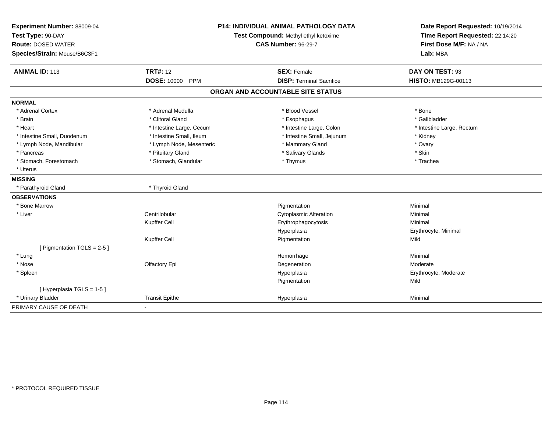| Experiment Number: 88009-04<br>Test Type: 90-DAY<br><b>Route: DOSED WATER</b><br>Species/Strain: Mouse/B6C3F1 | P14: INDIVIDUAL ANIMAL PATHOLOGY DATA<br>Test Compound: Methyl ethyl ketoxime<br><b>CAS Number: 96-29-7</b> |                                   | Date Report Requested: 10/19/2014<br>Time Report Requested: 22:14:20<br>First Dose M/F: NA / NA<br>Lab: MBA |
|---------------------------------------------------------------------------------------------------------------|-------------------------------------------------------------------------------------------------------------|-----------------------------------|-------------------------------------------------------------------------------------------------------------|
| <b>ANIMAL ID: 113</b>                                                                                         | <b>TRT#: 12</b><br><b>DOSE: 10000</b>                                                                       | <b>SEX: Female</b>                | DAY ON TEST: 93                                                                                             |
|                                                                                                               | PPM                                                                                                         | <b>DISP: Terminal Sacrifice</b>   | HISTO: MB129G-00113                                                                                         |
|                                                                                                               |                                                                                                             | ORGAN AND ACCOUNTABLE SITE STATUS |                                                                                                             |
| <b>NORMAL</b>                                                                                                 |                                                                                                             |                                   |                                                                                                             |
| * Adrenal Cortex                                                                                              | * Adrenal Medulla                                                                                           | * Blood Vessel                    | * Bone                                                                                                      |
| * Brain                                                                                                       | * Clitoral Gland                                                                                            | * Esophagus                       | * Gallbladder                                                                                               |
| * Heart                                                                                                       | * Intestine Large, Cecum                                                                                    | * Intestine Large, Colon          | * Intestine Large, Rectum                                                                                   |
| * Intestine Small, Duodenum                                                                                   | * Intestine Small, Ileum                                                                                    | * Intestine Small, Jejunum        | * Kidney                                                                                                    |
| * Lymph Node, Mandibular                                                                                      | * Lymph Node, Mesenteric                                                                                    | * Mammary Gland                   | * Ovary                                                                                                     |
| * Pancreas                                                                                                    | * Pituitary Gland                                                                                           | * Salivary Glands                 | * Skin                                                                                                      |
| * Stomach, Forestomach                                                                                        | * Stomach, Glandular                                                                                        | * Thymus                          | * Trachea                                                                                                   |
| * Uterus                                                                                                      |                                                                                                             |                                   |                                                                                                             |
| <b>MISSING</b>                                                                                                |                                                                                                             |                                   |                                                                                                             |
| * Parathyroid Gland                                                                                           | * Thyroid Gland                                                                                             |                                   |                                                                                                             |
| <b>OBSERVATIONS</b>                                                                                           |                                                                                                             |                                   |                                                                                                             |
| * Bone Marrow                                                                                                 |                                                                                                             | Pigmentation                      | Minimal                                                                                                     |
| * Liver                                                                                                       | Centrilobular                                                                                               | <b>Cytoplasmic Alteration</b>     | Minimal                                                                                                     |
|                                                                                                               | Kupffer Cell                                                                                                | Erythrophagocytosis               | Minimal                                                                                                     |
|                                                                                                               |                                                                                                             | Hyperplasia                       | Erythrocyte, Minimal                                                                                        |
|                                                                                                               | Kupffer Cell                                                                                                | Pigmentation                      | Mild                                                                                                        |
| [ Pigmentation TGLS = 2-5 ]                                                                                   |                                                                                                             |                                   |                                                                                                             |
| * Lung                                                                                                        |                                                                                                             | Hemorrhage                        | Minimal                                                                                                     |
| * Nose                                                                                                        | Olfactory Epi                                                                                               | Degeneration                      | Moderate                                                                                                    |
| * Spleen                                                                                                      |                                                                                                             | Hyperplasia                       | Erythrocyte, Moderate                                                                                       |
|                                                                                                               |                                                                                                             | Pigmentation                      | Mild                                                                                                        |
| [ Hyperplasia TGLS = 1-5 ]                                                                                    |                                                                                                             |                                   |                                                                                                             |
| * Urinary Bladder                                                                                             | <b>Transit Epithe</b>                                                                                       | Hyperplasia                       | Minimal                                                                                                     |
| PRIMARY CAUSE OF DEATH                                                                                        |                                                                                                             |                                   |                                                                                                             |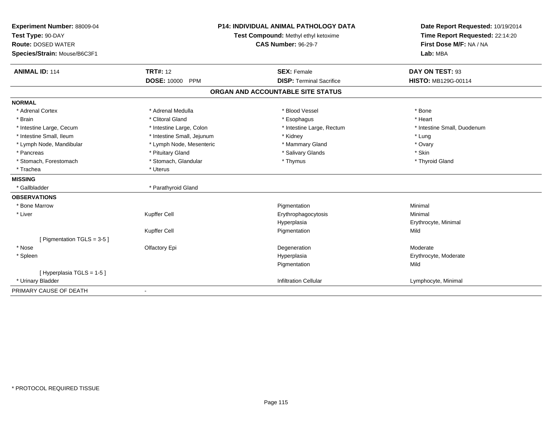| Experiment Number: 88009-04<br>Test Type: 90-DAY<br><b>Route: DOSED WATER</b><br>Species/Strain: Mouse/B6C3F1 |                            | <b>P14: INDIVIDUAL ANIMAL PATHOLOGY DATA</b><br>Test Compound: Methyl ethyl ketoxime<br><b>CAS Number: 96-29-7</b> | Date Report Requested: 10/19/2014<br>Time Report Requested: 22:14:20<br>First Dose M/F: NA / NA<br>Lab: MBA |  |
|---------------------------------------------------------------------------------------------------------------|----------------------------|--------------------------------------------------------------------------------------------------------------------|-------------------------------------------------------------------------------------------------------------|--|
| <b>ANIMAL ID: 114</b>                                                                                         | <b>TRT#: 12</b>            | <b>SEX: Female</b>                                                                                                 | DAY ON TEST: 93                                                                                             |  |
|                                                                                                               | <b>DOSE: 10000</b><br>PPM  | <b>DISP: Terminal Sacrifice</b>                                                                                    | <b>HISTO: MB129G-00114</b>                                                                                  |  |
|                                                                                                               |                            | ORGAN AND ACCOUNTABLE SITE STATUS                                                                                  |                                                                                                             |  |
| <b>NORMAL</b>                                                                                                 |                            |                                                                                                                    |                                                                                                             |  |
| * Adrenal Cortex                                                                                              | * Adrenal Medulla          | * Blood Vessel                                                                                                     | * Bone                                                                                                      |  |
| * Brain                                                                                                       | * Clitoral Gland           | * Esophagus                                                                                                        | * Heart                                                                                                     |  |
| * Intestine Large, Cecum                                                                                      | * Intestine Large, Colon   | * Intestine Large, Rectum                                                                                          | * Intestine Small, Duodenum                                                                                 |  |
| * Intestine Small, Ileum                                                                                      | * Intestine Small, Jejunum | * Kidney                                                                                                           | * Lung                                                                                                      |  |
| * Lymph Node, Mandibular                                                                                      | * Lymph Node, Mesenteric   | * Mammary Gland                                                                                                    | * Ovary                                                                                                     |  |
| * Pancreas                                                                                                    | * Pituitary Gland          | * Salivary Glands                                                                                                  | * Skin                                                                                                      |  |
| * Stomach, Forestomach                                                                                        | * Stomach, Glandular       | * Thymus                                                                                                           | * Thyroid Gland                                                                                             |  |
| * Trachea                                                                                                     | * Uterus                   |                                                                                                                    |                                                                                                             |  |
| <b>MISSING</b>                                                                                                |                            |                                                                                                                    |                                                                                                             |  |
| * Gallbladder                                                                                                 | * Parathyroid Gland        |                                                                                                                    |                                                                                                             |  |
| <b>OBSERVATIONS</b>                                                                                           |                            |                                                                                                                    |                                                                                                             |  |
| * Bone Marrow                                                                                                 |                            | Pigmentation                                                                                                       | Minimal                                                                                                     |  |
| * Liver                                                                                                       | Kupffer Cell               | Erythrophagocytosis                                                                                                | Minimal                                                                                                     |  |
|                                                                                                               |                            | Hyperplasia                                                                                                        | Erythrocyte, Minimal                                                                                        |  |
|                                                                                                               | Kupffer Cell               | Pigmentation                                                                                                       | Mild                                                                                                        |  |
| [ Pigmentation TGLS = 3-5 ]                                                                                   |                            |                                                                                                                    |                                                                                                             |  |
| * Nose                                                                                                        | Olfactory Epi              | Degeneration                                                                                                       | Moderate                                                                                                    |  |
| * Spleen                                                                                                      |                            | Hyperplasia                                                                                                        | Erythrocyte, Moderate                                                                                       |  |
|                                                                                                               |                            | Pigmentation                                                                                                       | Mild                                                                                                        |  |
| [Hyperplasia TGLS = 1-5]                                                                                      |                            |                                                                                                                    |                                                                                                             |  |
| * Urinary Bladder                                                                                             |                            | <b>Infiltration Cellular</b>                                                                                       | Lymphocyte, Minimal                                                                                         |  |
| PRIMARY CAUSE OF DEATH                                                                                        |                            |                                                                                                                    |                                                                                                             |  |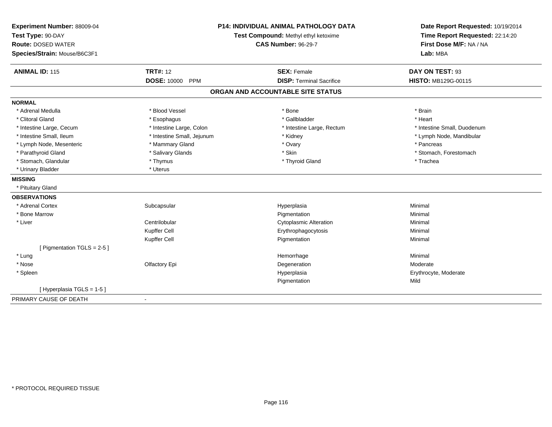| Experiment Number: 88009-04<br>Test Type: 90-DAY<br><b>Route: DOSED WATER</b><br>Species/Strain: Mouse/B6C3F1 |                            | <b>P14: INDIVIDUAL ANIMAL PATHOLOGY DATA</b><br>Test Compound: Methyl ethyl ketoxime<br><b>CAS Number: 96-29-7</b> | Date Report Requested: 10/19/2014<br>Time Report Requested: 22:14:20<br>First Dose M/F: NA / NA<br>Lab: MBA |
|---------------------------------------------------------------------------------------------------------------|----------------------------|--------------------------------------------------------------------------------------------------------------------|-------------------------------------------------------------------------------------------------------------|
| <b>ANIMAL ID: 115</b>                                                                                         | <b>TRT#: 12</b>            | <b>SEX: Female</b>                                                                                                 | DAY ON TEST: 93                                                                                             |
|                                                                                                               | DOSE: 10000 PPM            | <b>DISP: Terminal Sacrifice</b>                                                                                    | <b>HISTO: MB129G-00115</b>                                                                                  |
|                                                                                                               |                            | ORGAN AND ACCOUNTABLE SITE STATUS                                                                                  |                                                                                                             |
| <b>NORMAL</b>                                                                                                 |                            |                                                                                                                    |                                                                                                             |
| * Adrenal Medulla                                                                                             | * Blood Vessel             | * Bone                                                                                                             | * Brain                                                                                                     |
| * Clitoral Gland                                                                                              | * Esophagus                | * Gallbladder                                                                                                      | * Heart                                                                                                     |
| * Intestine Large, Cecum                                                                                      | * Intestine Large, Colon   | * Intestine Large, Rectum                                                                                          | * Intestine Small, Duodenum                                                                                 |
| * Intestine Small, Ileum                                                                                      | * Intestine Small, Jejunum | * Kidney                                                                                                           | * Lymph Node, Mandibular                                                                                    |
| * Lymph Node, Mesenteric                                                                                      | * Mammary Gland            | * Ovary                                                                                                            | * Pancreas                                                                                                  |
| * Parathyroid Gland                                                                                           | * Salivary Glands          | * Skin                                                                                                             | * Stomach, Forestomach                                                                                      |
| * Stomach, Glandular                                                                                          | * Thymus                   | * Thyroid Gland                                                                                                    | * Trachea                                                                                                   |
| * Urinary Bladder                                                                                             | * Uterus                   |                                                                                                                    |                                                                                                             |
| <b>MISSING</b>                                                                                                |                            |                                                                                                                    |                                                                                                             |
| * Pituitary Gland                                                                                             |                            |                                                                                                                    |                                                                                                             |
| <b>OBSERVATIONS</b>                                                                                           |                            |                                                                                                                    |                                                                                                             |
| * Adrenal Cortex                                                                                              | Subcapsular                | Hyperplasia                                                                                                        | Minimal                                                                                                     |
| * Bone Marrow                                                                                                 |                            | Pigmentation                                                                                                       | Minimal                                                                                                     |
| * Liver                                                                                                       | Centrilobular              | <b>Cytoplasmic Alteration</b>                                                                                      | Minimal                                                                                                     |
|                                                                                                               | Kupffer Cell               | Erythrophagocytosis                                                                                                | Minimal                                                                                                     |
|                                                                                                               | Kupffer Cell               | Pigmentation                                                                                                       | Minimal                                                                                                     |
| [ Pigmentation TGLS = 2-5 ]                                                                                   |                            |                                                                                                                    |                                                                                                             |
| * Lung                                                                                                        |                            | Hemorrhage                                                                                                         | Minimal                                                                                                     |
| * Nose                                                                                                        | Olfactory Epi              | Degeneration                                                                                                       | Moderate                                                                                                    |
| * Spleen                                                                                                      |                            | Hyperplasia                                                                                                        | Erythrocyte, Moderate                                                                                       |
|                                                                                                               |                            | Pigmentation                                                                                                       | Mild                                                                                                        |
| [Hyperplasia TGLS = 1-5]                                                                                      |                            |                                                                                                                    |                                                                                                             |
| PRIMARY CAUSE OF DEATH                                                                                        |                            |                                                                                                                    |                                                                                                             |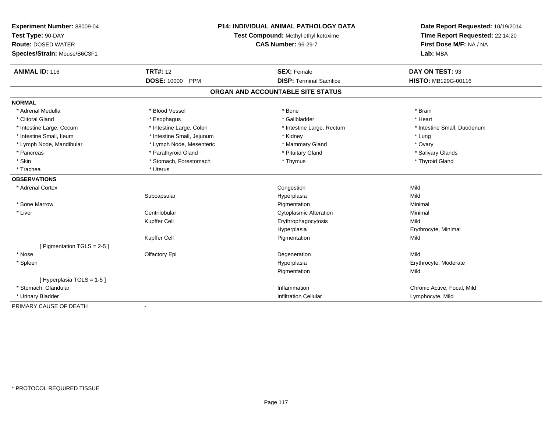| Experiment Number: 88009-04<br>Test Type: 90-DAY<br><b>Route: DOSED WATER</b><br>Species/Strain: Mouse/B6C3F1 | P14: INDIVIDUAL ANIMAL PATHOLOGY DATA<br>Test Compound: Methyl ethyl ketoxime<br><b>CAS Number: 96-29-7</b> |                                   | Date Report Requested: 10/19/2014<br>Time Report Requested: 22:14:20<br>First Dose M/F: NA / NA<br>Lab: MBA |  |
|---------------------------------------------------------------------------------------------------------------|-------------------------------------------------------------------------------------------------------------|-----------------------------------|-------------------------------------------------------------------------------------------------------------|--|
| <b>ANIMAL ID: 116</b>                                                                                         | <b>TRT#: 12</b>                                                                                             | <b>SEX: Female</b>                | DAY ON TEST: 93                                                                                             |  |
|                                                                                                               | <b>DOSE: 10000 PPM</b>                                                                                      | <b>DISP: Terminal Sacrifice</b>   | <b>HISTO: MB129G-00116</b>                                                                                  |  |
|                                                                                                               |                                                                                                             | ORGAN AND ACCOUNTABLE SITE STATUS |                                                                                                             |  |
| <b>NORMAL</b>                                                                                                 |                                                                                                             |                                   |                                                                                                             |  |
| * Adrenal Medulla                                                                                             | * Blood Vessel                                                                                              | * Bone                            | * Brain                                                                                                     |  |
| * Clitoral Gland                                                                                              | * Esophagus                                                                                                 | * Gallbladder                     | * Heart                                                                                                     |  |
| * Intestine Large, Cecum                                                                                      | * Intestine Large, Colon                                                                                    | * Intestine Large, Rectum         | * Intestine Small, Duodenum                                                                                 |  |
| * Intestine Small, Ileum                                                                                      | * Intestine Small, Jejunum                                                                                  | * Kidney                          | * Lung                                                                                                      |  |
| * Lymph Node, Mandibular                                                                                      | * Lymph Node, Mesenteric                                                                                    | * Mammary Gland                   | * Ovary                                                                                                     |  |
| * Pancreas                                                                                                    | * Parathyroid Gland                                                                                         | * Pituitary Gland                 | * Salivary Glands                                                                                           |  |
| * Skin                                                                                                        | * Stomach, Forestomach                                                                                      | * Thymus                          | * Thyroid Gland                                                                                             |  |
| * Trachea                                                                                                     | * Uterus                                                                                                    |                                   |                                                                                                             |  |
| <b>OBSERVATIONS</b>                                                                                           |                                                                                                             |                                   |                                                                                                             |  |
| * Adrenal Cortex                                                                                              |                                                                                                             | Congestion                        | Mild                                                                                                        |  |
|                                                                                                               | Subcapsular                                                                                                 | Hyperplasia                       | Mild                                                                                                        |  |
| * Bone Marrow                                                                                                 |                                                                                                             | Pigmentation                      | Minimal                                                                                                     |  |
| * Liver                                                                                                       | Centrilobular                                                                                               | <b>Cytoplasmic Alteration</b>     | Minimal                                                                                                     |  |
|                                                                                                               | Kupffer Cell                                                                                                | Erythrophagocytosis               | Mild                                                                                                        |  |
|                                                                                                               |                                                                                                             | Hyperplasia                       | Erythrocyte, Minimal                                                                                        |  |
|                                                                                                               | Kupffer Cell                                                                                                | Pigmentation                      | Mild                                                                                                        |  |
| [ Pigmentation TGLS = 2-5 ]                                                                                   |                                                                                                             |                                   |                                                                                                             |  |
| * Nose                                                                                                        | Olfactory Epi                                                                                               | Degeneration                      | Mild                                                                                                        |  |
| * Spleen                                                                                                      |                                                                                                             | Hyperplasia                       | Erythrocyte, Moderate                                                                                       |  |
|                                                                                                               |                                                                                                             | Pigmentation                      | Mild                                                                                                        |  |
| [Hyperplasia TGLS = 1-5]                                                                                      |                                                                                                             |                                   |                                                                                                             |  |
| * Stomach, Glandular                                                                                          |                                                                                                             | Inflammation                      | Chronic Active, Focal, Mild                                                                                 |  |
| * Urinary Bladder                                                                                             |                                                                                                             | <b>Infiltration Cellular</b>      | Lymphocyte, Mild                                                                                            |  |
| PRIMARY CAUSE OF DEATH                                                                                        |                                                                                                             |                                   |                                                                                                             |  |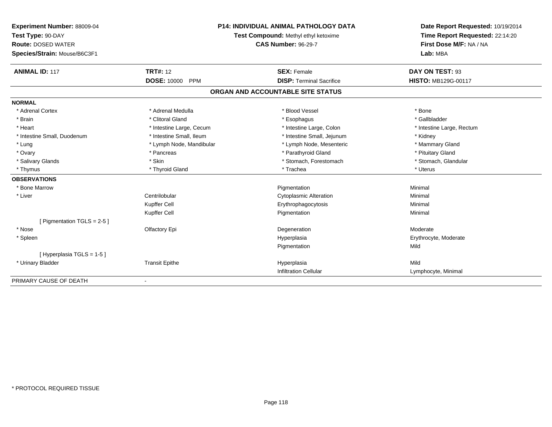| Experiment Number: 88009-04  | P14: INDIVIDUAL ANIMAL PATHOLOGY DATA<br>Test Compound: Methyl ethyl ketoxime |                                   | Date Report Requested: 10/19/2014 |  |
|------------------------------|-------------------------------------------------------------------------------|-----------------------------------|-----------------------------------|--|
| Test Type: 90-DAY            |                                                                               |                                   | Time Report Requested: 22:14:20   |  |
| <b>Route: DOSED WATER</b>    |                                                                               | <b>CAS Number: 96-29-7</b>        | First Dose M/F: NA / NA           |  |
| Species/Strain: Mouse/B6C3F1 |                                                                               |                                   | Lab: MBA                          |  |
| <b>ANIMAL ID: 117</b>        | <b>TRT#: 12</b>                                                               | <b>SEX: Female</b>                | DAY ON TEST: 93                   |  |
|                              | <b>DOSE: 10000</b><br><b>PPM</b>                                              | <b>DISP: Terminal Sacrifice</b>   | <b>HISTO: MB129G-00117</b>        |  |
|                              |                                                                               | ORGAN AND ACCOUNTABLE SITE STATUS |                                   |  |
| <b>NORMAL</b>                |                                                                               |                                   |                                   |  |
| * Adrenal Cortex             | * Adrenal Medulla                                                             | * Blood Vessel                    | * Bone                            |  |
| * Brain                      | * Clitoral Gland                                                              | * Esophagus                       | * Gallbladder                     |  |
| * Heart                      | * Intestine Large, Cecum                                                      | * Intestine Large, Colon          | * Intestine Large, Rectum         |  |
| * Intestine Small, Duodenum  | * Intestine Small, Ileum                                                      | * Intestine Small, Jejunum        | * Kidney                          |  |
| * Lung                       | * Lymph Node, Mandibular                                                      | * Lymph Node, Mesenteric          | * Mammary Gland                   |  |
| * Ovary                      | * Pancreas                                                                    | * Parathyroid Gland               | * Pituitary Gland                 |  |
| * Salivary Glands            | * Skin                                                                        | * Stomach, Forestomach            | * Stomach, Glandular              |  |
| * Thymus                     | * Thyroid Gland                                                               | * Trachea                         | * Uterus                          |  |
| <b>OBSERVATIONS</b>          |                                                                               |                                   |                                   |  |
| * Bone Marrow                |                                                                               | Pigmentation                      | Minimal                           |  |
| * Liver                      | Centrilobular                                                                 | <b>Cytoplasmic Alteration</b>     | Minimal                           |  |
|                              | Kupffer Cell                                                                  | Erythrophagocytosis               | Minimal                           |  |
|                              | Kupffer Cell                                                                  | Pigmentation                      | Minimal                           |  |
| [ Pigmentation TGLS = 2-5 ]  |                                                                               |                                   |                                   |  |
| * Nose                       | Olfactory Epi                                                                 | Degeneration                      | Moderate                          |  |
| * Spleen                     |                                                                               | Hyperplasia                       | Erythrocyte, Moderate             |  |
|                              |                                                                               | Pigmentation                      | Mild                              |  |
| [Hyperplasia TGLS = 1-5]     |                                                                               |                                   |                                   |  |
| * Urinary Bladder            | <b>Transit Epithe</b>                                                         | Hyperplasia                       | Mild                              |  |
|                              |                                                                               | <b>Infiltration Cellular</b>      | Lymphocyte, Minimal               |  |
| PRIMARY CAUSE OF DEATH       | ٠                                                                             |                                   |                                   |  |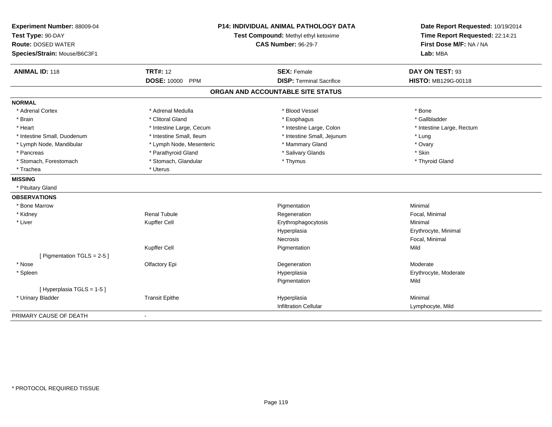| Experiment Number: 88009-04<br>Test Type: 90-DAY<br><b>Route: DOSED WATER</b><br>Species/Strain: Mouse/B6C3F1 | <b>P14: INDIVIDUAL ANIMAL PATHOLOGY DATA</b><br>Test Compound: Methyl ethyl ketoxime<br><b>CAS Number: 96-29-7</b> |                                   | Date Report Requested: 10/19/2014<br>Time Report Requested: 22:14:21<br>First Dose M/F: NA / NA<br>Lab: MBA |
|---------------------------------------------------------------------------------------------------------------|--------------------------------------------------------------------------------------------------------------------|-----------------------------------|-------------------------------------------------------------------------------------------------------------|
| <b>ANIMAL ID: 118</b>                                                                                         | <b>TRT#: 12</b>                                                                                                    | <b>SEX: Female</b>                | DAY ON TEST: 93                                                                                             |
|                                                                                                               | <b>DOSE: 10000</b><br>PPM                                                                                          | <b>DISP: Terminal Sacrifice</b>   | HISTO: MB129G-00118                                                                                         |
|                                                                                                               |                                                                                                                    | ORGAN AND ACCOUNTABLE SITE STATUS |                                                                                                             |
| <b>NORMAL</b>                                                                                                 |                                                                                                                    |                                   |                                                                                                             |
| * Adrenal Cortex                                                                                              | * Adrenal Medulla                                                                                                  | * Blood Vessel                    | * Bone                                                                                                      |
| * Brain                                                                                                       | * Clitoral Gland                                                                                                   | * Esophagus                       | * Gallbladder                                                                                               |
| * Heart                                                                                                       | * Intestine Large, Cecum                                                                                           | * Intestine Large, Colon          | * Intestine Large, Rectum                                                                                   |
| * Intestine Small, Duodenum                                                                                   | * Intestine Small, Ileum                                                                                           | * Intestine Small, Jejunum        | * Lung                                                                                                      |
| * Lymph Node, Mandibular                                                                                      | * Lymph Node, Mesenteric                                                                                           | * Mammary Gland                   | * Ovary                                                                                                     |
| * Pancreas                                                                                                    | * Parathyroid Gland                                                                                                | * Salivary Glands                 | * Skin                                                                                                      |
| * Stomach, Forestomach                                                                                        | * Stomach, Glandular                                                                                               | * Thymus                          | * Thyroid Gland                                                                                             |
| * Trachea                                                                                                     | * Uterus                                                                                                           |                                   |                                                                                                             |
| <b>MISSING</b>                                                                                                |                                                                                                                    |                                   |                                                                                                             |
| * Pituitary Gland                                                                                             |                                                                                                                    |                                   |                                                                                                             |
| <b>OBSERVATIONS</b>                                                                                           |                                                                                                                    |                                   |                                                                                                             |
| * Bone Marrow                                                                                                 |                                                                                                                    | Pigmentation                      | Minimal                                                                                                     |
| * Kidney                                                                                                      | <b>Renal Tubule</b>                                                                                                | Regeneration                      | Focal, Minimal                                                                                              |
| * Liver                                                                                                       | Kupffer Cell                                                                                                       | Erythrophagocytosis               | Minimal                                                                                                     |
|                                                                                                               |                                                                                                                    | Hyperplasia                       | Erythrocyte, Minimal                                                                                        |
|                                                                                                               |                                                                                                                    | Necrosis                          | Focal, Minimal                                                                                              |
|                                                                                                               | Kupffer Cell                                                                                                       | Pigmentation                      | Mild                                                                                                        |
| [ Pigmentation TGLS = 2-5 ]                                                                                   |                                                                                                                    |                                   |                                                                                                             |
| * Nose                                                                                                        | Olfactory Epi                                                                                                      | Degeneration                      | Moderate                                                                                                    |
| * Spleen                                                                                                      |                                                                                                                    | Hyperplasia                       | Erythrocyte, Moderate                                                                                       |
|                                                                                                               |                                                                                                                    | Pigmentation                      | Mild                                                                                                        |
| [Hyperplasia TGLS = 1-5]                                                                                      |                                                                                                                    |                                   |                                                                                                             |
| * Urinary Bladder                                                                                             | <b>Transit Epithe</b>                                                                                              | Hyperplasia                       | Minimal                                                                                                     |
|                                                                                                               |                                                                                                                    | <b>Infiltration Cellular</b>      | Lymphocyte, Mild                                                                                            |
| PRIMARY CAUSE OF DEATH                                                                                        |                                                                                                                    |                                   |                                                                                                             |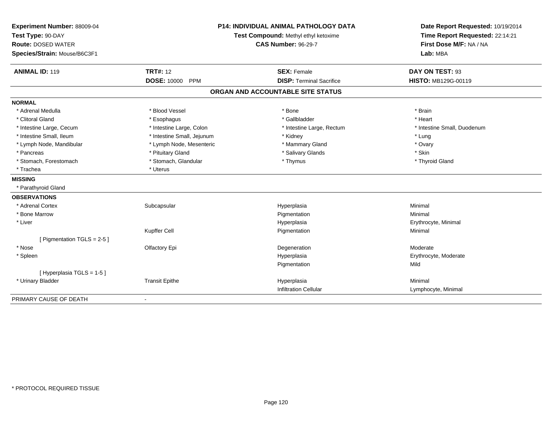| Experiment Number: 88009-04<br>Test Type: 90-DAY<br><b>Route: DOSED WATER</b><br>Species/Strain: Mouse/B6C3F1 |                            | <b>P14: INDIVIDUAL ANIMAL PATHOLOGY DATA</b><br>Test Compound: Methyl ethyl ketoxime<br><b>CAS Number: 96-29-7</b> | Date Report Requested: 10/19/2014<br>Time Report Requested: 22:14:21<br>First Dose M/F: NA / NA<br>Lab: MBA |  |
|---------------------------------------------------------------------------------------------------------------|----------------------------|--------------------------------------------------------------------------------------------------------------------|-------------------------------------------------------------------------------------------------------------|--|
| <b>ANIMAL ID: 119</b>                                                                                         | <b>TRT#: 12</b>            | <b>SEX: Female</b>                                                                                                 | DAY ON TEST: 93                                                                                             |  |
|                                                                                                               | DOSE: 10000 PPM            | <b>DISP: Terminal Sacrifice</b>                                                                                    | HISTO: MB129G-00119                                                                                         |  |
|                                                                                                               |                            | ORGAN AND ACCOUNTABLE SITE STATUS                                                                                  |                                                                                                             |  |
| <b>NORMAL</b>                                                                                                 |                            |                                                                                                                    |                                                                                                             |  |
| * Adrenal Medulla                                                                                             | * Blood Vessel             | * Bone                                                                                                             | * Brain                                                                                                     |  |
| * Clitoral Gland                                                                                              | * Esophagus                | * Gallbladder                                                                                                      | * Heart                                                                                                     |  |
| * Intestine Large, Cecum                                                                                      | * Intestine Large, Colon   | * Intestine Large, Rectum                                                                                          | * Intestine Small, Duodenum                                                                                 |  |
| * Intestine Small, Ileum                                                                                      | * Intestine Small, Jejunum | * Kidney                                                                                                           | * Lung                                                                                                      |  |
| * Lymph Node, Mandibular                                                                                      | * Lymph Node, Mesenteric   | * Mammary Gland                                                                                                    | * Ovary                                                                                                     |  |
| * Pancreas                                                                                                    | * Pituitary Gland          | * Salivary Glands                                                                                                  | * Skin                                                                                                      |  |
| * Stomach, Forestomach                                                                                        | * Stomach, Glandular       | * Thymus                                                                                                           | * Thyroid Gland                                                                                             |  |
| * Trachea                                                                                                     | * Uterus                   |                                                                                                                    |                                                                                                             |  |
| <b>MISSING</b>                                                                                                |                            |                                                                                                                    |                                                                                                             |  |
| * Parathyroid Gland                                                                                           |                            |                                                                                                                    |                                                                                                             |  |
| <b>OBSERVATIONS</b>                                                                                           |                            |                                                                                                                    |                                                                                                             |  |
| * Adrenal Cortex                                                                                              | Subcapsular                | Hyperplasia                                                                                                        | Minimal                                                                                                     |  |
| * Bone Marrow                                                                                                 |                            | Pigmentation                                                                                                       | Minimal                                                                                                     |  |
| * Liver                                                                                                       |                            | Hyperplasia                                                                                                        | Erythrocyte, Minimal                                                                                        |  |
|                                                                                                               | Kupffer Cell               | Pigmentation                                                                                                       | Minimal                                                                                                     |  |
| [ Pigmentation TGLS = $2-5$ ]                                                                                 |                            |                                                                                                                    |                                                                                                             |  |
| * Nose                                                                                                        | Olfactory Epi              | Degeneration                                                                                                       | Moderate                                                                                                    |  |
| * Spleen                                                                                                      |                            | Hyperplasia                                                                                                        | Erythrocyte, Moderate                                                                                       |  |
|                                                                                                               |                            | Pigmentation                                                                                                       | Mild                                                                                                        |  |
| [ Hyperplasia TGLS = 1-5 ]                                                                                    |                            |                                                                                                                    |                                                                                                             |  |
| * Urinary Bladder                                                                                             | <b>Transit Epithe</b>      | Hyperplasia                                                                                                        | Minimal                                                                                                     |  |
|                                                                                                               |                            | <b>Infiltration Cellular</b>                                                                                       | Lymphocyte, Minimal                                                                                         |  |
| PRIMARY CAUSE OF DEATH                                                                                        |                            |                                                                                                                    |                                                                                                             |  |